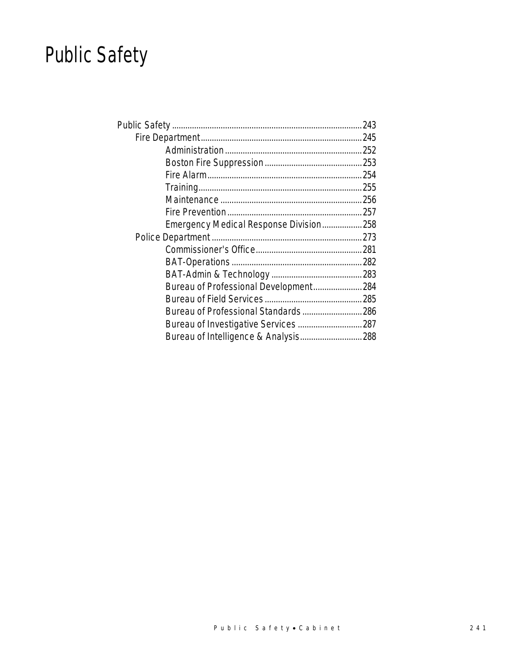# Public Safety

| Emergency Medical Response Division258 |  |
|----------------------------------------|--|
|                                        |  |
|                                        |  |
|                                        |  |
|                                        |  |
| Bureau of Professional Development 284 |  |
|                                        |  |
| Bureau of Professional Standards286    |  |
|                                        |  |
| Bureau of Intelligence & Analysis 288  |  |
|                                        |  |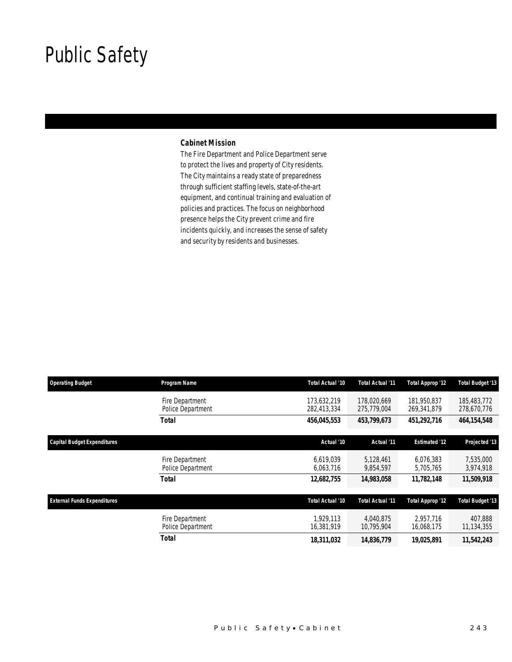## Public Safety

### *Cabinet Mission*

The Fire Department and Police Department serve to protect the lives and property of City residents. The City maintains a ready state of preparedness through sufficient staffing levels, state-of-the-art equipment, and continual training and evaluation of policies and practices. The focus on neighborhood presence helps the City prevent crime and fire incidents quickly, and increases the sense of safety and security by residents and businesses.

| <b>Operating Budget</b>            | Program Name                         | Total Actual '10           | <b>Total Actual '11</b>    | <b>Total Approp '12</b>    | <b>Total Budget '13</b>    |
|------------------------------------|--------------------------------------|----------------------------|----------------------------|----------------------------|----------------------------|
|                                    | Fire Department<br>Police Department | 173.632.219<br>282,413,334 | 178,020,669<br>275,779,004 | 181.950.837<br>269,341,879 | 185,483,772<br>278,670,776 |
|                                    | <b>Total</b>                         | 456,045,553                | 453,799,673                | 451,292,716                | 464, 154, 548              |
| <b>Capital Budget Expenditures</b> |                                      | Actual '10                 | Actual '11                 | <b>Estimated '12</b>       | Projected '13              |
|                                    | Fire Department<br>Police Department | 6.619.039<br>6,063,716     | 5.128.461<br>9,854,597     | 6.076.383<br>5,705,765     | 7,535,000<br>3,974,918     |
|                                    | <b>Total</b>                         | 12,682,755                 | 14,983,058                 | 11,782,148                 | 11,509,918                 |
| <b>External Funds Expenditures</b> |                                      | Total Actual '10           | Total Actual '11           | <b>Total Approp '12</b>    | <b>Total Budget '13</b>    |
|                                    | Fire Department<br>Police Department | 1.929.113<br>16,381,919    | 4.040.875<br>10,795,904    | 2.957.716<br>16,068,175    | 407,888<br>11,134,355      |
|                                    | Total                                | 18,311,032                 | 14,836,779                 | 19,025,891                 | 11,542,243                 |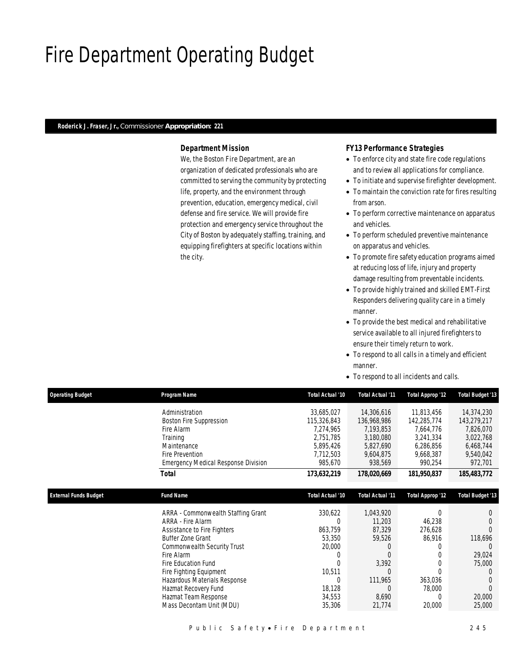## Fire Department Operating Budget

#### *Roderick J. Fraser, Jr., Commissioner Appropriation: 221*

## *Department Mission*

We, the Boston Fire Department, are an organization of dedicated professionals who are committed to serving the community by protecting life, property, and the environment through prevention, education, emergency medical, civil defense and fire service. We will provide fire protection and emergency service throughout the City of Boston by adequately staffing, training, and equipping firefighters at specific locations within the city.

### *FY13 Performance Strategies*

- To enforce city and state fire code regulations and to review all applications for compliance.
- To initiate and supervise firefighter development.
- To maintain the conviction rate for fires resulting from arson.
- To perform corrective maintenance on apparatus and vehicles.
- To perform scheduled preventive maintenance on apparatus and vehicles.
- To promote fire safety education programs aimed at reducing loss of life, injury and property damage resulting from preventable incidents.
- To provide highly trained and skilled EMT-First Responders delivering quality care in a timely manner.
- To provide the best medical and rehabilitative service available to all injured firefighters to ensure their timely return to work.
- To respond to all calls in a timely and efficient manner.
- To respond to all incidents and calls.

| <b>Operating Budget</b>      | Program Name                               | Total Actual '10 | Total Actual '11 | Total Approp '12 | <b>Total Budget '13</b> |
|------------------------------|--------------------------------------------|------------------|------------------|------------------|-------------------------|
|                              | Administration                             | 33,685,027       | 14,306,616       | 11,813,456       | 14,374,230              |
| <b>External Funds Budget</b> | Boston Fire Suppression                    | 115,326,843      | 136,968,986      | 142,285,774      | 143,279,217             |
|                              | Fire Alarm                                 | 7,274,965        | 7,193,853        | 7,664,776        | 7,826,070               |
|                              | Training                                   | 2,751,785        | 3,180,080        | 3,241,334        | 3,022,768               |
|                              | Maintenance                                | 5,895,426        | 5,827,690        | 6,286,856        | 6,468,744               |
|                              | <b>Fire Prevention</b>                     | 7,712,503        | 9,604,875        | 9,668,387        | 9,540,042               |
|                              | <b>Emergency Medical Response Division</b> | 985,670          | 938,569          | 990,254          | 972,701                 |
|                              | Total                                      | 173,632,219      | 178,020,669      | 181,950,837      | 185,483,772             |
|                              | <b>Fund Name</b>                           | Total Actual '10 | Total Actual '11 | Total Approp '12 | <b>Total Budget '13</b> |
|                              | ARRA - Commonwealth Staffing Grant         | 330,622          | 1,043,920        | 0                | $\theta$                |
|                              | ARRA - Fire Alarm                          |                  | 11,203           | 46,238           |                         |
|                              | Assistance to Fire Fighters                | 863,759          | 87,329           | 276,628          |                         |
|                              | Buffer Zone Grant                          | 53,350           | 59,526           | 86,916           | 118,696                 |
|                              | Commonwealth Security Trust                | 20,000           |                  |                  |                         |
|                              | Fire Alarm                                 | 0                | $\Omega$         |                  | 29,024                  |
|                              | Fire Education Fund                        |                  | 3,392            |                  | 75,000                  |
|                              | Fire Fighting Equipment                    | 10,511           | $\Omega$         |                  |                         |
|                              | Hazardous Materials Response               |                  | 111,965          | 363,036          |                         |
|                              | Hazmat Recovery Fund                       | 18,128           | $\Omega$         | 78,000           | $\Omega$                |
|                              | Hazmat Team Response                       | 34,553           | 8,690            | 0                | 20,000                  |
|                              | Mass Decontam Unit (MDU)                   | 35,306           | 21,774           | 20,000           | 25,000                  |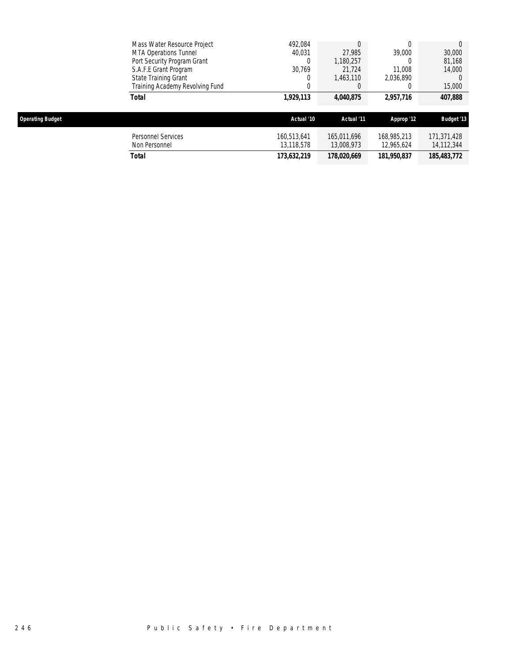|                         | <b>Total</b>                                  | 173,632,219               | 178,020,669               | 181,950,837               | 185,483,772               |
|-------------------------|-----------------------------------------------|---------------------------|---------------------------|---------------------------|---------------------------|
|                         | <b>Personnel Services</b><br>Non Personnel    | 160,513,641<br>13,118,578 | 165,011,696<br>13,008,973 | 168,985,213<br>12,965,624 | 171,371,428<br>14,112,344 |
| <b>Operating Budget</b> |                                               | Actual '10                | Actual '11                | Approp '12                | <b>Budget '13</b>         |
|                         | Total                                         | 1,929,113                 | 4,040,875                 | 2,957,716                 | 407,888                   |
|                         | Training Academy Revolving Fund               | 0                         |                           |                           | 15,000                    |
|                         | S.A.F.E Grant Program<br>State Training Grant | 30,769                    | 21.724<br>1,463,110       | 11,008<br>2,036,890       | 14,000                    |
|                         | Port Security Program Grant                   |                           | 1,180,257                 |                           | 81,168                    |
|                         | MTA Operations Tunnel                         | 40.031                    | 27.985                    | 39,000                    | 30,000                    |
|                         | Mass Water Resource Project                   | 492,084                   |                           |                           |                           |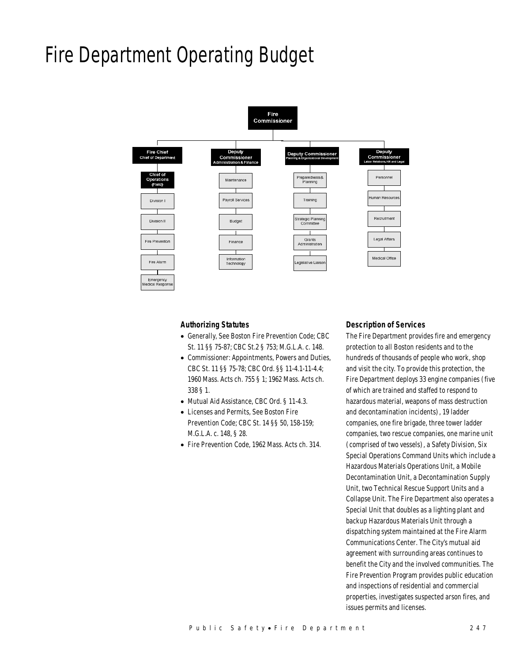## Fire Department Operating Budget



#### *Authorizing Statutes*

- Generally, See Boston Fire Prevention Code; CBC St. 11 §§ 75-87; CBC St.2 § 753; M.G.L.A. c. 148.
- Commissioner: Appointments, Powers and Duties, CBC St. 11 §§ 75-78; CBC Ord. §§ 11-4.1-11-4.4; 1960 Mass. Acts ch. 755 § 1; 1962 Mass. Acts ch. 338 § 1.
- Mutual Aid Assistance, CBC Ord. § 11-4.3.
- Licenses and Permits, See Boston Fire Prevention Code; CBC St. 14 §§ 50, 158-159; M.G.L.A. c. 148, § 28.
- Fire Prevention Code, 1962 Mass. Acts ch. 314.

#### *Description of Services*

The Fire Department provides fire and emergency protection to all Boston residents and to the hundreds of thousands of people who work, shop and visit the city. To provide this protection, the Fire Department deploys 33 engine companies (five of which are trained and staffed to respond to hazardous material, weapons of mass destruction and decontamination incidents), 19 ladder companies, one fire brigade, three tower ladder companies, two rescue companies, one marine unit (comprised of two vessels), a Safety Division, Six Special Operations Command Units which include a Hazardous Materials Operations Unit, a Mobile Decontamination Unit, a Decontamination Supply Unit, two Technical Rescue Support Units and a Collapse Unit. The Fire Department also operates a Special Unit that doubles as a lighting plant and backup Hazardous Materials Unit through a dispatching system maintained at the Fire Alarm Communications Center. The City's mutual aid agreement with surrounding areas continues to benefit the City and the involved communities. The Fire Prevention Program provides public education and inspections of residential and commercial properties, investigates suspected arson fires, and issues permits and licenses.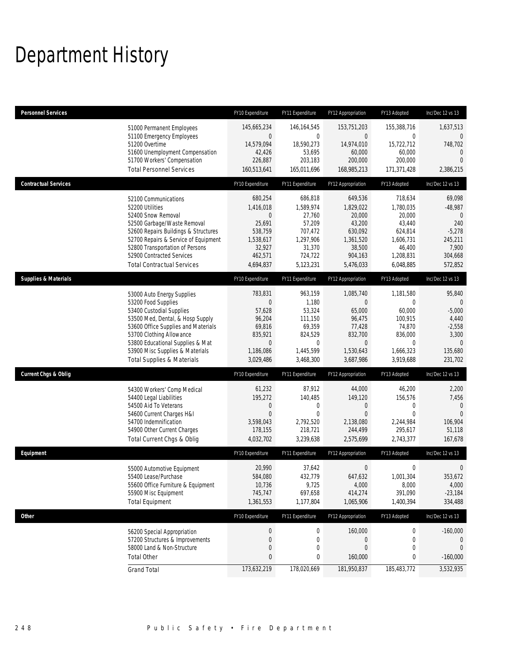## Department History

| <b>Personnel Services</b>       |                                                                                                                                                                                                                                                                                                      | FY10 Expenditure                                                                                           | FY11 Expenditure                                                                                    | FY12 Appropriation                                                                                               | FY13 Adopted                                                                                                  | Inc/Dec 12 vs 13                                                                                        |
|---------------------------------|------------------------------------------------------------------------------------------------------------------------------------------------------------------------------------------------------------------------------------------------------------------------------------------------------|------------------------------------------------------------------------------------------------------------|-----------------------------------------------------------------------------------------------------|------------------------------------------------------------------------------------------------------------------|---------------------------------------------------------------------------------------------------------------|---------------------------------------------------------------------------------------------------------|
|                                 | 51000 Permanent Employees<br>51100 Emergency Employees<br>51200 Overtime<br>51600 Unemployment Compensation<br>51700 Workers' Compensation<br><b>Total Personnel Services</b>                                                                                                                        | 145,665,234<br>$\theta$<br>14,579,094<br>42,426<br>226,887<br>160,513,641                                  | 146, 164, 545<br>$\mathbf 0$<br>18,590,273<br>53,695<br>203,183<br>165,011,696                      | 153,751,203<br>$\overline{0}$<br>14,974,010<br>60,000<br>200,000<br>168,985,213                                  | 155,388,716<br>0<br>15,722,712<br>60,000<br>200,000<br>171,371,428                                            | 1,637,513<br>$\mathbf{0}$<br>748,702<br>$\mathbf{0}$<br>$\Omega$<br>2,386,215                           |
| <b>Contractual Services</b>     |                                                                                                                                                                                                                                                                                                      | FY10 Expenditure                                                                                           | FY11 Expenditure                                                                                    | FY12 Appropriation                                                                                               | FY13 Adopted                                                                                                  | Inc/Dec 12 vs 13                                                                                        |
|                                 | 52100 Communications<br>52200 Utilities<br>52400 Snow Removal<br>52500 Garbage/Waste Removal<br>52600 Repairs Buildings & Structures<br>52700 Repairs & Service of Equipment<br>52800 Transportation of Persons<br>52900 Contracted Services<br><b>Total Contractual Services</b>                    | 680,254<br>1,416,018<br>0<br>25,691<br>538,759<br>1,538,617<br>32,927<br>462,571<br>4,694,837              | 686,818<br>1,589,974<br>27,760<br>57,209<br>707,472<br>1,297,906<br>31,370<br>724,722<br>5,123,231  | 649,536<br>1,829,022<br>20,000<br>43,200<br>630,092<br>1,361,520<br>38,500<br>904,163<br>5,476,033               | 718,634<br>1,780,035<br>20,000<br>43,440<br>624,814<br>1,606,731<br>46,400<br>1,208,831<br>6,048,885          | 69,098<br>$-48,987$<br>$\mathbf{0}$<br>240<br>$-5,278$<br>245,211<br>7,900<br>304,668<br>572,852        |
| <b>Supplies &amp; Materials</b> |                                                                                                                                                                                                                                                                                                      | FY10 Expenditure                                                                                           | FY11 Expenditure                                                                                    | FY12 Appropriation                                                                                               | FY13 Adopted                                                                                                  | Inc/Dec 12 vs 13                                                                                        |
|                                 | 53000 Auto Energy Supplies<br>53200 Food Supplies<br>53400 Custodial Supplies<br>53500 Med, Dental, & Hosp Supply<br>53600 Office Supplies and Materials<br>53700 Clothing Allowance<br>53800 Educational Supplies & Mat<br>53900 Misc Supplies & Materials<br><b>Total Supplies &amp; Materials</b> | 783,831<br>$\mathbf{0}$<br>57,628<br>96,204<br>69,816<br>835,921<br>$\mathbf{0}$<br>1,186,086<br>3,029,486 | 963,159<br>1,180<br>53,324<br>111,150<br>69,359<br>824,529<br>$\mathbf 0$<br>1,445,599<br>3,468,300 | 1,085,740<br>$\overline{0}$<br>65,000<br>96,475<br>77,428<br>832,700<br>$\overline{0}$<br>1,530,643<br>3,687,986 | 1,181,580<br>$\mathbf{0}$<br>60,000<br>100,915<br>74,870<br>836,000<br>$\mathbf{0}$<br>1,666,323<br>3,919,688 | 95,840<br>$\mathbf 0$<br>$-5,000$<br>4,440<br>$-2,558$<br>3,300<br>$\overline{0}$<br>135,680<br>231,702 |
| <b>Current Chgs &amp; Oblig</b> |                                                                                                                                                                                                                                                                                                      | FY10 Expenditure                                                                                           | FY11 Expenditure                                                                                    | FY12 Appropriation                                                                                               | FY13 Adopted                                                                                                  | Inc/Dec 12 vs 13                                                                                        |
|                                 | 54300 Workers' Comp Medical<br>54400 Legal Liabilities<br>54500 Aid To Veterans<br>54600 Current Charges H&I<br>54700 Indemnification<br>54900 Other Current Charges<br>Total Current Chgs & Oblig                                                                                                   | 61,232<br>195,272<br>0<br>$\overline{0}$<br>3,598,043<br>178,155<br>4,032,702                              | 87,912<br>140,485<br>$\mathbf 0$<br>$\mathbf 0$<br>2,792,520<br>218,721<br>3,239,638                | 44,000<br>149,120<br>$\mathbf 0$<br>$\mathbf{0}$<br>2,138,080<br>244,499<br>2,575,699                            | 46,200<br>156,576<br>$\mathbf 0$<br>$\mathbf{0}$<br>2,244,984<br>295,617<br>2,743,377                         | 2,200<br>7,456<br>$\mathbf{0}$<br>$\Omega$<br>106,904<br>51,118<br>167,678                              |
| Equipment                       |                                                                                                                                                                                                                                                                                                      | FY10 Expenditure                                                                                           | FY11 Expenditure                                                                                    | FY12 Appropriation                                                                                               | FY13 Adopted                                                                                                  | Inc/Dec 12 vs 13                                                                                        |
|                                 | 55000 Automotive Equipment<br>55400 Lease/Purchase<br>55600 Office Furniture & Equipment<br>55900 Misc Equipment<br><b>Total Equipment</b>                                                                                                                                                           | 20,990<br>584,080<br>10,736<br>745,747<br>1,361,553                                                        | 37,642<br>432,779<br>9,725<br>697,658<br>1,177,804                                                  | $\mathbf 0$<br>647,632<br>4,000<br>414,274<br>1,065,906                                                          | $\mathbf 0$<br>1,001,304<br>8,000<br>391,090<br>1,400,394                                                     | $\mathbf 0$<br>353,672<br>4,000<br>$-23,184$<br>334,488                                                 |
| Other                           |                                                                                                                                                                                                                                                                                                      | FY10 Expenditure                                                                                           | FY11 Expenditure                                                                                    | FY12 Appropriation                                                                                               | FY13 Adopted                                                                                                  | Inc/Dec 12 vs 13                                                                                        |
|                                 | 56200 Special Appropriation<br>57200 Structures & Improvements<br>58000 Land & Non-Structure<br><b>Total Other</b>                                                                                                                                                                                   | $\boldsymbol{0}$<br>$\boldsymbol{0}$<br>$\mathbf 0$<br>0                                                   | $\boldsymbol{0}$<br>0<br>$\mathbf 0$<br>0                                                           | 160,000<br>$\boldsymbol{0}$<br>$\boldsymbol{0}$<br>160,000                                                       | $\boldsymbol{0}$<br>0<br>0<br>0                                                                               | $-160,000$<br>$\mathbf 0$<br>$\mathbf 0$<br>$-160,000$                                                  |
|                                 | <b>Grand Total</b>                                                                                                                                                                                                                                                                                   | 173,632,219                                                                                                | 178,020,669                                                                                         | 181,950,837                                                                                                      | 185,483,772                                                                                                   | 3,532,935                                                                                               |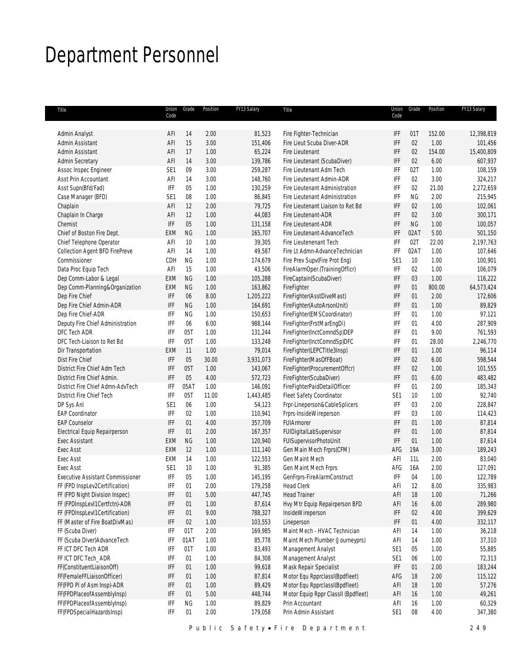## Department Personnel

| Title                                   | Union<br>Code               | Grade     | Position     | FY13 Salary       | Title                                                  | Union<br>Code               | Grade           | Position | FY13 Salary        |
|-----------------------------------------|-----------------------------|-----------|--------------|-------------------|--------------------------------------------------------|-----------------------------|-----------------|----------|--------------------|
|                                         |                             |           |              |                   |                                                        |                             |                 |          |                    |
| Admin Analyst                           | AFI                         | 14        | 2.00         | 81,523            | Fire Fighter-Technician                                | IFF                         | 01T             | 152.00   | 12,398,819         |
| Admin Assistant                         | AFI                         | 15        | 3.00         | 151,406           | Fire Lieut Scuba Diver-ADR                             | IFF                         | 02              | 1.00     | 101,456            |
| Admin Assistant                         | AFI                         | 17        | 1.00         | 65,224            | Fire Lieutenant                                        | IFF                         | 02              | 154.00   | 15,400,809         |
| Admin Secretary                         | AFI                         | 14        | 3.00         | 139,786           | Fire Lieutenant (ScubaDiver)                           | IFF                         | 02              | 6.00     | 607,937            |
| Assoc Inspec Engineer                   | SE <sub>1</sub>             | 09        | 3.00         | 259,287           | Fire Lieutenant Adm Tech                               | IFF                         | 02T             | 1.00     | 108,159            |
| Asst Prin Accountant                    | AFI                         | 14        | 3.00         | 148,760           | Fire Lieutenant Admin-ADR                              | IFF                         | 02              | 3.00     | 324,217            |
| Asst Supn(Bfd/Fad)                      | <b>IFF</b>                  | 05        | 1.00         | 130,259           | Fire Lieutenant Administration                         | IFF                         | 02              | 21.00    | 2,272,659          |
| Case Manager (BFD)                      | SE <sub>1</sub>             | $08\,$    | 1.00         | 86,845            | Fire Lieutenant Administration                         | IFF                         | <b>NG</b>       | 2.00     | 215,945            |
| Chaplain                                | AFI                         | 12        | 2.00         | 79,725            | Fire Lieutenant Liaison to Ret Bd                      | IFF                         | 02              | 1.00     | 102,061            |
| Chaplain In Charge                      | AFI                         | 12        | 1.00         | 44,083            | Fire Lieutenant-ADR                                    | <b>IFF</b>                  | 02              | 3.00     | 300,171            |
| Chemist                                 | IFF                         | 05        | 1.00         | 131,158           | Fire Lieutenant-ADR                                    | <b>IFF</b>                  | <b>NG</b>       | 1.00     | 100,057            |
| Chief of Boston Fire Dept.              | EXM                         | <b>NG</b> | 1.00         | 165,707           | Fire Lieutenant-AdvanceTech                            | IFF                         | 02AT            | 5.00     | 501,150            |
| Chief Telephone Operator                | AFI                         | 10        | 1.00         | 39,305            | Fire Lieutenenant Tech                                 | IFF                         | 02T             | 22.00    | 2,197,763          |
| Collection Agent BFD FirePreve          | AFI                         | 14        | 1.00         | 49,587            | Fire Lt Admn-AdvanceTechnician                         | IFF                         | 02AT            | 1.00     | 107,646            |
| Commissioner                            | CDH                         | <b>NG</b> | 1.00         | 174,679           | Fire Prev Supv(Fire Prot Eng)                          | SE <sub>1</sub>             | 10 <sup>°</sup> | 1.00     | 100,901            |
| Data Proc Equip Tech                    | AFI                         | 15        | 1.00         | 43,506            | FireAlarmOper.(TrainingOfficr)                         | IFF                         | 02              | 1.00     | 106,079            |
| Dep Comm-Labor & Legal                  | EXM                         | <b>NG</b> | 1.00         | 105,288           | FireCaptain(ScubaDiver)                                | IFF                         | 03              | 1.00     | 116,222            |
| Dep Comm-Planning&Organization          | <b>EXM</b>                  | <b>NG</b> | 1.00         | 163,862           | FireFighter                                            | IFF                         | 01              | 800.00   | 64,573,424         |
| Dep Fire Chief                          | IFF                         | 06        | 8.00         | 1,205,222         | FireFighter(AsstDiveMast)                              | IFF                         | 01              | 2.00     | 172,606            |
| Dep Fire Chief Admin-ADR                | IFF                         | <b>NG</b> | 1.00         | 164,691           | FireFighter(AutoArsonUnit)                             | IFF                         | 01              | 1.00     | 89,829             |
| Dep Fire Chief-ADR                      | IFF                         | NG        | 1.00         | 150,653           | FireFighter(EMSCoordinator)                            | IFF                         | 01              | 1.00     | 97,121             |
|                                         | IFF                         | 06        |              |                   | FireFighter(FrstMarEngDi)                              | IFF                         | 01              | 4.00     |                    |
| Deputy Fire Chief Administration        | IFF                         | 05T       | 6.00<br>1.00 | 988,144           |                                                        | IFF                         |                 | 9.00     | 287,909<br>761,593 |
| DFC Tech ADR                            |                             |           |              | 131,244           | FireFighter(InctComndSp)DEP                            |                             | 01              |          |                    |
| DFC Tech-Liaison to Ret Bd              | IFF                         | 05T       | 1.00         | 133,248           | FireFighter(InctComndSp)DFC                            | IFF                         | 01              | 28.00    | 2,246,770          |
| Dir Transportation                      | EXM                         | 11        | 1.00         | 79,014            | FireFighter(LEPCTitle3Insp)                            | IFF                         | 01              | 1.00     | 96,114             |
| Dist Fire Chief                         | IFF                         | 05        | 30.00        | 3,931,073         | FireFighter(MasOfFBoat)                                | <b>IFF</b>                  | 02              | 6.00     | 598,544            |
| District Fire Chief Adm Tech            | IFF                         | 05T       | 1.00         | 143,067           | FireFighter(ProcurementOffcr)                          | IFF                         | 02              | 1.00     | 101,555            |
| District Fire Chief Admin.              | IFF                         | 05        | 4.00         | 572,723           | FireFighter(ScubaDiver)                                | IFF                         | 01              | 6.00     | 483,482            |
| District Fire Chief Admn-AdvTech        | IFF                         | 05AT      | 1.00         | 146,091           | FireFighterPaidDetailOfficer                           | IFF                         | 01              | 2.00     | 185,343            |
| District Fire Chief Tech                | IFF                         | 05T       | 11.00        | 1,443,485         | Fleet Safety Coordinator                               | SE <sub>1</sub>             | 10 <sup>°</sup> | 1.00     | 92,740             |
| DP Sys Anl                              | SE <sub>1</sub>             | 06        | 1.00         | 54,123            | Frpr-Lineperson&CableSplicers                          | IFF                         | 03              | 2.00     | 228,847            |
| <b>EAP Coordinator</b>                  | IFF                         | 02        | 1.00         | 110,941           | Frprs-InsideWireperson                                 | IFF                         | 03              | 1.00     | 114,423            |
| <b>EAP Counselor</b>                    | IFF                         | 01        | 4.00         | 357,709           | <b>FUIArmorer</b>                                      | IFF                         | 01              | 1.00     | 87,814             |
| Electrical Equip Repairperson           | IFF                         | 01        | 2.00         | 167,357           | FUIDigitalLabSupervisor                                | IFF                         | 01              | 1.00     | 87,814             |
| <b>Exec Assistant</b>                   | EXM                         | <b>NG</b> | 1.00         | 120,940           | FUISupervisorPhotoUnit                                 | <b>IFF</b>                  | 01              | 1.00     | 87,614             |
| <b>Exec Asst</b>                        | <b>EXM</b>                  | 12        | 1.00         | 111,140           | Gen Main Mech Frprs(CFM)                               | AFG                         | 19A             | 3.00     | 189,243            |
| <b>Exec Asst</b>                        | EXM                         | 14        | 1.00         | 122,553           | <b>Gen Maint Mech</b>                                  | AFI                         | 11L             | 2.00     | 83,040             |
| <b>Exec Asst</b>                        | SE1                         | 10        | 1.00         | 91,385            | Gen Maint Mech Frprs                                   | AFG                         | 16A             | 2.00     | 127,091            |
| <b>Executive Assistant Commissioner</b> | IFF                         | 05        | 1.00         | 145,195           | GenFrprs-FireAlarmConstruct                            | IFF                         | 04              | 1.00     | 122,789            |
| FF (FPD InspLev2Certification)          | IFF                         | 01        | 2.00         | 179,258           | <b>Head Clerk</b>                                      | AFI                         | 12              | 8.00     | 335,983            |
| FF (FPD Night Division Inspec)          | $\ensuremath{\mathsf{IFF}}$ | 01        | 5.00         | 447,745           | <b>Head Trainer</b>                                    | ${\sf AFI}$                 | 18              | 1.00     | 71,266             |
| FF (FPDInspLevI1Certfctn)-ADR           | IFF                         | 01        | 1.00         | 87,614            | Hvy Mtr Equip Repairperson BFD                         | AFI                         | 16              | 6.00     | 289,980            |
| FF (FPDInspLevI1Certification)          | $\ensuremath{\mathsf{IFF}}$ | 01        | 9.00         | 788,327           | InsideWireperson                                       | IFF                         | 02              | 4.00     | 399,629            |
| FF (Master of Fire BoatDivMas)          | $\ensuremath{\mathsf{IFF}}$ | 02        | 1.00         | 103,553           | Lineperson                                             | $\ensuremath{\mathsf{IFF}}$ | 01              | 4.00     | 332,117            |
| FF (Scuba Diver)                        | IFF                         | 01T       | 2.00         | 169,985           | Maint Mech - HVAC Technician                           | AFI                         | 14              | 1.00     | 36,218             |
| FF (Scuba Diver)AdvanceTech             | IFF                         | 01AT      | 1.00         | 85,778            | Maint Mech Plumber (Journeyprs)                        | AFI                         | 14              | 1.00     | 37,310             |
| FF ICT DFC Tech ADR                     | IFF                         | 01T       | 1.00         | 83,493            | Management Analyst                                     | SE <sub>1</sub>             | 05              | 1.00     | 55,885             |
| FF ICT DFC Tech_ADR                     | $\ensuremath{\mathsf{IFF}}$ | 01        | 1.00         | 84,308            | Management Analyst                                     | SE <sub>1</sub>             | 06              | 1.00     | 72,313             |
| FF(ConstituentLiaisonOff)               | $\ensuremath{\mathsf{IFF}}$ | 01        | 1.00         | 99,618            | Mask Repair Specialist                                 | $\ensuremath{\mathsf{IFF}}$ | 01              | 2.00     | 183,244            |
| FF(FemaleFFLiaisonOfficer)              | IFF                         | 01        | 1.00         | 87,814            | Motor Equ RpprclassI(Bpdfleet)                         | AFG                         | 18              | 2.00     | 115,122            |
| FF(FPD PI of Asm Insp)-ADR              | IFF                         | 01        | 1.00         | 89,429            | Motor Equ RpprclassI(Bpdfleet)                         | AFI                         | 18              | 1.00     | 57,276             |
| FF(FPDPlaceofAssemblyInsp)              | IFF                         | 01        | 5.00         |                   |                                                        |                             | 16              | 1.00     | 49,261             |
| FF(FPDPlaceofAssemblyInsp)              | IFF                         | <b>NG</b> | 1.00         | 448,744<br>89,829 | Motor Equip Rppr ClassII (Bpdfleet)<br>Prin Accountant | AFI                         | 16              | 1.00     | 60,329             |
| FF(FPDSpecialHazardsInsp)               | $\ensuremath{\mathsf{IFF}}$ | 01        | 2.00         | 179,058           | Prin Admin Assistant                                   | AFI<br>SE <sub>1</sub>      | 08              | 4.00     | 347,380            |
|                                         |                             |           |              |                   |                                                        |                             |                 |          |                    |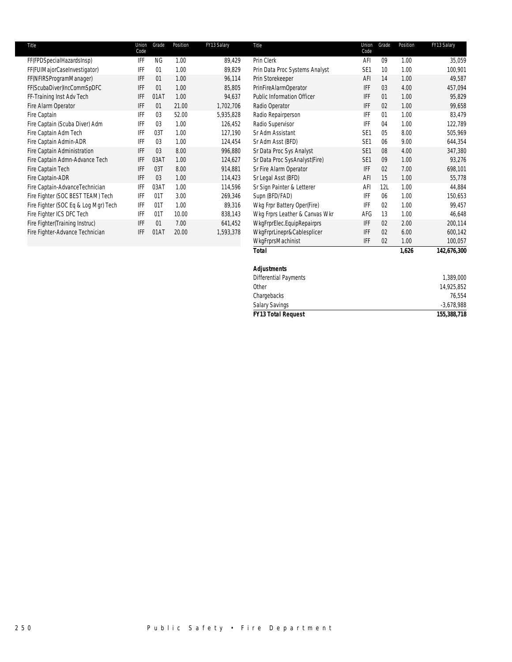| Title                                | Union<br>Code | Grade | Position | FY13 Salary | Title                             | Union<br>Code   | Grade | Position | FY13 Salary |
|--------------------------------------|---------------|-------|----------|-------------|-----------------------------------|-----------------|-------|----------|-------------|
| FF(FPDSpecialHazardsInsp)            | IFF           | ΝG    | 1.00     | 89,429      | Prin Clerk                        | AFI             | 09    | 1.00     | 35,059      |
| FF(FUIMajorCaseInvestigator)         | IFF           | 01    | 1.00     | 89,829      | Prin Data Proc Systems Analyst    | SE <sub>1</sub> | 10    | 1.00     | 100,901     |
| FF(NFIRSProgramManager)              | IFF           | 01    | 1.00     | 96,114      | Prin Storekeeper                  | AFI             | 14    | 1.00     | 49,587      |
| FF(ScubaDiver)IncCommSpDFC           | IFF           | 01    | 1.00     | 85,805      | PrinFireAlarmOperator             | <b>IFF</b>      | 03    | 4.00     | 457,094     |
| FF-Training Inst Adv Tech            | IFF           | 01AT  | 1.00     | 94,637      | <b>Public Information Officer</b> | <b>IFF</b>      | 01    | 1.00     | 95,829      |
| Fire Alarm Operator                  | IFF           | 01    | 21.00    | 1,702,706   | Radio Operator                    | <b>IFF</b>      | 02    | 1.00     | 99,658      |
| Fire Captain                         | IFF           | 03    | 52.00    | 5,935,828   | Radio Repairperson                | IFF             | 01    | 1.00     | 83,479      |
| Fire Captain (Scuba Diver) Adm       | IFF           | 03    | 1.00     | 126,452     | Radio Supervisor                  | IFF             | 04    | 1.00     | 122,789     |
| Fire Captain Adm Tech                | IFF           | 03T   | 1.00     | 127,190     | Sr Adm Assistant                  | SE <sub>1</sub> | 05    | 8.00     | 505,969     |
| Fire Captain Admin-ADR               | IFF           | 03    | 1.00     | 124,454     | Sr Adm Asst (BFD)                 | SE <sub>1</sub> | 06    | 9.00     | 644,354     |
| Fire Captain Administration          | IFF           | 03    | 8.00     | 996,880     | Sr Data Proc Sys Analyst          | SE <sub>1</sub> | 08    | 4.00     | 347,380     |
| Fire Captain Admn-Advance Tech       | IFF           | 03AT  | 1.00     | 124,627     | Sr Data Proc SysAnalyst(Fire)     | SE <sub>1</sub> | 09    | 1.00     | 93,276      |
| Fire Captain Tech                    | IFF           | 03T   | 8.00     | 914,881     | Sr Fire Alarm Operator            | <b>IFF</b>      | 02    | 7.00     | 698,101     |
| Fire Captain-ADR                     | IFF           | 03    | 1.00     | 114,423     | Sr Legal Asst (BFD)               | AFI             | 15    | 1.00     | 55,778      |
| Fire Captain-AdvanceTechnician       | IFF           | 03AT  | 1.00     | 114,596     | Sr Sign Painter & Letterer        | AFI             | 12L   | 1.00     | 44,884      |
| Fire Fighter (SOC BEST TEAM) Tech    | IFF           | 01T   | 3.00     | 269,346     | Supn (BFD/FAD)                    | <b>IFF</b>      | 06    | 1.00     | 150,653     |
| Fire Fighter (SOC Eq & Log Mgr) Tech | IFF           | 01T   | 1.00     | 89,316      | Wkg Frpr Battery Oper(Fire)       | IFF             | 02    | 1.00     | 99,457      |
| Fire Fighter ICS DFC Tech            | IFF           | 01T   | 10.00    | 838,143     | Wkg Frprs Leather & Canvas Wkr    | AFG             | 13    | 1.00     | 46,648      |
| Fire Fighter(Training Instruc)       | IFF           | 01    | 7.00     | 641,452     | WkgFrprElec.EquipRepairprs        | IFF             | 02    | 2.00     | 200,114     |
| Fire Fighter-Advance Technician      | IFF           | 01AT  | 20.00    | 1,593,378   | WkgFrprLinepr&Cablesplicer        | IFF             | 02    | 6.00     | 600,142     |
|                                      |               |       |          |             | WkgFrprsMachinist                 | <b>IFF</b>      | 02    | 1.00     | 100,057     |
|                                      |               |       |          |             | Total                             |                 |       | 1,626    | 142,676,300 |

| .                            | $\cdot$ , $\cdot$ . $\cdot$ | $. -$ , $-. -$ , $-. -$ |
|------------------------------|-----------------------------|-------------------------|
| <b>Adjustments</b>           |                             |                         |
| <b>Differential Payments</b> |                             | 1,389,000               |
| Other                        |                             | 14,925,852              |
| Chargebacks                  |                             | 76,554                  |
| <b>Salary Savings</b>        |                             | $-3,678,988$            |
| <b>FY13 Total Request</b>    |                             | 155,388,718             |
|                              |                             |                         |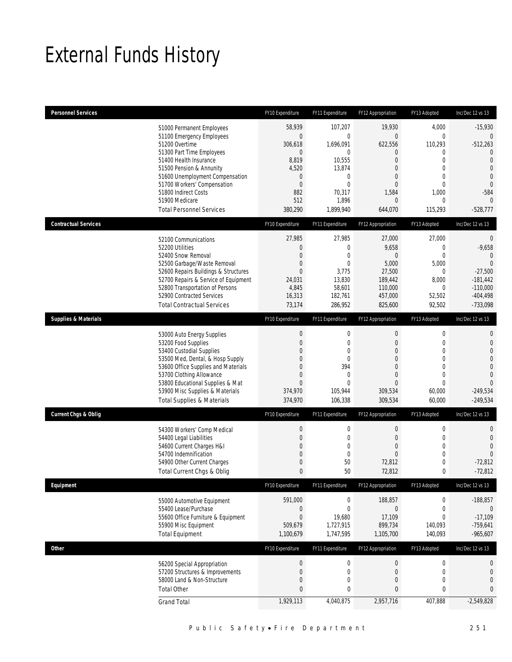## External Funds History

| <b>Personnel Services</b>             | FY10 Expenditure | FY11 Expenditure | FY12 Appropriation | FY13 Adopted     | Inc/Dec 12 vs 13 |
|---------------------------------------|------------------|------------------|--------------------|------------------|------------------|
| 51000 Permanent Employees             | 58,939           | 107,207          | 19,930             | 4,000            | $-15,930$        |
| 51100 Emergency Employees             | $\boldsymbol{0}$ | $\overline{0}$   | $\overline{0}$     | $\mathbf 0$      | 0                |
| 51200 Overtime                        | 306,618          | 1,696,091        | 622,556            | 110,293          | $-512,263$       |
| 51300 Part Time Employees             | $\mathbf 0$      | 0                | 0                  | $\mathbf{0}$     | $\theta$         |
| 51400 Health Insurance                | 8,819            | 10,555           | 0                  | $\mathbf{0}$     | $\overline{0}$   |
| 51500 Pension & Annunity              | 4,520            | 13,874           | $\overline{0}$     | $\mathbf 0$      | $\overline{0}$   |
| 51600 Unemployment Compensation       | $\mathbf 0$      | 0                | $\Omega$           | $\mathbf{0}$     | $\mathbf 0$      |
| 51700 Workers' Compensation           | $\boldsymbol{0}$ | $\overline{0}$   | $\overline{0}$     | $\mathbf 0$      | $\overline{0}$   |
| 51800 Indirect Costs                  | 882              | 70,317           | 1,584              | 1,000            | $-584$           |
| 51900 Medicare                        | 512              | 1,896            | $\mathbf 0$        | 0                | $\Omega$         |
| <b>Total Personnel Services</b>       | 380,290          | 1.899.940        | 644,070            | 115,293          | $-528,777$       |
| <b>Contractual Services</b>           | FY10 Expenditure | FY11 Expenditure | FY12 Appropriation | FY13 Adopted     | Inc/Dec 12 vs 13 |
| 52100 Communications                  | 27,985           | 27,985           | 27,000             | 27,000           | $\mathbf{0}$     |
| 52200 Utilities                       | $\boldsymbol{0}$ | $\mathbf 0$      | 9,658              | $\mathbf 0$      | $-9,658$         |
| 52400 Snow Removal                    | $\mathbf{0}$     | $\mathbf{0}$     | $\mathbf 0$        | $\mathbf{0}$     | $\Omega$         |
| 52500 Garbage/Waste Removal           | $\boldsymbol{0}$ | $\overline{0}$   | 5,000              | 5,000            | $\Omega$         |
| 52600 Repairs Buildings & Structures  | $\overline{0}$   | 3,775            | 27,500             | $\mathbf{0}$     | $-27,500$        |
| 52700 Repairs & Service of Equipment  | 24,031           | 13,830           | 189,442            | 8,000            | $-181,442$       |
| 52800 Transportation of Persons       | 4,845            | 58,601           | 110.000            | 0                | $-110,000$       |
| 52900 Contracted Services             | 16,313           | 182,761          | 457,000            | 52,502           | $-404,498$       |
| <b>Total Contractual Services</b>     | 73,174           | 286,952          | 825,600            | 92,502           | $-733,098$       |
| <b>Supplies &amp; Materials</b>       | FY10 Expenditure | FY11 Expenditure | FY12 Appropriation | FY13 Adopted     | Inc/Dec 12 vs 13 |
| 53000 Auto Energy Supplies            | $\boldsymbol{0}$ | $\boldsymbol{0}$ | 0                  | $\boldsymbol{0}$ | $\mathbf{0}$     |
| 53200 Food Supplies                   | $\boldsymbol{0}$ | $\mathbf 0$      | $\mathbf 0$        | $\mathbf 0$      | $\mathbf 0$      |
| 53400 Custodial Supplies              | 0                | $\mathbf 0$      | 0                  | $\mathbf{0}$     | $\overline{0}$   |
| 53500 Med, Dental, & Hosp Supply      | 0                | $\overline{0}$   | 0                  | $\mathbf 0$      | $\overline{0}$   |
| 53600 Office Supplies and Materials   | 0                | 394              | $\Omega$           | $\mathbf{0}$     | $\mathbf{0}$     |
| 53700 Clothing Allowance              | $\boldsymbol{0}$ | $\mathbf 0$      | $\overline{0}$     | $\mathbf 0$      | $\overline{0}$   |
| 53800 Educational Supplies & Mat      | $\boldsymbol{0}$ | $\overline{0}$   | $\overline{0}$     | $\mathbf 0$      | $\Omega$         |
| 53900 Misc Supplies & Materials       | 374,970          | 105,944          | 309,534            | 60,000           | $-249,534$       |
| <b>Total Supplies &amp; Materials</b> | 374,970          | 106,338          | 309,534            | 60,000           | $-249,534$       |
| <b>Current Chgs &amp; Oblig</b>       | FY10 Expenditure | FY11 Expenditure | FY12 Appropriation | FY13 Adopted     | Inc/Dec 12 vs 13 |
| 54300 Workers' Comp Medical           | $\boldsymbol{0}$ | $\boldsymbol{0}$ | $\boldsymbol{0}$   | $\boldsymbol{0}$ | $\mathbf{0}$     |
| 54400 Legal Liabilities               | $\boldsymbol{0}$ | $\mathbf 0$      | $\overline{0}$     | $\mathbf 0$      | $\mathbf{0}$     |
| 54600 Current Charges H&I             | $\overline{0}$   | 0                | 0                  | $\mathbf{0}$     | $\Omega$         |
| 54700 Indemnification                 | $\boldsymbol{0}$ | $\mathbf 0$      | $\overline{0}$     | $\mathbf 0$      | $\Omega$         |
| 54900 Other Current Charges           | 0                | 50               | 72,812             | $\mathbf 0$      | $-72,812$        |
| Total Current Chgs & Oblig            | $\mathbf{0}$     | 50               | 72,812             | 0                | $-72,812$        |
| Equipment                             | FY10 Expenditure | FY11 Expenditure | FY12 Appropriation | FY13 Adopted     | Inc/Dec 12 vs 13 |
| 55000 Automotive Equipment            | 591,000          | $\boldsymbol{0}$ | 188,857            | 0                | $-188,857$       |
| 55400 Lease/Purchase                  | $\boldsymbol{0}$ | $\boldsymbol{0}$ | $\boldsymbol{0}$   | $\boldsymbol{0}$ | $\theta$         |
| 55600 Office Furniture & Equipment    | $\boldsymbol{0}$ | 19,680           | 17,109             | $\mathbf 0$      | $-17,109$        |
| 55900 Misc Equipment                  | 509,679          | 1,727,915        | 899,734            | 140,093          | $-759,641$       |
| <b>Total Equipment</b>                | 1,100,679        | 1,747,595        | 1,105,700          | 140,093          | $-965,607$       |
| <b>Other</b>                          | FY10 Expenditure | FY11 Expenditure | FY12 Appropriation | FY13 Adopted     | Inc/Dec 12 vs 13 |
| 56200 Special Appropriation           | $\boldsymbol{0}$ | $\boldsymbol{0}$ | $\boldsymbol{0}$   | $\boldsymbol{0}$ | $\boldsymbol{0}$ |
| 57200 Structures & Improvements       | $\boldsymbol{0}$ | $\mathbf 0$      | $\mathbf 0$        | $\boldsymbol{0}$ | $\mathbf 0$      |
| 58000 Land & Non-Structure            | $\boldsymbol{0}$ | 0                | 0                  | $\boldsymbol{0}$ | $\mathbf{0}$     |
| <b>Total Other</b>                    | $\bf{0}$         | 0                | 0                  | 0                | $\mathbf{0}$     |
| <b>Grand Total</b>                    | 1,929,113        | 4,040,875        | 2,957,716          | 407,888          | $-2,549,828$     |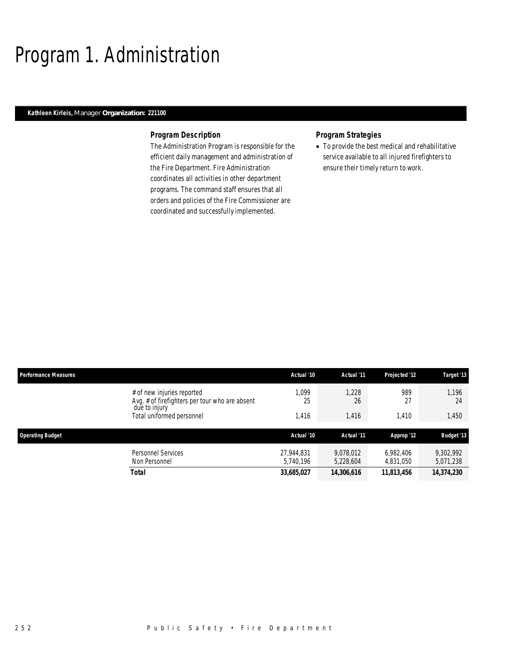## Program 1. Administration

## *Kathleen Kirleis, Manager Organization: 221100*

## *Program Description*

The Administration Program is responsible for the efficient daily management and administration of the Fire Department. Fire Administration coordinates all activities in other department programs. The command staff ensures that all orders and policies of the Fire Commissioner are coordinated and successfully implemented.

### *Program Strategies*

• To provide the best medical and rehabilitative service available to all injured firefighters to ensure their timely return to work.

| <b>Performance Measures</b>                                                                   | Actual '10              | Actual '11             | Projected '12          | Target '13             |
|-----------------------------------------------------------------------------------------------|-------------------------|------------------------|------------------------|------------------------|
| # of new injuries reported<br>Avg. # of firefighters per tour who are absent<br>due to injury | .099<br>25              | 1,228<br>26            | 989<br>27              | 1.196<br>24            |
| Total uniformed personnel                                                                     | ,416                    | 1,416                  | 1.410                  | 1,450                  |
| <b>Operating Budget</b>                                                                       | Actual '10              | Actual '11             | Approp '12             | <b>Budget '13</b>      |
| Personnel Services<br>Non Personnel                                                           | 27.944.831<br>5,740,196 | 9.078.012<br>5,228,604 | 6,982,406<br>4,831,050 | 9,302,992<br>5,071,238 |
| <b>Total</b>                                                                                  | 33,685,027              | 14,306,616             | 11,813,456             | 14,374,230             |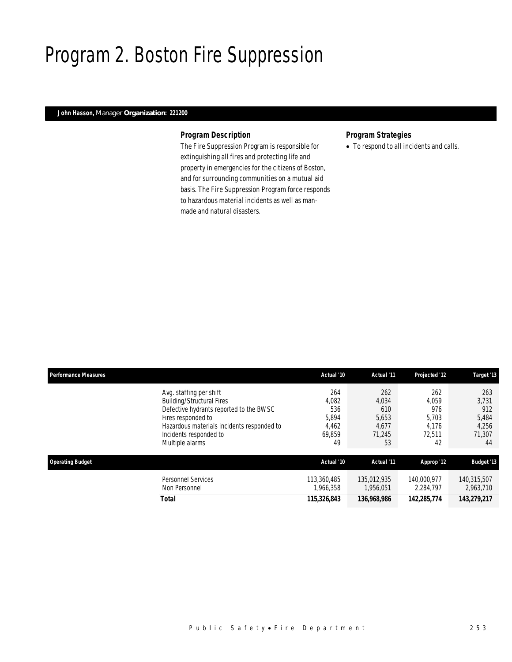## Program 2. Boston Fire Suppression

## *John Hasson, Manager Organization: 221200*

## *Program Description*

The Fire Suppression Program is responsible for extinguishing all fires and protecting life and property in emergencies for the citizens of Boston, and for surrounding communities on a mutual aid basis. The Fire Suppression Program force responds to hazardous material incidents as well as manmade and natural disasters.

## *Program Strategies*

• To respond to all incidents and calls.

| <b>Performance Measures</b> |                                                                                                                                                                                                                         | Actual '10                                            | Actual '11                                            | Projected '12                                         | Target '13                                            |
|-----------------------------|-------------------------------------------------------------------------------------------------------------------------------------------------------------------------------------------------------------------------|-------------------------------------------------------|-------------------------------------------------------|-------------------------------------------------------|-------------------------------------------------------|
|                             | Avg. staffing per shift<br><b>Building/Structural Fires</b><br>Defective hydrants reported to the BWSC<br>Fires responded to<br>Hazardous materials incidents responded to<br>Incidents responded to<br>Multiple alarms | 264<br>4,082<br>536<br>5,894<br>4,462<br>69,859<br>49 | 262<br>4,034<br>610<br>5,653<br>4,677<br>71.245<br>53 | 262<br>4.059<br>976<br>5,703<br>4,176<br>72.511<br>42 | 263<br>3.731<br>912<br>5,484<br>4,256<br>71,307<br>44 |
| <b>Operating Budget</b>     |                                                                                                                                                                                                                         | Actual '10                                            | Actual '11                                            | Approp '12                                            | <b>Budget '13</b>                                     |
|                             | Personnel Services<br>Non Personnel                                                                                                                                                                                     | 113,360,485<br>1,966,358                              | 135,012,935<br>1,956,051                              | 140,000,977<br>2,284,797                              | 140.315.507<br>2,963,710                              |
|                             | Total                                                                                                                                                                                                                   | 115,326,843                                           | 136,968,986                                           | 142,285,774                                           | 143,279,217                                           |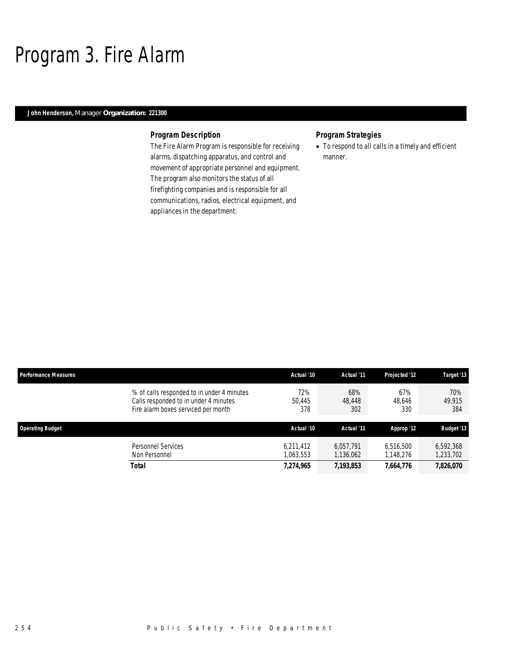## Program 3. Fire Alarm

## *John Henderson, Manager Organization: 221300*

## *Program Description*

The Fire Alarm Program is responsible for receiving alarms, dispatching apparatus, and control and movement of appropriate personnel and equipment. The program also monitors the status of all firefighting companies and is responsible for all communications, radios, electrical equipment, and appliances in the department.

## *Program Strategies*

• To respond to all calls in a timely and efficient manner.

| <b>Performance Measures</b> |                                                                                                                            | Actual '10             | Actual '11             | Projected '12          | Target '13             |
|-----------------------------|----------------------------------------------------------------------------------------------------------------------------|------------------------|------------------------|------------------------|------------------------|
|                             | % of calls responded to in under 4 minutes<br>Calls responded to in under 4 minutes<br>Fire alarm boxes serviced per month | 72%<br>50.445<br>378   | 68%<br>48,448<br>302   | 67%<br>48.646<br>330   | 70%<br>49.915<br>384   |
| <b>Operating Budget</b>     |                                                                                                                            | Actual '10             | Actual '11             | Approp '12             | <b>Budget '13</b>      |
|                             | Personnel Services<br>Non Personnel                                                                                        | 6,211,412<br>1.063.553 | 6.057.791<br>1,136,062 | 6,516,500<br>1,148,276 | 6,592,368<br>1,233,702 |
|                             | <b>Total</b>                                                                                                               | 7,274,965              | 7,193,853              | 7,664,776              | 7,826,070              |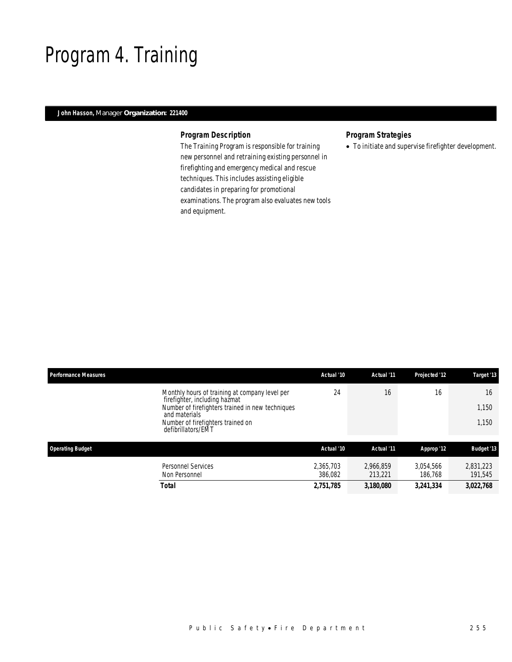## Program 4. Training

## *John Hasson, Manager Organization: 221400*

## *Program Description*

The Training Program is responsible for training new personnel and retraining existing personnel in firefighting and emergency medical and rescue techniques. This includes assisting eligible candidates in preparing for promotional examinations. The program also evaluates new tools and equipment.

## *Program Strategies*

• To initiate and supervise firefighter development.

| <b>Performance Measures</b>                                                                                                                                                                                     | Actual '10           | Actual '11           | Projected '12        | Target '13           |
|-----------------------------------------------------------------------------------------------------------------------------------------------------------------------------------------------------------------|----------------------|----------------------|----------------------|----------------------|
| Monthly hours of training at company level per<br>firefighter, including hazmat<br>Number of firefighters trained in new techniques<br>and materials<br>Number of firefighters trained on<br>defibrillators/EMT | 24                   | 16                   | 16                   | 16<br>1,150<br>1.150 |
| <b>Operating Budget</b>                                                                                                                                                                                         | Actual '10           | Actual '11           | Approp '12           | <b>Budget '13</b>    |
| <b>Personnel Services</b><br>Non Personnel                                                                                                                                                                      | 2.365.703<br>386.082 | 2.966.859<br>213,221 | 3.054.566<br>186.768 | 2.831.223<br>191.545 |
| Total                                                                                                                                                                                                           | 2,751,785            | 3,180,080            | 3,241,334            | 3,022,768            |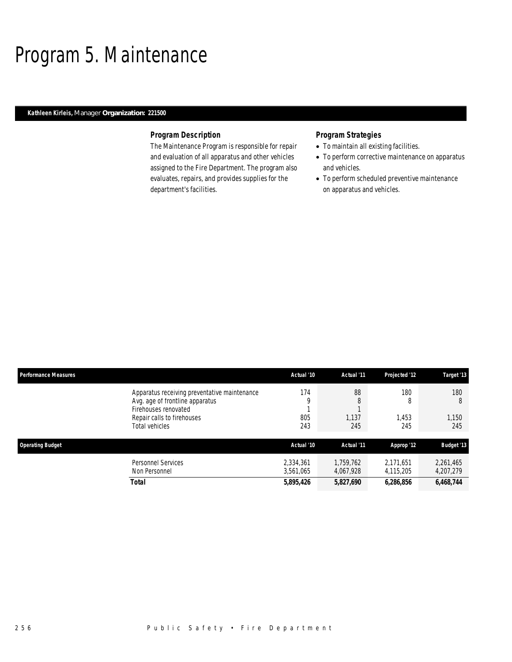## Program 5. Maintenance

## *Kathleen Kirleis, Manager Organization: 221500*

## *Program Description*

The Maintenance Program is responsible for repair and evaluation of all apparatus and other vehicles assigned to the Fire Department. The program also evaluates, repairs, and provides supplies for the department's facilities.

- To maintain all existing facilities.
- To perform corrective maintenance on apparatus and vehicles.
- To perform scheduled preventive maintenance on apparatus and vehicles.

| <b>Performance Measures</b>                  | Actual '10 | Actual '11 | Projected '12 | Target '13        |
|----------------------------------------------|------------|------------|---------------|-------------------|
| Apparatus receiving preventative maintenance | 174        | 88         | 180           | 180               |
| Avg. age of frontline apparatus              | C          | 8          | 8             | 8                 |
| Firehouses renovated                         |            |            |               |                   |
| Repair calls to firehouses                   | 805        | 1,137      | 1.453         | 1.150             |
| Total vehicles                               | 243        | 245        | 245           | 245               |
| <b>Operating Budget</b>                      | Actual '10 | Actual '11 | Approp '12    | <b>Budget '13</b> |
| <b>Personnel Services</b>                    | 2,334,361  | 1,759,762  | 2,171,651     | 2,261,465         |
| Non Personnel                                | 3,561,065  | 4,067,928  | 4,115,205     | 4,207,279         |
| Total                                        | 5,895,426  | 5,827,690  | 6,286,856     | 6,468,744         |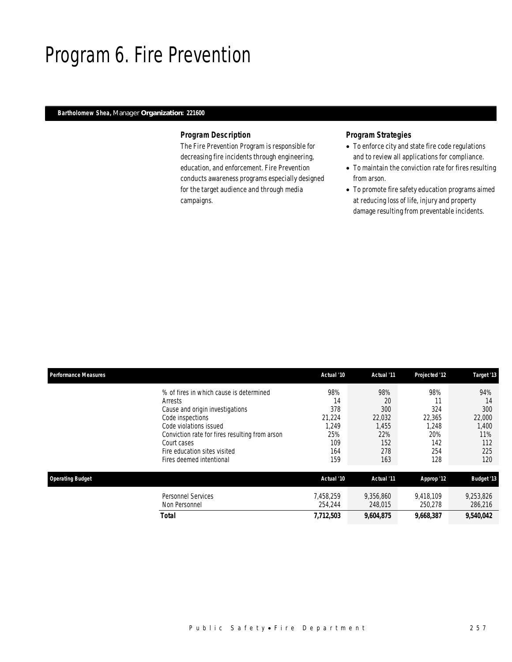## Program 6. Fire Prevention

## *Bartholomew Shea, Manager Organization: 221600*

### *Program Description*

The Fire Prevention Program is responsible for decreasing fire incidents through engineering, education, and enforcement. Fire Prevention conducts awareness programs especially designed for the target audience and through media campaigns.

- To enforce city and state fire code regulations and to review all applications for compliance.
- To maintain the conviction rate for fires resulting from arson.
- To promote fire safety education programs aimed at reducing loss of life, injury and property damage resulting from preventable incidents.

|                                                                                                                                                                                                                                                                  | Actual '10                                                      | Actual '11                                                      | Projected '12                                             | Target '13                                                      |
|------------------------------------------------------------------------------------------------------------------------------------------------------------------------------------------------------------------------------------------------------------------|-----------------------------------------------------------------|-----------------------------------------------------------------|-----------------------------------------------------------|-----------------------------------------------------------------|
| % of fires in which cause is determined<br>Arrests<br>Cause and origin investigations<br>Code inspections<br>Code violations issued<br>Conviction rate for fires resulting from arson<br>Court cases<br>Fire education sites visited<br>Fires deemed intentional | 98%<br>14<br>378<br>21,224<br>1,249<br>25%<br>109<br>164<br>159 | 98%<br>20<br>300<br>22,032<br>1,455<br>22%<br>152<br>278<br>163 | 98%<br>324<br>22,365<br>1,248<br>20%<br>142<br>254<br>128 | 94%<br>14<br>300<br>22,000<br>1,400<br>11%<br>112<br>225<br>120 |
|                                                                                                                                                                                                                                                                  | Actual '10                                                      | Actual '11                                                      | Approp '12                                                | <b>Budget '13</b>                                               |
| <b>Personnel Services</b><br>Non Personnel<br>Total                                                                                                                                                                                                              | 7,458,259<br>254,244                                            | 9,356,860<br>248,015                                            | 9,418,109<br>250,278                                      | 9,253,826<br>286,216<br>9,540,042                               |
|                                                                                                                                                                                                                                                                  |                                                                 | 7,712,503                                                       | 9,604,875                                                 | 9,668,387                                                       |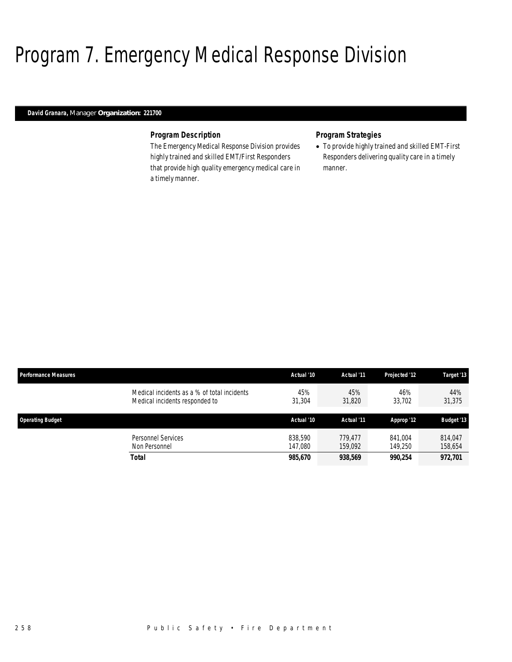## Program 7. Emergency Medical Response Division

## *David Granara, Manager Organization: 221700*

#### *Program Description*

The Emergency Medical Response Division provides highly trained and skilled EMT/First Responders that provide high quality emergency medical care in a timely manner.

### *Program Strategies*

• To provide highly trained and skilled EMT-First Responders delivering quality care in a timely manner.

| <b>Performance Measures</b>                                                   | Actual '10         | Actual '11         | Projected '12      | Target '13         |
|-------------------------------------------------------------------------------|--------------------|--------------------|--------------------|--------------------|
| Medical incidents as a % of total incidents<br>Medical incidents responded to | 45%<br>31,304      | 45%<br>31,820      | 46%<br>33,702      | 44%<br>31,375      |
| <b>Operating Budget</b>                                                       | Actual '10         | Actual '11         | Approp '12         | <b>Budget '13</b>  |
| Personnel Services<br>Non Personnel                                           | 838.590<br>147.080 | 779.477<br>159,092 | 841.004<br>149.250 | 814.047<br>158,654 |
| Total                                                                         | 985,670            | 938,569            | 990.254            | 972,701            |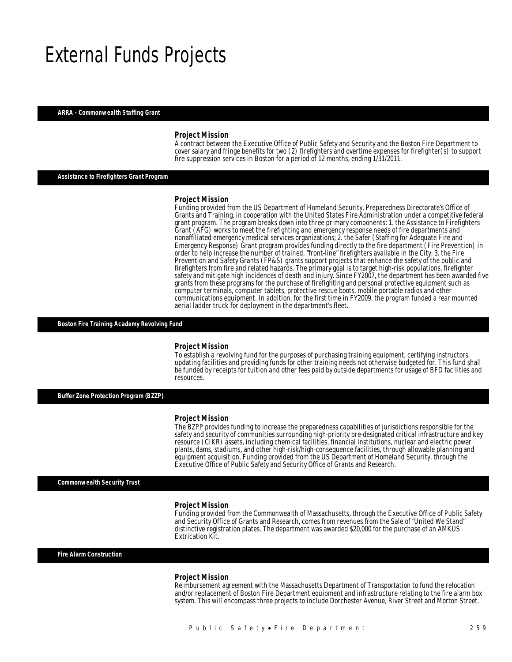## External Funds Projects

#### *ARRA - Commonwealth Staffing Grant*

#### *Project Mission*

A contract between the Executive Office of Public Safety and Security and the Boston Fire Department to cover salary and fringe benefits for two (2) firefighters and overtime expenses for firefighter(s) to support fire suppression services in Boston for a period of 12 months, ending 1/31/2011.

### *Assistance to Firefighters Grant Program*

#### *Project Mission*

Funding provided from the US Department of Homeland Security, Preparedness Directorate's Office of Grants and Training, in cooperation with the United States Fire Administration under a competitive federal grant program. The program breaks down into three primary components: 1. the Assistance to Firefighters Grant (AFG) works to meet the firefighting and emergency response needs of fire departments and nonaffiliated emergency medical services organizations; 2. the Safer (Staffing for Adequate Fire and Emergency Response) Grant program provides funding directly to the fire department (Fire Prevention) in order to help increase the number of trained, "front-line" firefighters available in the City; 3. the Fire Prevention and Safety Grants (FP&S) grants support projects that enhance the safety of the public and firefighters from fire and related hazards. The primary goal is to target high-risk populations, firefighter safety and mitigate high incidences of death and injury. Since FY2007, the department has been awarded five grants from these programs for the purchase of firefighting and personal protective equipment such as computer terminals, computer tablets, protective rescue boots, mobile portable radios and other communications equipment. In addition, for the first time in FY2009, the program funded a rear mounted aerial ladder truck for deployment in the department's fleet.

*Boston Fire Training Academy Revolving Fund* 

#### *Project Mission*

To establish a revolving fund for the purposes of purchasing training equipment, certifying instructors, updating facilities and providing funds for other training needs not otherwise budgeted for. This fund shall be funded by receipts for tuition and other fees paid by outside departments for usage of BFD facilities and resources.

*Buffer Zone Protection Program (BZZP)* 

#### *Project Mission*

The BZPP provides funding to increase the preparedness capabilities of jurisdictions responsible for the safety and security of communities surrounding high-priority pre-designated critical infrastructure and key resource (CIKR) assets, including chemical facilities, financial institutions, nuclear and electric power plants, dams, stadiums, and other high-risk/high-consequence facilities, through allowable planning and equipment acquisition. Funding provided from the US Department of Homeland Security, through the Executive Office of Public Safety and Security Office of Grants and Research.

*Commonwealth Security Trust* 

#### *Project Mission*

Funding provided from the Commonwealth of Massachusetts, through the Executive Office of Public Safety and Security Office of Grants and Research, comes from revenues from the Sale of "United We Stand" distinctive registration plates. The department was awarded \$20,000 for the purchase of an AMKUS Extrication Kit.

*Fire Alarm Construction* 

#### *Project Mission*

Reimbursement agreement with the Massachusetts Department of Transportation to fund the relocation and/or replacement of Boston Fire Department equipment and infrastructure relating to the fire alarm box system. This will encompass three projects to include Dorchester Avenue, River Street and Morton Street.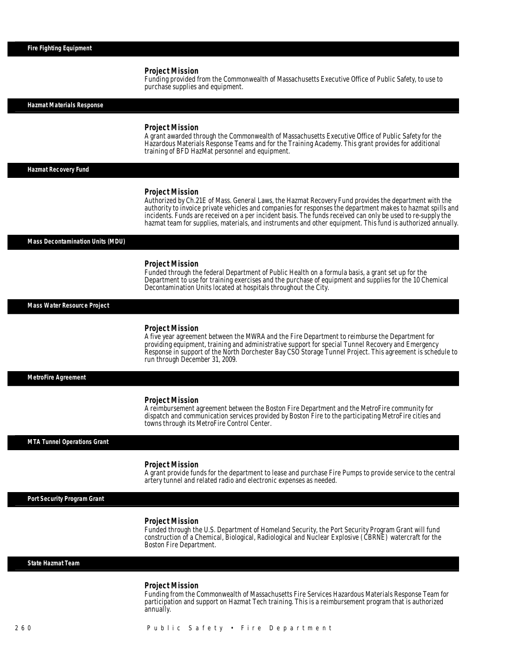Î

Funding provided from the Commonwealth of Massachusetts Executive Office of Public Safety, to use to purchase supplies and equipment.

*Hazmat Materials Response* 

#### *Project Mission*

A grant awarded through the Commonwealth of Massachusetts Executive Office of Public Safety for the Hazardous Materials Response Teams and for the Training Academy. This grant provides for additional training of BFD HazMat personnel and equipment.

*Hazmat Recovery Fund* 

#### *Project Mission*

Authorized by Ch.21E of Mass. General Laws, the Hazmat Recovery Fund provides the department with the authority to invoice private vehicles and companies for responses the department makes to hazmat spills and incidents. Funds are received on a per incident basis. The funds received can only be used to re-supply the hazmat team for supplies, materials, and instruments and other equipment. This fund is authorized annually.

#### *Mass Decontamination Units (MDU)*

#### *Project Mission*

Funded through the federal Department of Public Health on a formula basis, a grant set up for the Department to use for training exercises and the purchase of equipment and supplies for the 10 Chemical Decontamination Units located at hospitals throughout the City.

*Mass Water Resource Project* 

#### *Project Mission*

A five year agreement between the MWRA and the Fire Department to reimburse the Department for providing equipment, training and administrative support for special Tunnel Recovery and Emergency Response in support of the North Dorchester Bay CSO Storage Tunnel Project. This agreement is schedule to run through December 31, 2009.

*MetroFire Agreement* 

#### *Project Mission*

A reimbursement agreement between the Boston Fire Department and the MetroFire community for dispatch and communication services provided by Boston Fire to the participating MetroFire cities and towns through its MetroFire Control Center.

*MTA Tunnel Operations Grant* 

#### *Project Mission*

A grant provide funds for the department to lease and purchase Fire Pumps to provide service to the central artery tunnel and related radio and electronic expenses as needed.

*Port Security Program Grant* 

#### *Project Mission*

Funded through the U.S. Department of Homeland Security, the Port Security Program Grant will fund construction of a Chemical, Biological, Radiological and Nuclear Explosive (CBRNE) watercraft for the Boston Fire Department.

#### *State Hazmat Team*

#### *Project Mission*

Funding from the Commonwealth of Massachusetts Fire Services Hazardous Materials Response Team for participation and support on Hazmat Tech training. This is a reimbursement program that is authorized annually.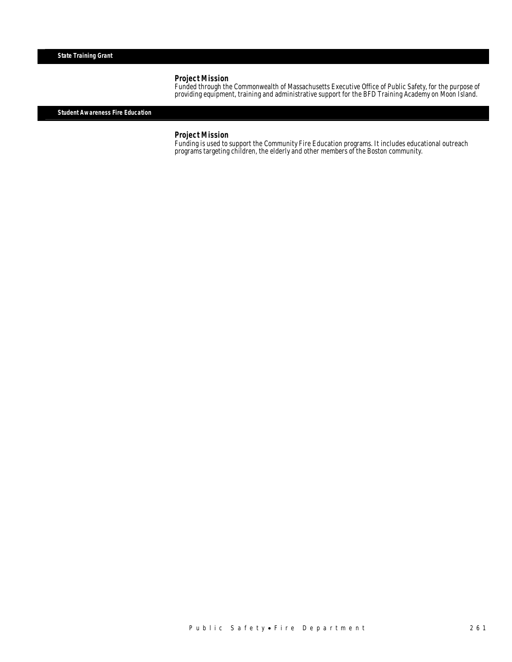Funded through the Commonwealth of Massachusetts Executive Office of Public Safety, for the purpose of providing equipment, training and administrative support for the BFD Training Academy on Moon Island. Î

*Student Awareness Fire Education* 

*Project Mission*<br>Funding is used to support the Community Fire Education programs. It includes educational outreach programs targeting children, the elderly and other members of the Boston community.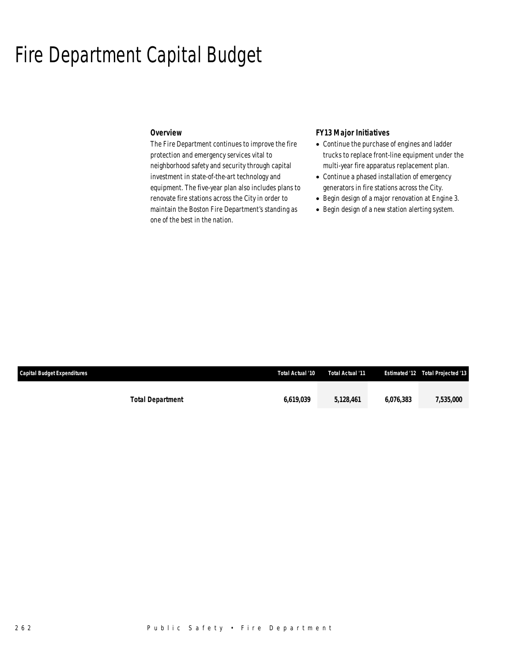## Fire Department Capital Budget

## *Overview*

The Fire Department continues to improve the fire protection and emergency services vital to neighborhood safety and security through capital investment in state-of-the-art technology and equipment. The five-year plan also includes plans to renovate fire stations across the City in order to maintain the Boston Fire Department's standing as one of the best in the nation.

## *FY13 Major Initiatives*

- Continue the purchase of engines and ladder trucks to replace front-line equipment under the multi-year fire apparatus replacement plan.
- Continue a phased installation of emergency generators in fire stations across the City.
- Begin design of a major renovation at Engine 3.
- Begin design of a new station alerting system.

| Capital Budget Expenditures | Total Actual '10 | Total Actual '11 |           | <b>Estimated '12 Total Projected '13</b> |
|-----------------------------|------------------|------------------|-----------|------------------------------------------|
|                             |                  |                  |           |                                          |
| <b>Total Department</b>     | 6.619.039        | 5.128.461        | 6.076.383 | 7,535,000                                |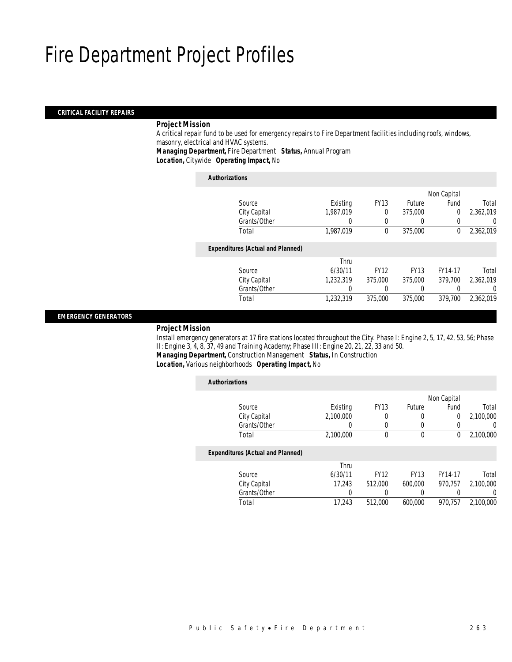### *CRITICAL FACILITY REPAIRS*

#### *Project Mission*

 A critical repair fund to be used for emergency repairs to Fire Department facilities including roofs, windows, masonry, electrical and HVAC systems. *Managing Department,* Fire Department *Status,* Annual Program

*Location,* Citywide *Operating Impact,* No

| <b>Authorizations</b>                    |           |             |             |             |           |
|------------------------------------------|-----------|-------------|-------------|-------------|-----------|
|                                          |           |             |             | Non Capital |           |
| Source                                   | Existing  | <b>FY13</b> | Future      | Fund        | Total     |
| City Capital                             | 1.987.019 | 0           | 375,000     | 0           | 2.362.019 |
| Grants/Other                             | 0         | 0           | 0           |             | 0         |
| Total                                    | 1,987,019 | 0           | 375,000     | 0           | 2,362,019 |
| <b>Expenditures (Actual and Planned)</b> |           |             |             |             |           |
|                                          | Thru      |             |             |             |           |
| Source                                   | 6/30/11   | <b>FY12</b> | <b>FY13</b> | FY14-17     | Total     |
| City Capital                             | 1.232.319 | 375,000     | 375,000     | 379.700     | 2.362.019 |
| Grants/Other                             | 0         |             | 0           |             | 0         |
| Total                                    | 1.232.319 | 375,000     | 375,000     | 379.700     | 2.362.019 |
|                                          |           |             |             |             |           |

### *EMERGENCY GENERATORS*

#### *Project Mission*

 Install emergency generators at 17 fire stations located throughout the City. Phase I: Engine 2, 5, 17, 42, 53, 56; Phase II: Engine 3, 4, 8, 37, 49 and Training Academy; Phase III: Engine 20, 21, 22, 33 and 50. *Managing Department,* Construction Management *Status,* In Construction

*Location,* Various neighborhoods *Operating Impact,* No

| <b>Authorizations</b>                    |           |             |               |                |           |
|------------------------------------------|-----------|-------------|---------------|----------------|-----------|
|                                          |           |             |               | Non Capital    |           |
| Source                                   | Existing  | <b>FY13</b> | <b>Future</b> | Fund           | Total     |
| City Capital                             | 2.100.000 | 0           | 0             | $\overline{0}$ | 2.100.000 |
| Grants/Other                             | 0         | $\Omega$    | 0             |                | $\Omega$  |
| Total                                    | 2,100,000 | 0           | $\mathbf 0$   | $\Omega$       | 2,100,000 |
| <b>Expenditures (Actual and Planned)</b> |           |             |               |                |           |
|                                          | Thru      |             |               |                |           |
| Source                                   | 6/30/11   | <b>FY12</b> | <b>FY13</b>   | FY14-17        | Total     |
| City Capital                             | 17.243    | 512,000     | 600,000       | 970.757        | 2,100,000 |
| Grants/Other                             | 0         |             | 0             |                | $\Omega$  |
| Total                                    | 17.243    | 512,000     | 600.000       | 970.757        | 2.100.000 |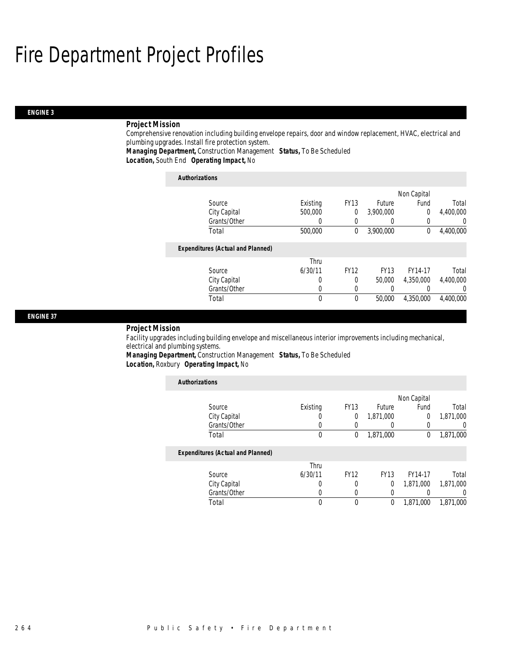## *ENGINE 3*

## *Project Mission*

Comprehensive renovation including building envelope repairs, door and window replacement, HVAC, electrical and plumbing upgrades. Install fire protection system.

*Managing Department,* Construction Management *Status,* To Be Scheduled*Location,* South End *Operating Impact,* No

| <b>Authorizations</b>                    |          |             |               |             |                  |
|------------------------------------------|----------|-------------|---------------|-------------|------------------|
|                                          |          |             |               | Non Capital |                  |
| Source                                   | Existing | <b>FY13</b> | <b>Future</b> | Fund        | Total            |
| City Capital                             | 500,000  | $\Omega$    | 3,900,000     | 0           | 4,400,000        |
| Grants/Other                             | 0        |             |               | 0           | $\left( \right)$ |
| Total                                    | 500,000  | 0           | 3,900,000     | 0           | 4,400,000        |
| <b>Expenditures (Actual and Planned)</b> |          |             |               |             |                  |
|                                          | Thru     |             |               |             |                  |
| Source                                   | 6/30/11  | <b>FY12</b> | <b>FY13</b>   | FY14-17     | Total            |
| City Capital                             | 0        | 0           | 50,000        | 4,350,000   | 4,400,000        |
| Grants/Other                             | 0        |             |               |             | $\left( \right)$ |
| Total                                    | 0        | 0           | 50,000        | 4.350.000   | 4,400,000        |

#### *ENGINE 37*

#### *Project Mission*

Facility upgrades including building envelope and miscellaneous interior improvements including mechanical, electrical and plumbing systems.

*Managing Department,* Construction Management *Status,* To Be Scheduled*Location,* Roxbury *Operating Impact,* No

| <b>Authorizations</b>                    |          |             |             |             |           |
|------------------------------------------|----------|-------------|-------------|-------------|-----------|
|                                          |          |             |             | Non Capital |           |
| Source                                   | Existing | <b>FY13</b> | Future      | Fund        | Total     |
| City Capital                             | O        | 0           | 1,871,000   | $\theta$    | 1,871,000 |
| Grants/Other                             |          |             |             | 0           | 0         |
| Total                                    | 0        | 0           | 1,871,000   | 0           | 1,871,000 |
| <b>Expenditures (Actual and Planned)</b> |          |             |             |             |           |
|                                          | Thru     |             |             |             |           |
| Source                                   | 6/30/11  | <b>FY12</b> | <b>FY13</b> | FY14-17     | Total     |
| City Capital                             | 0        | 0           | $\Omega$    | 1.871.000   | 1,871,000 |
| Grants/Other                             | 0        | $\left($    |             |             | 0         |
| Total                                    | 0        | $\theta$    | 0           | 1.871.000   | 1.871.000 |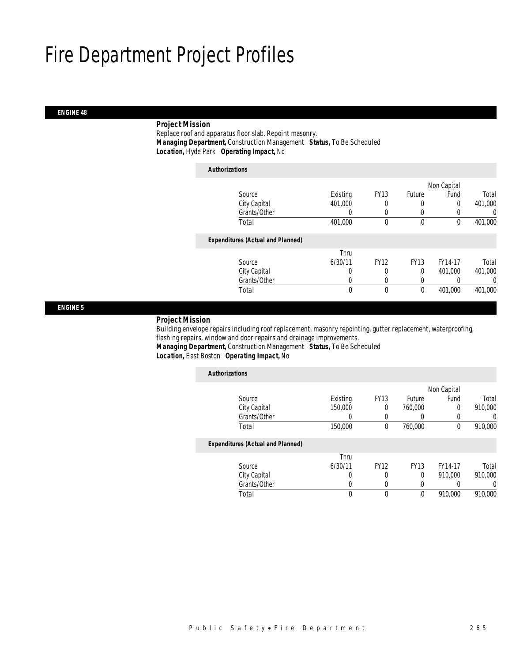### *ENGINE 48*

## *Project Mission*

 Replace roof and apparatus floor slab. Repoint masonry. *Managing Department,* Construction Management *Status,* To Be Scheduled*Location,* Hyde Park *Operating Impact,* No

| <b>Authorizations</b> |                                          |          |             |             |             |         |
|-----------------------|------------------------------------------|----------|-------------|-------------|-------------|---------|
|                       |                                          |          |             |             | Non Capital |         |
|                       | Source                                   | Existing | <b>FY13</b> | Future      | Fund        | Total   |
|                       | City Capital                             | 401,000  | 0           | $\left($    | 0           | 401,000 |
|                       | Grants/Other                             | 0        | 0           | $\left($    |             | 0       |
|                       | Total                                    | 401,000  | $\theta$    | $\theta$    | $\theta$    | 401,000 |
|                       | <b>Expenditures (Actual and Planned)</b> |          |             |             |             |         |
|                       |                                          | Thru     |             |             |             |         |
|                       | Source                                   | 6/30/11  | <b>FY12</b> | <b>FY13</b> | FY14-17     | Total   |
|                       | City Capital                             | 0        | 0           | $\Omega$    | 401.000     | 401,000 |
|                       | Grants/Other                             | 0        | 0           | $\left($    |             | 0       |
|                       | Total                                    | 0        | $\mathbf 0$ | $\mathbf 0$ | 401,000     | 401,000 |

*ENGINE 5* 

#### *Project Mission*

 Building envelope repairs including roof replacement, masonry repointing, gutter replacement, waterproofing, flashing repairs, window and door repairs and drainage improvements. *Managing Department,* Construction Management *Status,* To Be Scheduled

*Location,* East Boston *Operating Impact,* No

| <b>Authorizations</b>                    |          |             |               |             |         |
|------------------------------------------|----------|-------------|---------------|-------------|---------|
|                                          |          |             |               | Non Capital |         |
| Source                                   | Existing | <b>FY13</b> | <b>Future</b> | Fund        | Total   |
| City Capital                             | 150,000  | 0           | 760,000       | 0           | 910.000 |
| Grants/Other                             |          |             |               |             | 0       |
| Total                                    | 150,000  | 0           | 760,000       | 0           | 910,000 |
| <b>Expenditures (Actual and Planned)</b> |          |             |               |             |         |
|                                          | Thru     |             |               |             |         |
| Source                                   | 6/30/11  | <b>FY12</b> | <b>FY13</b>   | FY14-17     | Total   |
| City Capital                             | 0        | 0           | 0             | 910.000     | 910,000 |
| Grants/Other                             | 0        | 0           | 0             |             | 0       |
| Total                                    | 0        | 0           | 0             | 910.000     | 910.000 |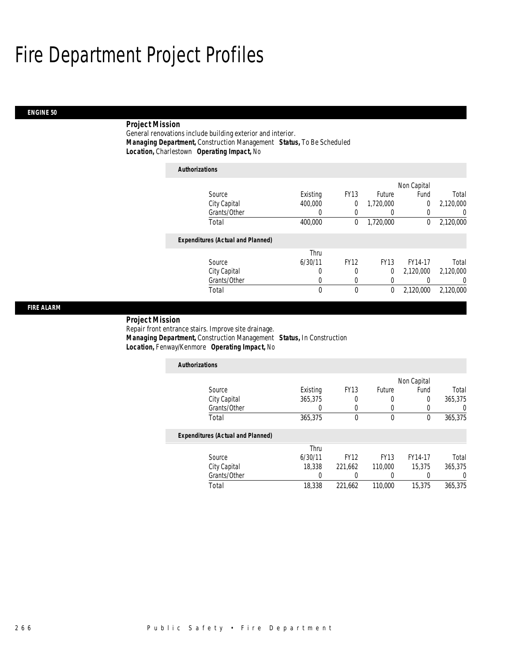### *ENGINE 50*

## *Project Mission*

General renovations include building exterior and interior. *Managing Department,* Construction Management *Status,* To Be Scheduled*Location,* Charlestown *Operating Impact,* No

| <b>Authorizations</b> |                                          |          |             |             |                |                |
|-----------------------|------------------------------------------|----------|-------------|-------------|----------------|----------------|
|                       |                                          |          |             |             | Non Capital    |                |
| Source                |                                          | Existing | <b>FY13</b> | Future      | Fund           | Total          |
|                       | City Capital                             | 400,000  | 0           | 1.720.000   | $\overline{0}$ | 2,120,000      |
|                       | Grants/Other                             | 0        | 0           | 0           | 0              | $\overline{0}$ |
| Total                 |                                          | 400,000  | 0           | 1,720,000   | 0              | 2,120,000      |
|                       | <b>Expenditures (Actual and Planned)</b> |          |             |             |                |                |
|                       |                                          | Thru     |             |             |                |                |
| Source                |                                          | 6/30/11  | <b>FY12</b> | <b>FY13</b> | FY14-17        | Total          |
|                       | City Capital                             | 0        | 0           | 0           | 2,120,000      | 2.120.000      |
|                       | Grants/Other                             | 0        | 0           | 0           |                | 0              |
| Total                 |                                          | 0        | 0           | 0           | 2,120,000      | 2,120,000      |

#### *FIRE ALARM*

## *Project Mission*

Repair front entrance stairs. Improve site drainage. *Managing Department,* Construction Management *Status,* In Construction*Location,* Fenway/Kenmore *Operating Impact,* No

| <b>Authorizations</b>                    |          |             |             |             |         |
|------------------------------------------|----------|-------------|-------------|-------------|---------|
|                                          |          |             |             | Non Capital |         |
| Source                                   | Existing | <b>FY13</b> | Future      | Fund        | Total   |
| City Capital                             | 365,375  | 0           | 0           | 0           | 365,375 |
| Grants/Other                             |          | 0           | 0           | 0           |         |
| Total                                    | 365,375  | $\Omega$    | 0           | 0           | 365,375 |
| <b>Expenditures (Actual and Planned)</b> |          |             |             |             |         |
|                                          | Thru     |             |             |             |         |
| Source                                   | 6/30/11  | <b>FY12</b> | <b>FY13</b> | FY14-17     | Total   |
| City Capital                             | 18,338   | 221,662     | 110,000     | 15,375      | 365,375 |
| Grants/Other                             |          |             | 0           |             |         |
| Total                                    | 18,338   | 221,662     | 110,000     | 15,375      | 365.375 |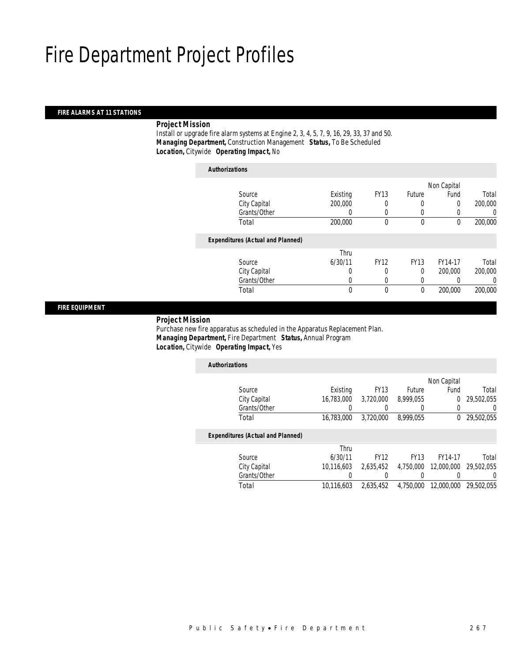## *FIRE ALARMS AT 11 STATIONS*

## *Project Mission*

 Install or upgrade fire alarm systems at Engine 2, 3, 4, 5, 7, 9, 16, 29, 33, 37 and 50. *Managing Department,* Construction Management *Status,* To Be Scheduled*Location,* Citywide *Operating Impact,* No

| <b>Authorizations</b>                    |          |             |             |             |         |
|------------------------------------------|----------|-------------|-------------|-------------|---------|
|                                          |          |             |             | Non Capital |         |
| Source                                   | Existing | <b>FY13</b> | Future      | Fund        | Total   |
| City Capital                             | 200,000  |             | 0           | 0           | 200,000 |
| Grants/Other                             | 0        | 0           | 0           | 0           |         |
| Total                                    | 200,000  | $\theta$    | 0           | 0           | 200,000 |
| <b>Expenditures (Actual and Planned)</b> |          |             |             |             |         |
|                                          | Thru     |             |             |             |         |
| Source                                   | 6/30/11  | <b>FY12</b> | <b>FY13</b> | FY14-17     | Total   |
| City Capital                             | 0        | $\Omega$    | 0           | 200,000     | 200,000 |
| Grants/Other                             | 0        | 0           | 0           | 0           |         |
| Total                                    | 0        | $\theta$    | $\mathbf 0$ | 200,000     | 200,000 |

*FIRE EQUIPMENT* 

#### *Project Mission*

ſ

 Purchase new fire apparatus as scheduled in the Apparatus Replacement Plan. *Managing Department,* Fire Department *Status,* Annual Program*Location,* Citywide *Operating Impact,* Yes

| <b>Authorizations</b>                    |            |             |             |             |            |
|------------------------------------------|------------|-------------|-------------|-------------|------------|
|                                          |            |             |             | Non Capital |            |
| Source                                   | Existing   | <b>FY13</b> | Future      | Fund        | Total      |
| City Capital                             | 16.783.000 | 3.720.000   | 8.999.055   | 0           | 29,502,055 |
| Grants/Other                             |            |             | 0           | 0           | 0          |
| Total                                    | 16,783,000 | 3.720.000   | 8.999.055   | 0           | 29,502,055 |
| <b>Expenditures (Actual and Planned)</b> |            |             |             |             |            |
|                                          | Thru       |             |             |             |            |
| Source                                   | 6/30/11    | <b>FY12</b> | <b>FY13</b> | FY14-17     | Total      |
| City Capital                             | 10.116.603 | 2.635.452   | 4.750.000   | 12,000,000  | 29.502.055 |
| Grants/Other                             |            |             |             |             | $\left($   |
| Total                                    | 10.116.603 | 2.635.452   | 4.750.000   | 12,000,000  | 29,502,055 |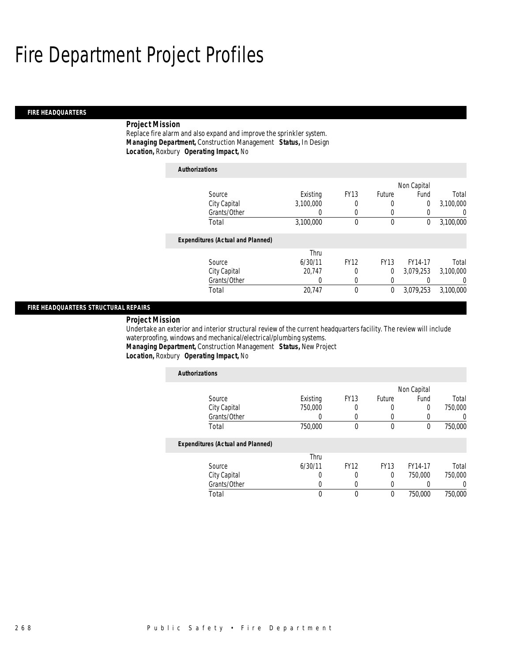#### *FIRE HEADQUARTERS*

## *Project Mission*

Replace fire alarm and also expand and improve the sprinkler system. *Managing Department,* Construction Management *Status,* In Design*Location,* Roxbury *Operating Impact,* No

| <b>Authorizations</b> |                                          |           |             |             |             |           |
|-----------------------|------------------------------------------|-----------|-------------|-------------|-------------|-----------|
|                       |                                          |           |             |             | Non Capital |           |
| Source                |                                          | Existing  | <b>FY13</b> | Future      | Fund        | Total     |
|                       | City Capital                             | 3.100.000 | 0           | 0           | 0           | 3,100,000 |
|                       | Grants/Other                             | 0         | $\left($    | 0           |             | $\Omega$  |
| Total                 |                                          | 3,100,000 | 0           | 0           | 0           | 3,100,000 |
|                       | <b>Expenditures (Actual and Planned)</b> |           |             |             |             |           |
|                       |                                          | Thru      |             |             |             |           |
| Source                |                                          | 6/30/11   | <b>FY12</b> | <b>FY13</b> | FY14-17     | Total     |
|                       | City Capital                             | 20.747    | $\Omega$    | 0           | 3,079,253   | 3,100,000 |
|                       | Grants/Other                             | 0         | 0           | 0           |             | 0         |
| Total                 |                                          | 20.747    | $\theta$    | 0           | 3,079,253   | 3,100,000 |

#### *FIRE HEADQUARTERS STRUCTURAL REPAIRS*

*Project Mission* 

Undertake an exterior and interior structural review of the current headquarters facility. The review will include waterproofing, windows and mechanical/electrical/plumbing systems.

*Managing Department,* Construction Management *Status,* New Project

## *Location,* Roxbury *Operating Impact,* No

| <b>Authorizations</b>                    |          |             |               |             |         |
|------------------------------------------|----------|-------------|---------------|-------------|---------|
|                                          |          |             |               | Non Capital |         |
| Source                                   | Existing | <b>FY13</b> | <b>Future</b> | Fund        | Total   |
| City Capital                             | 750,000  | 0           | 0             | $\Omega$    | 750,000 |
| Grants/Other                             | 0        | 0           | 0             |             |         |
| Total                                    | 750,000  | 0           | $\mathbf 0$   | $\theta$    | 750,000 |
| <b>Expenditures (Actual and Planned)</b> |          |             |               |             |         |
|                                          | Thru     |             |               |             |         |
| Source                                   | 6/30/11  | <b>FY12</b> | <b>FY13</b>   | FY14-17     | Total   |
| City Capital                             | U        |             | $\Omega$      | 750,000     | 750,000 |
| Grants/Other                             | 0        | $\theta$    | $\left($      |             | 0       |
| Total                                    | 0        | 0           | 0             | 750,000     | 750,000 |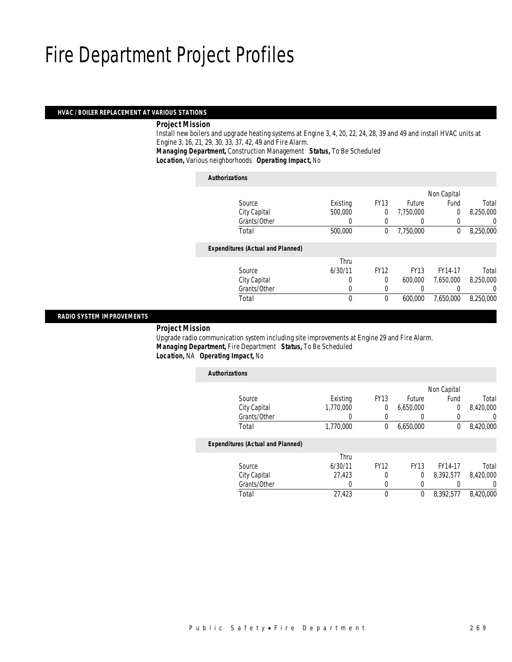#### *HVAC / BOILER REPLACEMENT AT VARIOUS STATIONS*

### *Project Mission*

 Install new boilers and upgrade heating systems at Engine 3, 4, 20, 22, 24, 28, 39 and 49 and install HVAC units at Engine 3, 16, 21, 29, 30, 33, 37, 42, 49 and Fire Alarm. *Managing Department,* Construction Management *Status,* To Be Scheduled

*Location,* Various neighborhoods *Operating Impact,* No

| <b>Authorizations</b>                    |          |             |               |             |           |
|------------------------------------------|----------|-------------|---------------|-------------|-----------|
|                                          |          |             |               | Non Capital |           |
| Source                                   | Existing | <b>FY13</b> | <b>Future</b> | Fund        | Total     |
| City Capital                             | 500,000  | 0           | 7,750,000     | $\Omega$    | 8,250,000 |
| Grants/Other                             | 0        | $\left($    |               | 0           | 0         |
| Total                                    | 500,000  | 0           | 7,750,000     | 0           | 8,250,000 |
| <b>Expenditures (Actual and Planned)</b> |          |             |               |             |           |
|                                          | Thru     |             |               |             |           |
| Source                                   | 6/30/11  | <b>FY12</b> | <b>FY13</b>   | FY14-17     | Total     |
| City Capital                             | 0        | $\theta$    | 600,000       | 7.650.000   | 8,250,000 |
| Grants/Other                             | 0        | 0           |               |             | 0         |
| Total                                    | 0        | $\theta$    | 600,000       | 7,650,000   | 8,250,000 |
|                                          |          |             |               |             |           |

### *RADIO SYSTEM IMPROVEMENTS*

*Project Mission*

 Upgrade radio communication system including site improvements at Engine 29 and Fire Alarm. *Managing Department,* Fire Department *Status,* To Be Scheduled*Location,* NA *Operating Impact,* No

| <b>Authorizations</b>                    |           |             |             |             |           |
|------------------------------------------|-----------|-------------|-------------|-------------|-----------|
|                                          |           |             |             | Non Capital |           |
| Source                                   | Existing  | <b>FY13</b> | Future      | Fund        | Total     |
| City Capital                             | 1,770,000 | 0           | 6,650,000   | $\theta$    | 8,420,000 |
| Grants/Other                             | 0         | 0           | 0           |             | 0         |
| Total                                    | 1,770,000 | 0           | 6.650.000   | $\Omega$    | 8,420,000 |
| <b>Expenditures (Actual and Planned)</b> |           |             |             |             |           |
|                                          | Thru      |             |             |             |           |
| Source                                   | 6/30/11   | <b>FY12</b> | <b>FY13</b> | FY14-17     | Total     |
| City Capital                             | 27.423    | $\Omega$    | 0           | 8.392.577   | 8.420.000 |
| Grants/Other                             | 0         | 0           | 0           |             | $\Omega$  |
| Total                                    | 27,423    | $\Omega$    | 0           | 8.392.577   | 8.420.000 |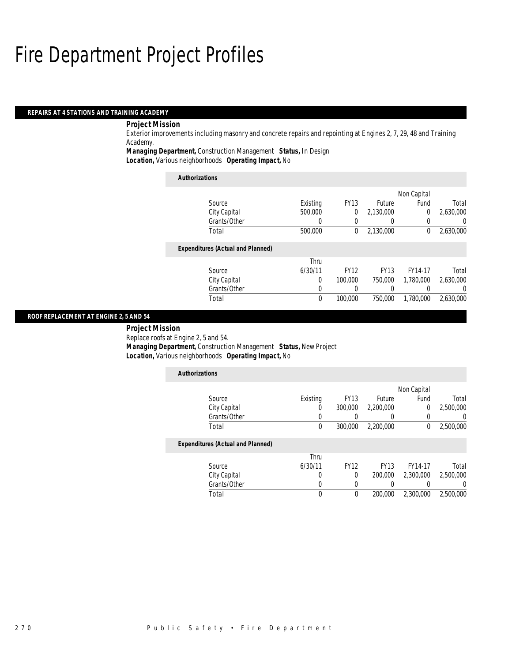#### *REPAIRS AT 4 STATIONS AND TRAINING ACADEMY*

## *Project Mission*

Exterior improvements including masonry and concrete repairs and repointing at Engines 2, 7, 29, 48 and Training Academy.

*Managing Department,* Construction Management *Status,* In Design

*Location,* Various neighborhoods *Operating Impact,* No

| <b>Authorizations</b>                    |          |             |             |             |           |
|------------------------------------------|----------|-------------|-------------|-------------|-----------|
|                                          |          |             |             | Non Capital |           |
| Source                                   | Existing | <b>FY13</b> | Future      | Fund        | Total     |
| City Capital                             | 500,000  | $\Omega$    | 2,130,000   | 0           | 2,630,000 |
| Grants/Other                             | 0        | 0           |             | 0           | 0         |
| Total                                    | 500,000  | 0           | 2,130,000   | 0           | 2,630,000 |
| <b>Expenditures (Actual and Planned)</b> |          |             |             |             |           |
|                                          | Thru     |             |             |             |           |
| Source                                   | 6/30/11  | <b>FY12</b> | <b>FY13</b> | FY14-17     | Total     |
| City Capital                             | 0        | 100,000     | 750,000     | 1.780.000   | 2,630,000 |
| Grants/Other                             | 0        |             | 0           | 0           | 0         |
| Total                                    | $\theta$ | 100,000     | 750,000     | 1.780.000   | 2.630.000 |

## *ROOF REPLACEMENT AT ENGINE 2, 5 AND 54*

 *Project Mission* Replace roofs at Engine 2, 5 and 54.*Managing Department,* Construction Management *Status,* New Project

|                       | Location, Various neighborhoods Operating Impact, No |  |
|-----------------------|------------------------------------------------------|--|
| <i>Authorizations</i> |                                                      |  |

|                                          |          |             |             | Non Capital |           |
|------------------------------------------|----------|-------------|-------------|-------------|-----------|
| Source                                   | Existing | <b>FY13</b> | Future      | Fund        | Total     |
| City Capital                             | U        | 300,000     | 2,200,000   | 0           | 2,500,000 |
| Grants/Other                             |          |             |             |             | 0         |
| Total                                    | 0        | 300,000     | 2,200,000   | 0           | 2,500,000 |
| <b>Expenditures (Actual and Planned)</b> |          |             |             |             |           |
|                                          | Thru     |             |             |             |           |
| Source                                   | 6/30/11  | <b>FY12</b> | <b>FY13</b> | FY14-17     | Total     |
| City Capital                             | 0        | 0           | 200,000     | 2,300,000   | 2,500,000 |
| Grants/Other                             | 0        | 0           |             |             |           |
| Total                                    | 0        | 0           | 200,000     | 2,300,000   | 2,500,000 |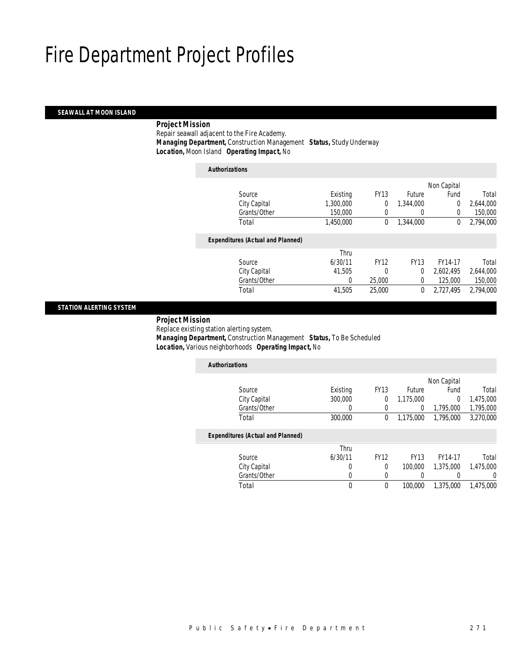## *SEAWALL AT MOON ISLAND*

## *Project Mission*

 Repair seawall adjacent to the Fire Academy. *Managing Department,* Construction Management *Status,* Study Underway*Location,* Moon Island *Operating Impact,* No

| <b>Authorizations</b>                    |           |             |                  |                |           |
|------------------------------------------|-----------|-------------|------------------|----------------|-----------|
|                                          |           |             |                  | Non Capital    |           |
| Source                                   | Existing  | <b>FY13</b> | <b>Future</b>    | Fund           | Total     |
| City Capital                             | 1,300,000 | 0           | 1.344.000        | $\overline{0}$ | 2,644,000 |
| Grants/Other                             | 150,000   | 0           | $\left( \right)$ | $\Omega$       | 150,000   |
| Total                                    | 1,450,000 | 0           | 1,344,000        | 0              | 2,794,000 |
| <b>Expenditures (Actual and Planned)</b> |           |             |                  |                |           |
|                                          | Thru      |             |                  |                |           |
| Source                                   | 6/30/11   | <b>FY12</b> | <b>FY13</b>      | FY14-17        | Total     |
| City Capital                             | 41.505    | 0           | $\theta$         | 2.602.495      | 2,644,000 |
| Grants/Other                             | 0         | 25,000      | 0                | 125,000        | 150,000   |
| Total                                    | 41,505    | 25,000      | 0                | 2,727,495      | 2,794,000 |
|                                          |           |             |                  |                |           |

## *STATION ALERTING SYSTEM*

## *Project Mission*

Replace existing station alerting system.

*Managing Department,* Construction Management *Status,* To Be Scheduled

*Location,* Various neighborhoods *Operating Impact,* No

| <b>Authorizations</b>                    |              |             |               |             |           |
|------------------------------------------|--------------|-------------|---------------|-------------|-----------|
|                                          |              |             |               | Non Capital |           |
| Source                                   | Existing     | <b>FY13</b> | <b>Future</b> | Fund        | Total     |
| City Capital                             | 300,000      | 0           | 1,175,000     | $\Omega$    | 1,475,000 |
| Grants/Other                             | 0            | 0           | 0             | 1,795,000   | 1,795,000 |
| Total                                    | 300,000      | 0           | 1.175.000     | 1.795.000   | 3,270,000 |
| <b>Expenditures (Actual and Planned)</b> |              |             |               |             |           |
|                                          | Thru         |             |               |             |           |
| Source                                   | 6/30/11      | <b>FY12</b> | <b>FY13</b>   | FY14-17     | Total     |
| City Capital                             | 0            | $\theta$    | 100,000       | 1,375,000   | 1,475,000 |
| Grants/Other                             | 0            | 0           | 0             |             | 0         |
| Total                                    | $\mathbf{0}$ | $\theta$    | 100,000       | 1.375.000   | 1,475,000 |
|                                          |              |             |               |             |           |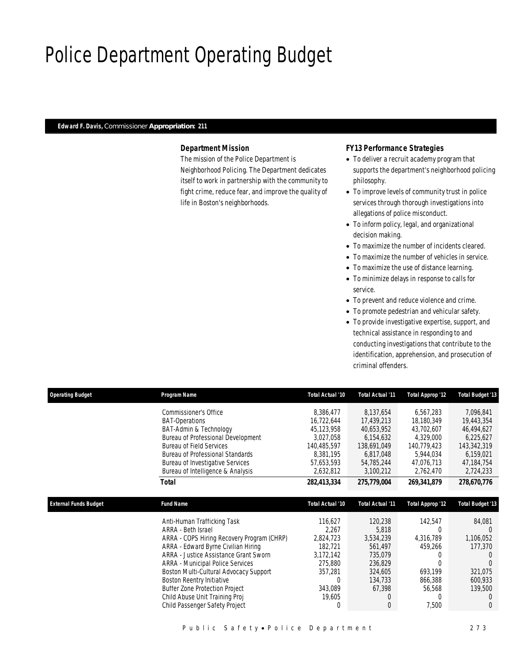## Police Department Operating Budget

## *Edward F. Davis, Commissioner Appropriation: 211*

## *Department Mission*

The mission of the Police Department is Neighborhood Policing. The Department dedicates itself to work in partnership with the community to fight crime, reduce fear, and improve the quality of life in Boston's neighborhoods.

## *FY13 Performance Strategies*

- To deliver a recruit academy program that supports the department's neighborhood policing philosophy.
- To improve levels of community trust in police services through thorough investigations into allegations of police misconduct.
- To inform policy, legal, and organizational decision making.
- To maximize the number of incidents cleared.
- To maximize the number of vehicles in service.
- To maximize the use of distance learning.
- To minimize delays in response to calls for service.
- To prevent and reduce violence and crime.
- To promote pedestrian and vehicular safety.
- To provide investigative expertise, support, and technical assistance in responding to and conducting investigations that contribute to the identification, apprehension, and prosecution of criminal offenders.

| <b>Operating Budget</b>      | Program Name                               | Total Actual '10 | <b>Total Actual '11</b> | <b>Total Approp '12</b> | <b>Total Budget '13</b> |
|------------------------------|--------------------------------------------|------------------|-------------------------|-------------------------|-------------------------|
|                              | Commissioner's Office                      | 8,386,477        | 8,137,654               | 6,567,283               | 7,096,841               |
|                              | <b>BAT-Operations</b>                      | 16,722,644       | 17,439,213              | 18,180,349              | 19,443,354              |
|                              | BAT-Admin & Technology                     | 45,123,958       | 40,653,952              | 43,702,607              | 46,494,627              |
|                              | Bureau of Professional Development         | 3,027,058        | 6,154,632               | 4,329,000               | 6,225,627               |
|                              | <b>Bureau of Field Services</b>            | 140,485,597      | 138,691,049             | 140,779,423             | 143,342,319             |
|                              | <b>Bureau of Professional Standards</b>    | 8,381,195        | 6,817,048               | 5,944,034               | 6,159,021               |
|                              | <b>Bureau of Investigative Services</b>    | 57,653,593       | 54,785,244              | 47,076,713              | 47,184,754              |
|                              | Bureau of Intelligence & Analysis          | 2,632,812        | 3,100,212               | 2,762,470               | 2,724,233               |
|                              | <b>Total</b>                               | 282,413,334      | 275,779,004             | 269,341,879             | 278,670,776             |
|                              |                                            |                  |                         |                         |                         |
| <b>External Funds Budget</b> | <b>Fund Name</b>                           | Total Actual '10 | Total Actual '11        | <b>Total Approp '12</b> | <b>Total Budget '13</b> |
|                              | Anti-Human Trafficking Task                | 116,627          | 120,238                 | 142,547                 | 84,081                  |
|                              | ARRA - Beth Israel                         | 2,267            | 5,818                   |                         | $\Omega$                |
|                              | ARRA - COPS Hiring Recovery Program (CHRP) | 2,824,723        | 3,534,239               | 4,316,789               | 1,106,052               |
|                              | ARRA - Edward Byrne Civilian Hiring        | 182,721          | 561,497                 | 459,266                 | 177,370                 |
|                              | ARRA - Justice Assistance Grant Sworn      | 3,172,142        | 735,079                 |                         |                         |
|                              | <b>ARRA - Municipal Police Services</b>    | 275,880          | 236,829                 |                         | $\Omega$                |
|                              | Boston Multi-Cultural Advocacy Support     | 357,281          | 324,605                 | 693,199                 | 321,075                 |
|                              | Boston Reentry Initiative                  | 0                | 134,733                 | 866,388                 | 600,933                 |
|                              | <b>Buffer Zone Protection Project</b>      | 343,089          | 67,398                  | 56,568                  | 139,500                 |
|                              | Child Abuse Unit Training Proj             | 19,605           | 0                       |                         | $\Omega$                |
|                              | Child Passenger Safety Project             | 0                | $\overline{0}$          | 7,500                   | $\Omega$                |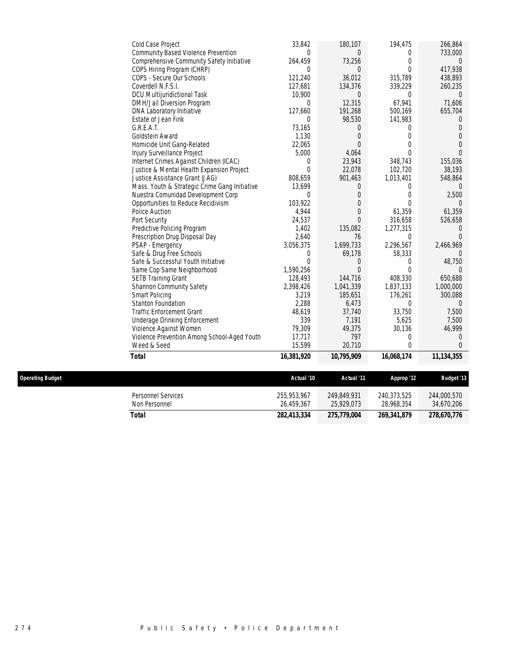| Cold Case Project                             | 33,842         | 180,107        | 194,475    | 266,864        |
|-----------------------------------------------|----------------|----------------|------------|----------------|
| Community Based Violence Prevention           | 0              | 0              | $\bf{0}$   | 733,000        |
| Comprehensive Community Safety Initiative     | 264,459        | 73,256         | 0          | $\overline{0}$ |
| COPS Hiring Program (CHRP)                    | $\mathbf{0}$   | $\theta$       | $\theta$   | 417,938        |
| COPS - Secure Our Schools                     | 121,240        | 36,012         | 315,789    | 438,893        |
| Coverdell N.F.S.I.                            | 127,681        | 134,376        | 339,229    | 260,235        |
| <b>DCU Multijuridictional Task</b>            | 10,900         | 0              | $\Omega$   | $\Omega$       |
| DMH/Jail Diversion Program                    | $\Omega$       | 12,315         | 67,941     | 71,606         |
| DNA Laboratory Initiative                     | 127,660        | 191,268        | 500,169    | 655,704        |
| Estate of Jean Fink                           | 0              | 98,530         | 141,983    | 0              |
| G.R.E.A.T.                                    | 73,165         | 0              | $\Omega$   | 0              |
| Goldstein Award                               | 1,130          | $\theta$       | 0          | $\Omega$       |
| Homicide Unit Gang-Related                    | 22,065         | $\Omega$       | 0          | $\Omega$       |
| Injury Surveillance Project                   | 5,000          | 4,064          | $\theta$   | $\Omega$       |
| Internet Crimes Against Children (ICAC)       | $\theta$       | 23,943         | 348,743    | 155,036        |
| Justice & Mental Health Expansion Project     | $\Omega$       | 22,078         | 102,720    | 38,193         |
| Justice Assistance Grant (JAG)                | 808,659        | 901,463        | 1,013,401  | 548,864        |
| Mass. Youth & Strategic Crime Gang Initiative | 13,699         | 0              | $\Omega$   | $\Omega$       |
| Nuestra Comunidad Development Corp            | $\theta$       | 0              | 0          | 2,500          |
| Opportunities to Reduce Recidivism            | 103,922        | 0              | $\theta$   | $\Omega$       |
| Police Auction                                | 4,944          | 0              | 61,359     | 61,359         |
| Port Security                                 | 24,537         | $\Omega$       | 316,658    | 526,658        |
| Predictive Policing Program                   | 1,402          | 135,082        | 1,277,315  | $\Omega$       |
| Prescription Drug Disposal Day                | 2,640          | 76             | $\Omega$   | $\Omega$       |
| PSAP - Emergency                              | 3,056,375      | 1,699,733      | 2,296,567  | 2,466,969      |
| Safe & Drug Free Schools                      | 0              | 69,178         | 58,333     | $\Omega$       |
| Safe & Successful Youth Initiative            | $\overline{0}$ | 0              | $\Omega$   | 48,750         |
| Same Cop Same Neighborhood                    | 1,590,256      | $\overline{0}$ | $\theta$   | $\Omega$       |
| <b>SETB Training Grant</b>                    | 128,493        | 144,716        | 408,330    | 650,688        |
| Shannon Community Safety                      | 2,398,426      | 1,041,339      | 1,837,133  | 1,000,000      |
| Smart Policing                                | 3,219          | 185,651        | 176,261    | 300,088        |
| <b>Stanton Foundation</b>                     | 2,288          | 6,473          | 0          | $\Omega$       |
| <b>Traffic Enforcement Grant</b>              | 48,619         | 37,740         | 33,750     | 7,500          |
| Underage Drinking Enforcement                 | 339            | 7,191          | 5,625      | 7,500          |
| Violence Against Women                        | 79,309         | 49,375         | 30,136     | 46,999         |
| Violence Prevention Among School-Aged Youth   | 17,717         | 797            | $\theta$   | $\Omega$       |
| Weed & Seed                                   | 15,599         | 20,710         | $\theta$   | $\Omega$       |
| <b>Total</b>                                  | 16,381,920     | 10,795,909     | 16,068,174 | 11, 134, 355   |
|                                               |                |                |            |                |
|                                               |                |                |            |                |

 $Operating Budget$ 

| Operating Budget |                                     | Actual '10                | Actual '11                | Approp '12                | <b>Budaet '13</b>         |
|------------------|-------------------------------------|---------------------------|---------------------------|---------------------------|---------------------------|
|                  | Personnel Services<br>Non Personnel | 255.953.967<br>26.459.367 | 249.849.931<br>25.929.073 | 240.373.525<br>28.968.354 | 244,000,570<br>34,670,206 |
|                  | Total                               | 282,413,334               | 275,779,004               | 269,341,879               | 278,670,776               |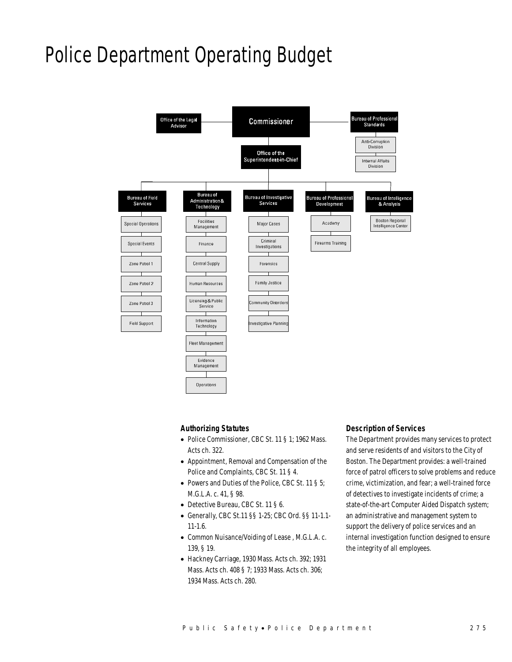## Police Department Operating Budget



#### *Authorizing Statutes*

- Police Commissioner, CBC St. 11 § 1; 1962 Mass. Acts ch. 322.
- Appointment, Removal and Compensation of the Police and Complaints, CBC St. 11 § 4.
- Powers and Duties of the Police, CBC St. 11 § 5; M.G.L.A. c. 41, § 98.
- Detective Bureau, CBC St. 11 § 6.
- Generally, CBC St.11 §§ 1-25; CBC Ord. §§ 11-1.1- 11-1.6.
- Common Nuisance/Voiding of Lease , M.G.L.A. c. 139, § 19.
- Hackney Carriage, 1930 Mass. Acts ch. 392; 1931 Mass. Acts ch. 408 § 7; 1933 Mass. Acts ch. 306; 1934 Mass. Acts ch. 280.

### *Description of Services*

The Department provides many services to protect and serve residents of and visitors to the City of Boston. The Department provides: a well-trained force of patrol officers to solve problems and reduce crime, victimization, and fear; a well-trained force of detectives to investigate incidents of crime; a state-of-the-art Computer Aided Dispatch system; an administrative and management system to support the delivery of police services and an internal investigation function designed to ensure the integrity of all employees.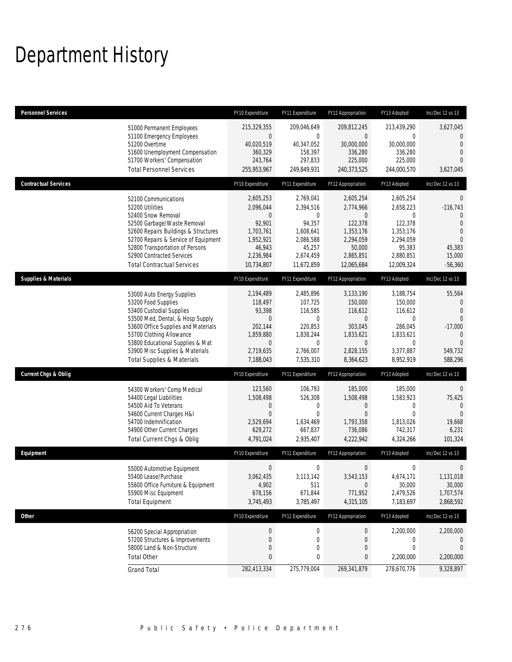## Department History

| <b>Personnel Services</b>       |                                                                                                                                                                                                                                                                                                      | FY10 Expenditure                                                                                               | FY11 Expenditure                                                                                                | FY12 Appropriation                                                                                                    | FY13 Adopted                                                                                           | Inc/Dec 12 vs 13                                                                                                          |
|---------------------------------|------------------------------------------------------------------------------------------------------------------------------------------------------------------------------------------------------------------------------------------------------------------------------------------------------|----------------------------------------------------------------------------------------------------------------|-----------------------------------------------------------------------------------------------------------------|-----------------------------------------------------------------------------------------------------------------------|--------------------------------------------------------------------------------------------------------|---------------------------------------------------------------------------------------------------------------------------|
|                                 | 51000 Permanent Employees<br>51100 Emergency Employees<br>51200 Overtime<br>51600 Unemployment Compensation<br>51700 Workers' Compensation<br><b>Total Personnel Services</b>                                                                                                                        | 215,329,355<br>0<br>40,020,519<br>360,329<br>243,764<br>255,953,967                                            | 209,046,649<br>$\mathbf{0}$<br>40,347,052<br>158,397<br>297,833<br>249,849,931                                  | 209,812,245<br>$\overline{0}$<br>30,000,000<br>336,280<br>225,000<br>240,373,525                                      | 213,439,290<br>$\mathbf{0}$<br>30,000,000<br>336.280<br>225,000<br>244,000,570                         | 3,627,045<br>$\mathbf{0}$<br>$\overline{0}$<br>$\theta$<br>$\Omega$<br>3,627,045                                          |
| <b>Contractual Services</b>     |                                                                                                                                                                                                                                                                                                      | FY10 Expenditure                                                                                               | FY11 Expenditure                                                                                                | FY12 Appropriation                                                                                                    | FY13 Adopted                                                                                           | Inc/Dec 12 vs 13                                                                                                          |
|                                 | 52100 Communications<br>52200 Utilities<br>52400 Snow Removal<br>52500 Garbage/Waste Removal<br>52600 Repairs Buildings & Structures<br>52700 Repairs & Service of Equipment<br>52800 Transportation of Persons<br>52900 Contracted Services<br><b>Total Contractual Services</b>                    | 2,605,253<br>2,096,044<br>0<br>92,901<br>1,703,761<br>1,952,921<br>46,943<br>2,236,984<br>10,734,807           | 2,769,041<br>2,394,516<br>$\mathbf{0}$<br>94,357<br>1,608,641<br>2,086,588<br>45,257<br>2,674,459<br>11,672,859 | 2,605,254<br>2,774,966<br>$\mathbf{0}$<br>122,378<br>1,353,176<br>2,294,059<br>50,000<br>2,865,851<br>12,065,684      | 2,605,254<br>2,658,223<br>0<br>122,378<br>1,353,176<br>2,294,059<br>95,383<br>2,880,851<br>12,009,324  | $\theta$<br>$-116,743$<br>$\theta$<br>$\overline{0}$<br>$\overline{0}$<br>$\overline{0}$<br>45,383<br>15,000<br>$-56,360$ |
| <b>Supplies &amp; Materials</b> |                                                                                                                                                                                                                                                                                                      | FY10 Expenditure                                                                                               | FY11 Expenditure                                                                                                | FY12 Appropriation                                                                                                    | FY13 Adopted                                                                                           | Inc/Dec 12 vs 13                                                                                                          |
|                                 | 53000 Auto Energy Supplies<br>53200 Food Supplies<br>53400 Custodial Supplies<br>53500 Med, Dental, & Hosp Supply<br>53600 Office Supplies and Materials<br>53700 Clothing Allowance<br>53800 Educational Supplies & Mat<br>53900 Misc Supplies & Materials<br><b>Total Supplies &amp; Materials</b> | 2,194,489<br>118,497<br>93,398<br>$\mathbf 0$<br>202,144<br>1,859,880<br>$\mathbf 0$<br>2,719,635<br>7,188,043 | 2,485,896<br>107.725<br>116,585<br>$\mathbf 0$<br>220.853<br>1,838,244<br>$\mathbf 0$<br>2,766,007<br>7,535,310 | 3,133,190<br>150,000<br>116,612<br>$\overline{0}$<br>303,045<br>1,833,621<br>$\overline{0}$<br>2,828,155<br>8,364,623 | 3,188,754<br>150,000<br>116,612<br>$\mathbf{0}$<br>286,045<br>1,833,621<br>0<br>3,377,887<br>8,952,919 | 55,564<br>$\mathbf 0$<br>$\overline{0}$<br>$\Omega$<br>$-17,000$<br>$\mathbf{0}$<br>$\Omega$<br>549,732<br>588,296        |
| <b>Current Chgs &amp; Oblig</b> |                                                                                                                                                                                                                                                                                                      | FY10 Expenditure                                                                                               | FY11 Expenditure                                                                                                | FY12 Appropriation                                                                                                    | FY13 Adopted                                                                                           | Inc/Dec 12 vs 13                                                                                                          |
|                                 | 54300 Workers' Comp Medical<br>54400 Legal Liabilities<br>54500 Aid To Veterans<br>54600 Current Charges H&I<br>54700 Indemnification<br>54900 Other Current Charges<br>Total Current Chgs & Oblig                                                                                                   | 123,560<br>1,508,498<br>0<br>$\overline{0}$<br>2,529,694<br>629,272<br>4,791,024                               | 106,793<br>526,308<br>0<br>$\mathbf 0$<br>1,634,469<br>667,837<br>2,935,407                                     | 185,000<br>1,508,498<br>$\mathbf 0$<br>$\overline{0}$<br>1,793,358<br>736,086<br>4,222,942                            | 185,000<br>1,583,923<br>0<br>$\Omega$<br>1,813,026<br>742,317<br>4,324,266                             | $\theta$<br>75,425<br>$\mathbf{0}$<br>$\Omega$<br>19,668<br>6,231<br>101,324                                              |
| Equipment                       |                                                                                                                                                                                                                                                                                                      | FY10 Expenditure                                                                                               | FY11 Expenditure                                                                                                | FY12 Appropriation                                                                                                    | FY13 Adopted                                                                                           | Inc/Dec 12 vs 13                                                                                                          |
|                                 | 55000 Automotive Equipment<br>55400 Lease/Purchase<br>55600 Office Furniture & Equipment<br>55900 Misc Equipment<br><b>Total Equipment</b>                                                                                                                                                           | $\mathbf 0$<br>3,062,435<br>4,902<br>678,156<br>3,745,493                                                      | $\boldsymbol{0}$<br>3,113,142<br>511<br>671,844<br>3,785,497                                                    | 0<br>3,543,153<br>$\mathbf 0$<br>771,952<br>4,315,105                                                                 | 0<br>4.674.171<br>30,000<br>2,479,526<br>7,183,697                                                     | 0<br>1,131,018<br>30,000<br>1,707,574<br>2,868,592                                                                        |
| Other                           |                                                                                                                                                                                                                                                                                                      | FY10 Expenditure                                                                                               | FY11 Expenditure                                                                                                | FY12 Appropriation                                                                                                    | FY13 Adopted                                                                                           | Inc/Dec 12 vs 13                                                                                                          |
|                                 | 56200 Special Appropriation<br>57200 Structures & Improvements<br>58000 Land & Non-Structure<br><b>Total Other</b>                                                                                                                                                                                   | $\boldsymbol{0}$<br>0<br>$\mathbf 0$<br>0                                                                      | $\boldsymbol{0}$<br>0<br>$\mathbf 0$<br>0                                                                       | 0<br>0<br>$\boldsymbol{0}$<br>0                                                                                       | 2,200,000<br>0<br>0<br>2,200,000                                                                       | 2,200,000<br>$\mathbf 0$<br>$\mathbf 0$<br>2,200,000                                                                      |
|                                 | <b>Grand Total</b>                                                                                                                                                                                                                                                                                   | 282,413,334                                                                                                    | 275,779,004                                                                                                     | 269,341,879                                                                                                           | 278,670,776                                                                                            | 9,328,897                                                                                                                 |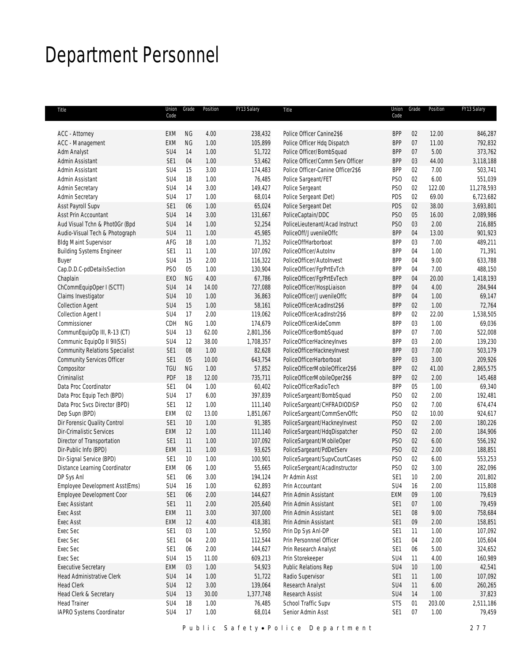## Department Personnel

| Title                                         | Union<br>Code   | Grade     | Position | FY13 Salary | Title                             | Union<br>Code   | Grade           | Position | FY13 Salary |
|-----------------------------------------------|-----------------|-----------|----------|-------------|-----------------------------------|-----------------|-----------------|----------|-------------|
|                                               |                 |           |          |             |                                   |                 |                 |          |             |
| <b>ACC - Attorney</b>                         | EXM             | <b>NG</b> | 4.00     | 238,432     | Police Officer Canine2\$6         | <b>BPP</b>      | 02              | 12.00    | 846,287     |
| ACC - Management                              | EXM             | <b>NG</b> | 1.00     | 105,899     | Police Officer Hdg Dispatch       | <b>BPP</b>      | 07              | 11.00    | 792,832     |
| Adm Analyst                                   | SU4             | 14        | 1.00     | 51,722      | Police Officer/BombSquad          | <b>BPP</b>      | 07              | 5.00     | 373,762     |
| Admin Assistant                               | SE1             | 04        | 1.00     | 53,462      | Police Officer/Comm Serv Officer  | <b>BPP</b>      | 03              | 44.00    | 3,118,188   |
| Admin Assistant                               | SU4             | 15        | 3.00     | 174,483     | Police Officer-Canine Officer2\$6 | <b>BPP</b>      | 02              | 7.00     | 503,741     |
| Admin Assistant                               | SU4             | 18        | 1.00     | 76,485      | Police Sargeant/FET               | PS <sub>0</sub> | 02              | 6.00     | 551,039     |
| <b>Admin Secretary</b>                        | SU4             | 14        | 3.00     | 149,427     | Police Sergeant                   | PS <sub>O</sub> | 02              | 122.00   | 11,278,593  |
| Admin Secretary                               | SU4             | 17        | 1.00     | 68,014      | Police Sergeant (Det)             | PDS             | 02              | 69.00    | 6,723,682   |
| Asst Payroll Supv                             | SE1             | 06        | 1.00     | 65,024      | Police Sergeant Det               | PDS             | 02              | 38.00    | 3,693,801   |
| Asst Prin Accountant                          | SU4             | 14        | 3.00     | 131,667     | PoliceCaptain/DDC                 | PS <sub>0</sub> | 05              | 16.00    | 2,089,986   |
| Aud Visual Tchn & Phot0Gr (Bpd                | SU4             | 14        | 1.00     | 52,254      | PoliceLieutenant/Acad Instruct    | PS <sub>O</sub> | 03              | 2.00     | 216,885     |
| Audio-Visual Tech & Photograph                | SU4             | 11        | 1.00     | 45,985      | PoliceOff/JuvenileOffc            | <b>BPP</b>      | 04              | 13.00    | 901,923     |
| <b>Bldg Maint Supervisor</b>                  | AFG             | 18        | 1.00     | 71,352      | PoliceOffHarborboat               | <b>BPP</b>      | 03              | 7.00     | 489,211     |
| <b>Building Systems Engineer</b>              | SE <sub>1</sub> | 11        | 1.00     | 107,092     | PoliceOfficer/AutoInv             | <b>BPP</b>      | 04              | 1.00     | 71,391      |
| <b>Buyer</b>                                  | SU4             | 15        | 2.00     | 116,322     | PoliceOfficer/AutoInvest          | <b>BPP</b>      | 04              | 9.00     | 633,788     |
| Cap.D.D.C-pdDetailsSection                    | PS <sub>O</sub> | 05        | 1.00     | 130,904     | PoliceOfficer/FgrPrtEvTch         | <b>BPP</b>      | 04              | 7.00     | 488,150     |
| Chaplain                                      | EX <sub>0</sub> | <b>NG</b> | 4.00     | 67,786      | PoliceOfficer/FgrPrtEvTech        | <b>BPP</b>      | 04              | 20.00    | 1,418,193   |
| ChCommEquipOper I (SCTT)                      | SU4             | 14        | 14.00    | 727,088     | PoliceOfficer/HospLiaison         | <b>BPP</b>      | 04              | 4.00     | 284,944     |
| Claims Investigator                           | SU4             | 10        | 1.00     | 36,863      | PoliceOfficer/JuvenileOffc        | <b>BPP</b>      | 04              | 1.00     | 69,147      |
| <b>Collection Agent</b>                       | SU <sub>4</sub> | 15        | 1.00     | 58,161      | PoliceOfficerAcadInst2\$6         | <b>BPP</b>      | 02              | 1.00     | 72,764      |
| Collection Agent I                            | SU4             | 17        | 2.00     | 119,062     | PoliceOfficerAcadInstr2\$6        | <b>BPP</b>      | 02              | 22.00    | 1,538,505   |
| Commissioner                                  | CDH             | <b>NG</b> | 1.00     | 174,679     | PoliceOfficerAideComm             | <b>BPP</b>      | 03              | 1.00     | 69,036      |
|                                               | SU4             | 13        | 62.00    | 2,801,356   |                                   | <b>BPP</b>      | 07              | 7.00     | 522,008     |
| CommunEquipOp III, R-13 (CT)                  |                 |           |          |             | PoliceOfficerBombSquad            | <b>BPP</b>      | 03              |          |             |
| Communic EquipOp II 9II(SS)                   | SU <sub>4</sub> | 12        | 38.00    | 1,708,357   | PoliceOfficerHackneyInves         |                 |                 | 2.00     | 139,230     |
| <b>Community Relations Specialist</b>         | SE <sub>1</sub> | 08        | 1.00     | 82,628      | PoliceOfficerHackneyInvest        | <b>BPP</b>      | 03              | 7.00     | 503,179     |
| <b>Community Services Officer</b>             | SE <sub>1</sub> | 05        | 10.00    | 643,754     | PoliceOfficerHarborboat           | <b>BPP</b>      | 03              | 3.00     | 209,926     |
| Compositor                                    | TGU             | <b>NG</b> | 1.00     | 57,852      | PoliceOfficerMobileOfficer2\$6    | <b>BPP</b>      | 02              | 41.00    | 2,865,575   |
| Criminalist                                   | PDF             | 18        | 12.00    | 735,711     | PoliceOfficerMobileOper2\$6       | <b>BPP</b>      | 02              | 2.00     | 145,468     |
| Data Proc Coordinator                         | SE <sub>1</sub> | 04        | 1.00     | 60,402      | PoliceOfficerRadioTech            | <b>BPP</b>      | $05\,$          | 1.00     | 69,340      |
| Data Proc Equip Tech (BPD)                    | SU4             | 17        | 6.00     | 397,839     | PoliceSargeant/BombSquad          | PS <sub>0</sub> | 02              | 2.00     | 192,481     |
| Data Proc Svcs Director (BPD)                 | SE <sub>1</sub> | 12        | 1.00     | 111,140     | PoliceSargeant/CHFRADIODISP       | PS <sub>0</sub> | 02              | 7.00     | 674,474     |
| Dep Supn (BPD)                                | EXM             | 02        | 13.00    | 1,851,067   | PoliceSargeant/CommServOffc       | PS <sub>0</sub> | 02              | 10.00    | 924,617     |
| Dir Forensic Quality Control                  | SE <sub>1</sub> | 10        | 1.00     | 91,385      | PoliceSargeant/HackneyInvest      | PS <sub>O</sub> | 02              | 2.00     | 180,226     |
| Dir-Crimalistic Services                      | <b>EXM</b>      | 12        | 1.00     | 111,140     | PoliceSargeant/HdqDispatcher      | PS <sub>O</sub> | 02              | 2.00     | 184,906     |
| Director of Transportation                    | SE <sub>1</sub> | 11        | 1.00     | 107,092     | PoliceSargeant/MobileOper         | PS <sub>0</sub> | 02              | 6.00     | 556,192     |
| Dir-Public Info (BPD)                         | EXM             | 11        | 1.00     | 93,625      | PoliceSargeant/PdDetServ          | PS <sub>0</sub> | 02              | 2.00     | 188,851     |
| Dir-Signal Service (BPD)                      | SE <sub>1</sub> | 10        | 1.00     | 100,901     | PoliceSargeant/SupvCourtCases     | PS <sub>0</sub> | 02              | 6.00     | 553,253     |
| Distance Learning Coordinator                 | EXM             | 06        | 1.00     | 55,665      | PoliceSergeant/AcadInstructor     | PS <sub>0</sub> | 02              | 3.00     | 282,096     |
| DP Sys Anl                                    | SE1             | 06        | 3.00     | 194,124     | Pr Admin Asst                     | SE1             | 10 <sup>°</sup> | 2.00     | 201,802     |
| Employee Development Asst(Ems)                | SU4             | 16        | 1.00     | 62,893      | Prin Accountant                   | SU4             | 16              | 2.00     | 115,808     |
| Employee Development Coor                     | SE1             | 06        | 2.00     | 144,627     | Prin Admin Assistant              | EXM             | 09              | 1.00     | 79,619      |
| <b>Exec Assistant</b>                         | SE1             | 11        | 2.00     | 205,640     | Prin Admin Assistant              | SE1             | $07$            | 1.00     | 79,459      |
| <b>Exec Asst</b>                              | EXM             | 11        | 3.00     | 307,000     | Prin Admin Assistant              | SE <sub>1</sub> | 08              | 9.00     | 758,684     |
| Exec Asst                                     | EXM             | 12        | 4.00     | 418,381     | Prin Admin Assistant              | SE1             | 09              | 2.00     | 158,851     |
| Exec Sec                                      | SE <sub>1</sub> | 03        | 1.00     | 52,950      | Prin Dp Sys Anl-DP                | SE <sub>1</sub> | 11              | 1.00     | 107,092     |
| Exec Sec                                      | SE1             | 04        | 2.00     | 112,544     | Prin Personnnel Officer           | SE1             | 04              | 2.00     | 105,604     |
| Exec Sec                                      | SE <sub>1</sub> | 06        | 2.00     | 144,627     | Prin Research Analyst             | SE <sub>1</sub> | 06              | 5.00     | 324,652     |
| Exec Sec                                      | SU4             | 15        | 11.00    | 609,213     | Prin Storekeeper                  | SU4             | 11              | 4.00     | 160,989     |
| <b>Executive Secretary</b>                    | EXM             | 03        | 1.00     | 54,923      | Public Relations Rep              | SU4             | 10              | 1.00     | 42,541      |
| <b>Head Administrative Clerk</b>              | SU4             | 14        | 1.00     | 51,722      | Radio Supervisor                  | SE <sub>1</sub> | 11              | 1.00     | 107,092     |
| <b>Head Clerk</b>                             | SU4             | 12        | 3.00     | 139,064     | Research Analyst                  | SU4             | 11              | 6.00     | 260,265     |
|                                               | SU4             | 13        | 30.00    |             | Research Assist                   | SU4             | 14              | 1.00     | 37,823      |
| Head Clerk & Secretary<br><b>Head Trainer</b> | SU4             | 18        | 1.00     | 1,377,748   |                                   | <b>STS</b>      | 01              | 203.00   |             |
|                                               |                 |           |          | 76,485      | School Traffic Supv               |                 |                 |          | 2,511,186   |
| IAPRO Systems Coordinator                     | SU4             | 17        | 1.00     | 68,014      | Senior Admin Asst                 | SE1             | 07              | 1.00     | 79,459      |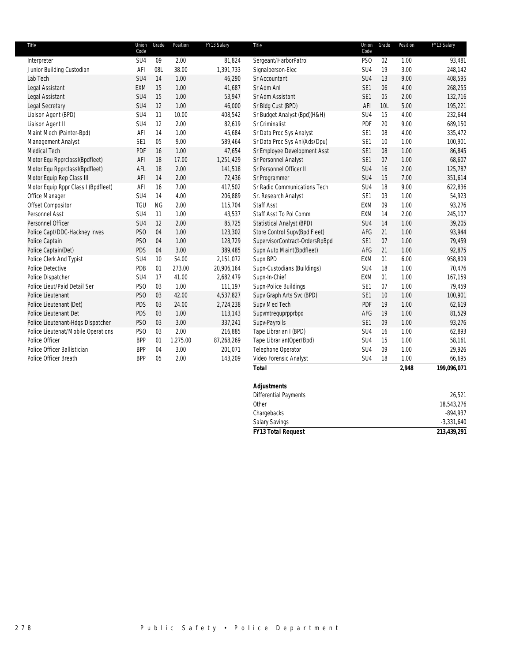| Title                               | Union<br>Code   | Grade     | Position | FY13 Salary | Title                          | Union<br>Code   | Grade | Position | FY13 Salary |
|-------------------------------------|-----------------|-----------|----------|-------------|--------------------------------|-----------------|-------|----------|-------------|
| Interpreter                         | SU4             | 09        | 2.00     | 81,824      | Sergeant/HarborPatrol          | PS <sub>O</sub> | 02    | 1.00     | 93,481      |
| Junior Building Custodian           | AFI             | 08L       | 38.00    | 1,391,733   | Signalperson-Elec              | SU <sub>4</sub> | 19    | 3.00     | 248,142     |
| Lab Tech                            | SU4             | 14        | 1.00     | 46,290      | Sr Accountant                  | SU <sub>4</sub> | 13    | 9.00     | 408,595     |
| Legal Assistant                     | <b>EXM</b>      | 15        | 1.00     | 41,687      | Sr Adm Anl                     | SE <sub>1</sub> | 06    | 4.00     | 268,255     |
| Legal Assistant                     | SU4             | 15        | 1.00     | 53,947      | Sr Adm Assistant               | SE <sub>1</sub> | 05    | 2.00     | 132,716     |
| Legal Secretary                     | SU4             | 12        | 1.00     | 46,000      | Sr Bldg Cust (BPD)             | AFI             | 10L   | 5.00     | 195,221     |
| Liaison Agent (BPD)                 | SU4             | 11        | 10.00    | 408,542     | Sr Budget Analyst (Bpd)(H&H)   | SU <sub>4</sub> | 15    | 4.00     | 232,644     |
| Liaison Agent II                    | SU4             | 12        | 2.00     | 82,619      | Sr Criminalist                 | PDF             | 20    | 9.00     | 689,150     |
| Maint Mech (Painter-Bpd)            | AFI             | 14        | 1.00     | 45,684      | Sr Data Proc Sys Analyst       | SE <sub>1</sub> | 08    | 4.00     | 335,472     |
| Management Analyst                  | SE1             | 05        | 9.00     | 589,464     | Sr Data Proc Sys Anl(Ads/Dpu)  | SE <sub>1</sub> | 10    | 1.00     | 100,901     |
| Medical Tech                        | PDF             | 16        | 1.00     | 47,654      | Sr Employee Development Asst   | SE <sub>1</sub> | 08    | 1.00     | 86,845      |
| Motor Equ RpprclassI(Bpdfleet)      | AFI             | 18        | 17.00    | 1,251,429   | Sr Personnel Analyst           | SE <sub>1</sub> | 07    | 1.00     | 68,607      |
| Motor Equ RpprclassI(Bpdfleet)      | AFL             | 18        | 2.00     | 141,518     | Sr Personnel Officer II        | SU <sub>4</sub> | 16    | 2.00     | 125,787     |
| Motor Equip Rep Class III           | AFI             | 14        | 2.00     | 72,436      | Sr Programmer                  | SU4             | 15    | 7.00     | 351,614     |
| Motor Equip Rppr ClassII (Bpdfleet) | AFI             | 16        | 7.00     | 417,502     | Sr Radio Communications Tech   | SU <sub>4</sub> | 18    | 9.00     | 622,836     |
| Office Manager                      | SU4             | 14        | 4.00     | 206,889     | Sr. Research Analyst           | SE <sub>1</sub> | 03    | 1.00     | 54,923      |
| Offset Compositor                   | <b>TGU</b>      | <b>NG</b> | 2.00     | 115,704     | <b>Staff Asst</b>              | EXM             | 09    | 1.00     | 93,276      |
| Personnel Asst                      | SU4             | 11        | 1.00     | 43,537      | Staff Asst To Pol Comm         | EXM             | 14    | 2.00     | 245,107     |
| Personnel Officer                   | SU4             | 12        | 2.00     | 85,725      | Statistical Analyst (BPD)      | SU <sub>4</sub> | 14    | 1.00     | 39,205      |
| Police Capt/DDC-Hackney Inves       | PS <sub>O</sub> | 04        | 1.00     | 123,302     | Store Control Supv(Bpd Fleet)  | AFG             | 21    | 1.00     | 93,944      |
| Police Captain                      | PS <sub>O</sub> | 04        | 1.00     | 128,729     | SupervisorContract-OrdersRpBpd | SE <sub>1</sub> | 07    | 1.00     | 79,459      |
| Police Captain(Det)                 | PDS             | 04        | 3.00     | 389,485     | Supn Auto Maint(Bpdfleet)      | AFG             | 21    | 1.00     | 92,875      |
| Police Clerk And Typist             | SU4             | 10        | 54.00    | 2,151,072   | Supn BPD                       | EXM             | 01    | 6.00     | 958,809     |
| Police Detective                    | PDB             | 01        | 273.00   | 20,906,164  | Supn-Custodians (Buildings)    | SU <sub>4</sub> | 18    | 1.00     | 70,476      |
| Police Dispatcher                   | SU4             | 17        | 41.00    | 2,682,479   | Supn-In-Chief                  | EXM             | 01    | 1.00     | 167,159     |
| Police Lieut/Paid Detail Ser        | PS <sub>O</sub> | 03        | 1.00     | 111,197     | Supn-Police Buildings          | SE <sub>1</sub> | 07    | 1.00     | 79,459      |
| Police Lieutenant                   | PS <sub>O</sub> | 03        | 42.00    | 4,537,827   | Supv Graph Arts Svc (BPD)      | SE <sub>1</sub> | 10    | 1.00     | 100,901     |
| Police Lieutenant (Det)             | PDS             | 03        | 24.00    | 2,724,238   | Supv Med Tech                  | PDF             | 19    | 1.00     | 62,619      |
| Police Lieutenant Det               | PDS             | 03        | 1.00     | 113,143     | Supvmtrequprpprbpd             | AFG             | 19    | 1.00     | 81,529      |
| Police Lieutenant-Hdqs Dispatcher   | PS <sub>O</sub> | 03        | 3.00     | 337,241     | Supv-Payrolls                  | SE <sub>1</sub> | 09    | 1.00     | 93,276      |
| Police Lieutenat/Mobile Operations  | PS <sub>O</sub> | 03        | 2.00     | 216,885     | Tape Librarian I (BPD)         | SU <sub>4</sub> | 16    | 1.00     | 62,893      |
| Police Officer                      | <b>BPP</b>      | 01        | 1,275.00 | 87,268,269  | Tape Librarian(Oper/Bpd)       | SU <sub>4</sub> | 15    | 1.00     | 58,161      |
| Police Officer Ballistician         | <b>BPP</b>      | 04        | 3.00     | 201,071     | Telephone Operator             | SU <sub>4</sub> | 09    | 1.00     | 29,926      |
| Police Officer Breath               | <b>BPP</b>      | 05        | 2.00     | 143,209     | Video Forensic Analyst         | SU4             | 18    | 1.00     | 66,695      |
|                                     |                 |           |          |             | <b>Total</b>                   |                 |       | 2,948    | 199,096,071 |
|                                     |                 |           |          |             |                                |                 |       |          |             |

| <b>FY13 Total Request</b>    | 213,439,291  |
|------------------------------|--------------|
| <b>Salary Savings</b>        | $-3,331,640$ |
| Chargebacks                  | $-894,937$   |
| Other                        | 18,543,276   |
| <b>Differential Payments</b> | 26,521       |
| <b>Adjustments</b>           |              |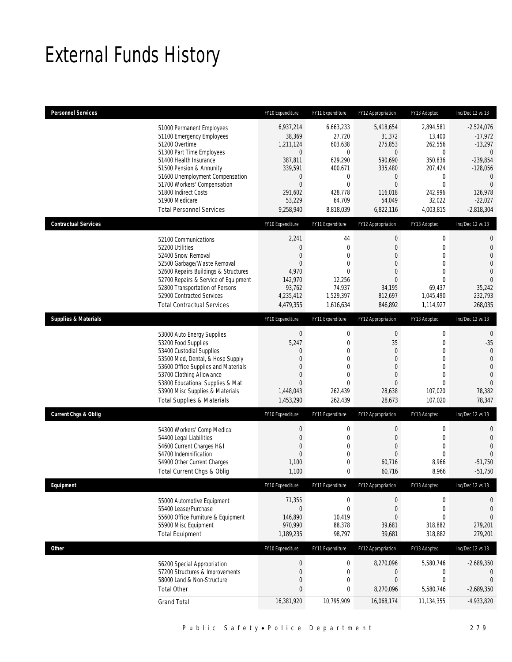## External Funds History

| <b>Personnel Services</b>       |                                                                                                                                                                                                                                                                                                            | FY10 Expenditure                                                                                                                         | FY11 Expenditure                                                                                                               | FY12 Appropriation                                                                                                                     | FY13 Adopted                                                                                                                          | Inc/Dec 12 vs 13                                                                                                                                     |
|---------------------------------|------------------------------------------------------------------------------------------------------------------------------------------------------------------------------------------------------------------------------------------------------------------------------------------------------------|------------------------------------------------------------------------------------------------------------------------------------------|--------------------------------------------------------------------------------------------------------------------------------|----------------------------------------------------------------------------------------------------------------------------------------|---------------------------------------------------------------------------------------------------------------------------------------|------------------------------------------------------------------------------------------------------------------------------------------------------|
|                                 | 51000 Permanent Employees<br>51100 Emergency Employees<br>51200 Overtime<br>51300 Part Time Employees<br>51400 Health Insurance<br>51500 Pension & Annunity<br>51600 Unemployment Compensation<br>51700 Workers' Compensation<br>51800 Indirect Costs<br>51900 Medicare<br><b>Total Personnel Services</b> | 6,937,214<br>38,369<br>1,211,124<br>$\mathbf 0$<br>387,811<br>339,591<br>$\mathbf 0$<br>$\overline{0}$<br>291,602<br>53,229<br>9,258,940 | 6,663,233<br>27,720<br>603,638<br>$\boldsymbol{0}$<br>629,290<br>400,671<br>0<br>$\mathbf 0$<br>428,778<br>64,709<br>8,818,039 | 5,418,654<br>31,372<br>275,853<br>$\overline{0}$<br>590,690<br>335,480<br>$\mathbf 0$<br>$\mathbf 0$<br>116,018<br>54,049<br>6,822,116 | 2,894,581<br>13,400<br>262,556<br>$\mathbf 0$<br>350,836<br>207,424<br>$\mathbf 0$<br>$\mathbf 0$<br>242,996<br>32,022<br>4,003,815   | $-2,524,076$<br>$-17,972$<br>$-13,297$<br>$\theta$<br>$-239,854$<br>$-128,056$<br>$\theta$<br>$\overline{0}$<br>126,978<br>$-22,027$<br>$-2,818,304$ |
| <b>Contractual Services</b>     |                                                                                                                                                                                                                                                                                                            | FY10 Expenditure                                                                                                                         | FY11 Expenditure                                                                                                               | FY12 Appropriation                                                                                                                     | FY13 Adopted                                                                                                                          | Inc/Dec 12 vs 13                                                                                                                                     |
|                                 | 52100 Communications<br>52200 Utilities<br>52400 Snow Removal<br>52500 Garbage/Waste Removal<br>52600 Repairs Buildings & Structures<br>52700 Repairs & Service of Equipment<br>52800 Transportation of Persons<br>52900 Contracted Services<br><b>Total Contractual Services</b>                          | 2,241<br>$\mathbf 0$<br>$\overline{0}$<br>$\overline{0}$<br>4,970<br>142,970<br>93,762<br>4,235,412<br>4,479,355                         | 44<br>$\mathbf 0$<br>$\overline{0}$<br>$\overline{0}$<br>$\overline{0}$<br>12,256<br>74,937<br>1,529,397<br>1,616,634          | $\boldsymbol{0}$<br>$\boldsymbol{0}$<br>0<br>$\overline{0}$<br>0<br>0<br>34,195<br>812,697<br>846,892                                  | $\boldsymbol{0}$<br>$\mathbf 0$<br>$\mathbf{0}$<br>$\mathbf{0}$<br>$\mathbf{0}$<br>$\mathbf{0}$<br>69,437<br>1,045,490<br>1,114,927   | $\mathbf{0}$<br>$\mathbf{0}$<br>$\overline{0}$<br>$\overline{0}$<br>$\mathbf{0}$<br>$\Omega$<br>35,242<br>232,793<br>268,035                         |
| <b>Supplies &amp; Materials</b> |                                                                                                                                                                                                                                                                                                            | FY10 Expenditure                                                                                                                         | FY11 Expenditure                                                                                                               | FY12 Appropriation                                                                                                                     | FY13 Adopted                                                                                                                          | Inc/Dec 12 vs 13                                                                                                                                     |
|                                 | 53000 Auto Energy Supplies<br>53200 Food Supplies<br>53400 Custodial Supplies<br>53500 Med, Dental, & Hosp Supply<br>53600 Office Supplies and Materials<br>53700 Clothing Allowance<br>53800 Educational Supplies & Mat<br>53900 Misc Supplies & Materials<br><b>Total Supplies &amp; Materials</b>       | $\mathbf 0$<br>5,247<br>0<br>$\Omega$<br>$\theta$<br>0<br>$\overline{0}$<br>1,448,043<br>1,453,290                                       | $\mathbf 0$<br>$\mathbf 0$<br>0<br>0<br>$\overline{0}$<br>0<br>$\overline{0}$<br>262,439<br>262,439                            | $\boldsymbol{0}$<br>35<br>0<br>0<br>0<br>0<br>$\overline{0}$<br>28,638<br>28,673                                                       | $\boldsymbol{0}$<br>$\mathbf 0$<br>$\mathbf{0}$<br>$\mathbf{0}$<br>$\mathbf{0}$<br>$\mathbf{0}$<br>$\mathbf{0}$<br>107,020<br>107,020 | $\mathbf{0}$<br>$-35$<br>$\mathbf{0}$<br>$\mathbf{0}$<br>$\mathbf{0}$<br>$\overline{0}$<br>$\mathbf{0}$<br>78,382<br>78,347                          |
| <b>Current Chgs &amp; Oblig</b> |                                                                                                                                                                                                                                                                                                            | FY10 Expenditure                                                                                                                         | FY11 Expenditure                                                                                                               | FY12 Appropriation                                                                                                                     | FY13 Adopted                                                                                                                          | Inc/Dec 12 vs 13                                                                                                                                     |
|                                 | 54300 Workers' Comp Medical<br>54400 Legal Liabilities<br>54600 Current Charges H&I<br>54700 Indemnification<br>54900 Other Current Charges<br>Total Current Chgs & Oblig                                                                                                                                  | $\boldsymbol{0}$<br>$\mathbf 0$<br>0<br>0<br>1,100<br>1,100                                                                              | $\boldsymbol{0}$<br>$\mathbf 0$<br>0<br>0<br>$\mathbf 0$<br>0                                                                  | $\boldsymbol{0}$<br>$\boldsymbol{0}$<br>0<br>$\boldsymbol{0}$<br>60,716<br>60,716                                                      | $\boldsymbol{0}$<br>$\mathbf 0$<br>$\mathbf{0}$<br>$\mathbf{0}$<br>8,966<br>8,966                                                     | $\mathbf{0}$<br>$\mathbf{0}$<br>$\mathbf{0}$<br>$\Omega$<br>$-51,750$<br>$-51,750$                                                                   |
| Equipment                       |                                                                                                                                                                                                                                                                                                            | FY10 Expenditure                                                                                                                         | FY11 Expenditure                                                                                                               | FY12 Appropriation                                                                                                                     | FY13 Adopted                                                                                                                          | Inc/Dec 12 vs 13                                                                                                                                     |
|                                 | 55000 Automotive Equipment<br>55400 Lease/Purchase<br>55600 Office Furniture & Equipment<br>55900 Misc Equipment<br><b>Total Equipment</b>                                                                                                                                                                 | 71,355<br>$\mathbf 0$<br>146,890<br>970,990<br>1,189,235                                                                                 | $\boldsymbol{0}$<br>$\boldsymbol{0}$<br>10,419<br>88,378<br>98,797                                                             | 0<br>$\boldsymbol{0}$<br>0<br>39,681<br>39,681                                                                                         | $\boldsymbol{0}$<br>$\mathbf 0$<br>$\mathbf{0}$<br>318,882<br>318,882                                                                 | 0<br>$\mathbf{0}$<br>$\overline{0}$<br>279,201<br>279,201                                                                                            |
| <b>Other</b>                    |                                                                                                                                                                                                                                                                                                            | FY10 Expenditure                                                                                                                         | FY11 Expenditure                                                                                                               | FY12 Appropriation                                                                                                                     | FY13 Adopted                                                                                                                          | Inc/Dec 12 vs 13                                                                                                                                     |
|                                 | 56200 Special Appropriation<br>57200 Structures & Improvements<br>58000 Land & Non-Structure<br><b>Total Other</b><br><b>Grand Total</b>                                                                                                                                                                   | $\boldsymbol{0}$<br>$\mathbf 0$<br>0<br>0<br>16,381,920                                                                                  | $\boldsymbol{0}$<br>$\mathbf 0$<br>0<br>0<br>10,795,909                                                                        | 8,270,096<br>0<br>0<br>8,270,096<br>16,068,174                                                                                         | 5,580,746<br>$\boldsymbol{0}$<br>$\mathbf 0$<br>5,580,746<br>11,134,355                                                               | $-2,689,350$<br>0<br>$\theta$<br>$-2,689,350$<br>$-4,933,820$                                                                                        |
|                                 |                                                                                                                                                                                                                                                                                                            |                                                                                                                                          |                                                                                                                                |                                                                                                                                        |                                                                                                                                       |                                                                                                                                                      |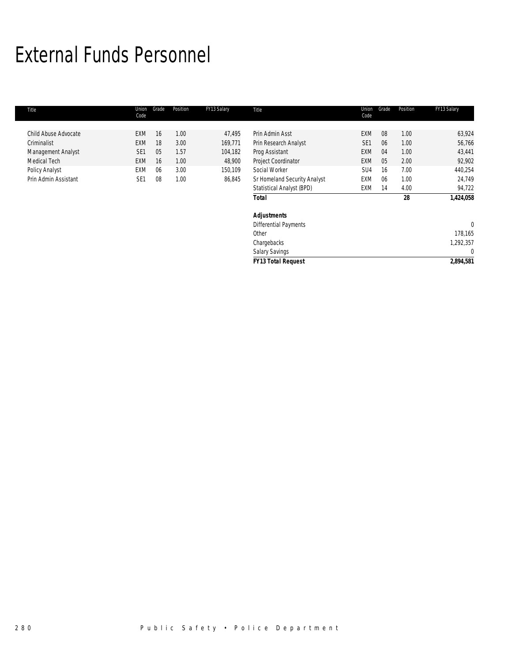## External Funds Personnel

| Title                | Union<br>Code   | Grade | Position | FY13 Salary | Title                        | Union<br>Code   | Grade | Position | FY13 Salary |
|----------------------|-----------------|-------|----------|-------------|------------------------------|-----------------|-------|----------|-------------|
|                      |                 |       |          |             |                              |                 |       |          |             |
| Child Abuse Advocate | EXM             | 16    | 1.00     | 47,495      | Prin Admin Asst              | <b>EXM</b>      | 08    | 1.00     | 63,924      |
| Criminalist          | <b>EXM</b>      | 18    | 3.00     | 169,771     | Prin Research Analyst        | SE <sub>1</sub> | 06    | 1.00     | 56,766      |
| Management Analyst   | SE <sub>1</sub> | 05    | 1.57     | 104,182     | Prog Assistant               | <b>EXM</b>      | 04    | 1.00     | 43,441      |
| Medical Tech         | <b>EXM</b>      | 16    | 1.00     | 48,900      | Project Coordinator          | EXM             | 05    | 2.00     | 92,902      |
| Policy Analyst       | EXM             | 06    | 3.00     | 150,109     | Social Worker                | SU4             | 16    | 7.00     | 440,254     |
| Prin Admin Assistant | SE <sub>1</sub> | 08    | 1.00     | 86,845      | Sr Homeland Security Analyst | <b>EXM</b>      | 06    | 1.00     | 24,749      |
|                      |                 |       |          |             | Statistical Analyst (BPD)    | EXM             | 14    | 4.00     | 94,722      |
|                      |                 |       |          |             | <b>Total</b>                 |                 |       | 28       | 1,424,058   |
|                      |                 |       |          |             | <b>Adjustments</b>           |                 |       |          |             |
|                      |                 |       |          |             | <b>Differential Payments</b> |                 |       |          | C           |
|                      |                 |       |          |             | Other                        |                 |       |          | 178,165     |
|                      |                 |       |          |             | Chargebacks                  |                 |       |          | 1,292,357   |
|                      |                 |       |          |             | <b>Salary Savings</b>        |                 |       |          | O           |
|                      |                 |       |          |             | <b>FY13 Total Request</b>    |                 |       |          | 2,894,581   |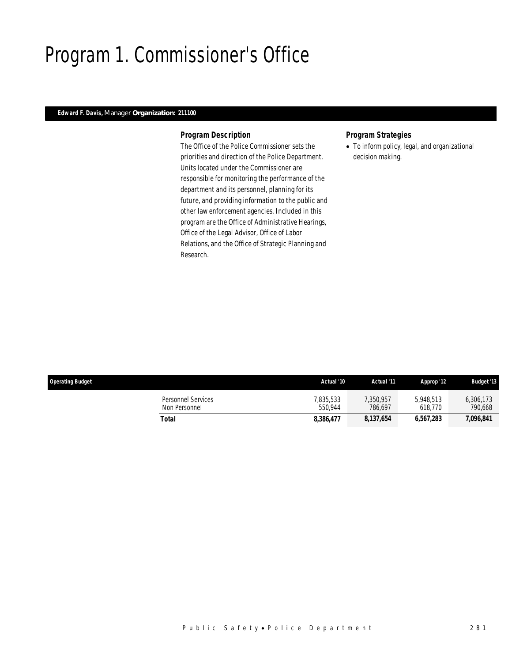## Program 1. Commissioner's Office

## *Edward F. Davis, Manager Organization: 211100*

### *Program Description*

The Office of the Police Commissioner sets the priorities and direction of the Police Department. Units located under the Commissioner are responsible for monitoring the performance of the department and its personnel, planning for its future, and providing information to the public and other law enforcement agencies. Included in this program are the Office of Administrative Hearings, Office of the Legal Advisor, Office of Labor Relations, and the Office of Strategic Planning and Research.

### *Program Strategies*

• To inform policy, legal, and organizational decision making.

| <b>Operating Budget</b>             | Actual '10           | Actual '11          | Approp '12           | <b>Budget '13</b>    |
|-------------------------------------|----------------------|---------------------|----------------------|----------------------|
| Personnel Services<br>Non Personnel | 7.835.533<br>550.944 | ,350,957<br>786.697 | 5.948.513<br>618.770 | 6,306,173<br>790,668 |
| Total                               | 8.386.477            | 8,137,654           | 6,567,283            | 7,096,841            |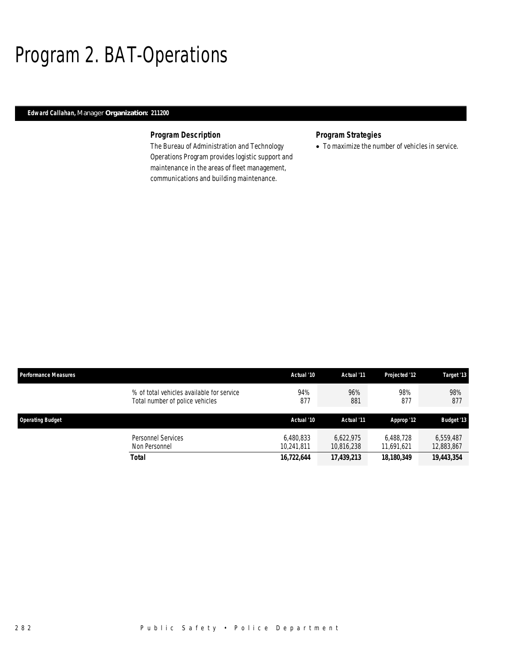## Program 2. BAT-Operations

## *Edward Callahan, Manager Organization: 211200*

## *Program Description*

The Bureau of Administration and Technology Operations Program provides logistic support and maintenance in the areas of fleet management, communications and building maintenance.

## *Program Strategies*

• To maximize the number of vehicles in service.

| Performance Measures                                                         | Actual '10              | Actual '11              | Projected '12           | Target '13              |
|------------------------------------------------------------------------------|-------------------------|-------------------------|-------------------------|-------------------------|
| % of total vehicles available for service<br>Total number of police vehicles | 94%<br>877              | 96%<br>881              | 98%<br>877              | 98%<br>877              |
| <b>Operating Budget</b>                                                      | Actual '10              | Actual '11              | Approp '12              | <b>Budget '13</b>       |
| Personnel Services<br>Non Personnel                                          | 6,480,833<br>10,241,811 | 6.622.975<br>10,816,238 | 6.488.728<br>11,691,621 | 6,559,487<br>12,883,867 |
| <b>Total</b>                                                                 | 16,722,644              | 17,439,213              | 18,180,349              | 19,443,354              |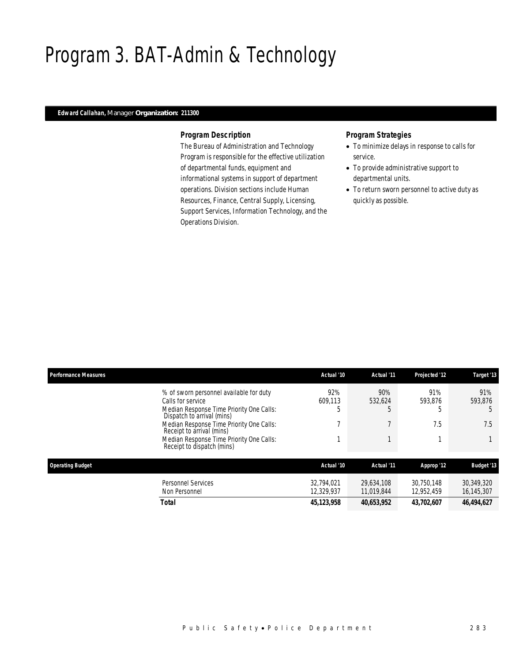## Program 3. BAT-Admin & Technology

## *Edward Callahan, Manager Organization: 211300*

### *Program Description*

The Bureau of Administration and Technology Program is responsible for the effective utilization of departmental funds, equipment and informational systems in support of department operations. Division sections include Human Resources, Finance, Central Supply, Licensing, Support Services, Information Technology, and the Operations Division.

- To minimize delays in response to calls for service.
- To provide administrative support to departmental units.
- To return sworn personnel to active duty as quickly as possible.

| <b>Performance Measures</b> |                                                                        | Actual '10   | Actual '11 | Projected '12 | Target '13        |
|-----------------------------|------------------------------------------------------------------------|--------------|------------|---------------|-------------------|
|                             | % of sworn personnel available for duty                                | 92%          | 90%        | 91%           | 91%               |
|                             | Calls for service                                                      | 609,113      | 532,624    | 593,876       | 593,876           |
|                             | Median Response Time Priority One Calls:<br>Dispatch to arrival (mins) | 5            | b          |               | .5                |
|                             | Median Response Time Priority One Calls:<br>Receipt to arrival (mins)  | ┑            |            | 7.5           | 7.5               |
|                             | Median Response Time Priority One Calls:<br>Receipt to dispatch (mins) |              |            |               |                   |
| <b>Operating Budget</b>     |                                                                        | Actual '10   | Actual '11 | Approp '12    | <b>Budget '13</b> |
|                             | <b>Personnel Services</b>                                              | 32.794.021   | 29.634.108 | 30.750.148    | 30,349,320        |
|                             | Non Personnel                                                          | 12,329,937   | 11.019.844 | 12.952.459    | 16,145,307        |
|                             | <b>Total</b>                                                           | 45, 123, 958 | 40,653,952 | 43,702,607    | 46,494,627        |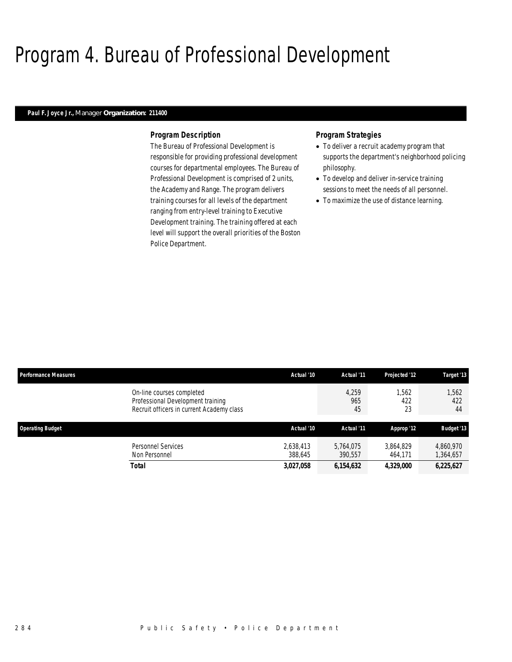## Program 4. Bureau of Professional Development

### *Paul F. Joyce Jr., Manager Organization: 211400*

#### *Program Description*

The Bureau of Professional Development is responsible for providing professional development courses for departmental employees. The Bureau of Professional Development is comprised of 2 units, the Academy and Range. The program delivers training courses for all levels of the department ranging from entry-level training to Executive Development training. The training offered at each level will support the overall priorities of the Boston Police Department.

- To deliver a recruit academy program that supports the department's neighborhood policing philosophy.
- To develop and deliver in-service training sessions to meet the needs of all personnel.
- To maximize the use of distance learning.

| <b>Performance Measures</b>                                                                                 | Actual '10           | Actual '11           | Projected '12        | Target '13             |
|-------------------------------------------------------------------------------------------------------------|----------------------|----------------------|----------------------|------------------------|
| On-line courses completed<br>Professional Development training<br>Recruit officers in current Academy class |                      | 4,259<br>965<br>45   | 1,562<br>422<br>23   | 1,562<br>422<br>44     |
| <b>Operating Budget</b>                                                                                     | Actual '10           | Actual '11           | Approp '12           | <b>Budget '13</b>      |
| Personnel Services<br>Non Personnel                                                                         | 2,638,413<br>388.645 | 5.764.075<br>390,557 | 3,864,829<br>464,171 | 4,860,970<br>1,364,657 |
| Total                                                                                                       | 3,027,058            | 6,154,632            | 4,329,000            | 6,225,627              |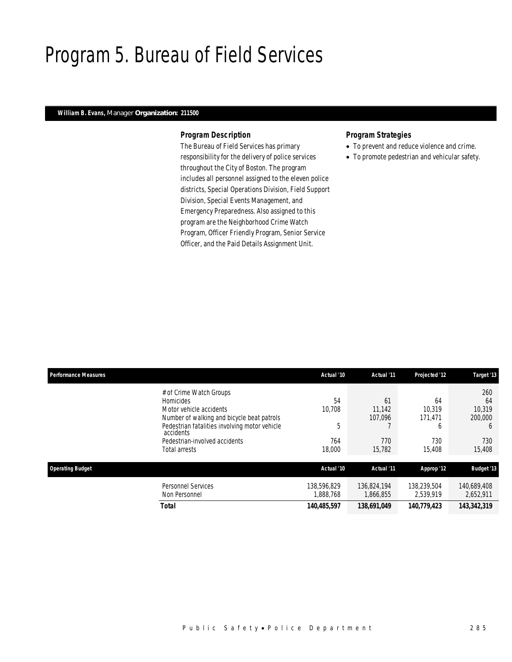## Program 5. Bureau of Field Services

## *William B. Evans, Manager Organization: 211500*

### *Program Description*

The Bureau of Field Services has primary responsibility for the delivery of police services throughout the City of Boston. The program includes all personnel assigned to the eleven police districts, Special Operations Division, Field Support Division, Special Events Management, and Emergency Preparedness. Also assigned to this program are the Neighborhood Crime Watch Program, Officer Friendly Program, Senior Service Officer, and the Paid Details Assignment Unit.

- To prevent and reduce violence and crime.
- To promote pedestrian and vehicular safety.

| <b>Performance Measures</b> |                                                                                                                                                                                                                                      | Actual '10                         | Actual '11                               | Projected '12                                 | Target '13                                                      |
|-----------------------------|--------------------------------------------------------------------------------------------------------------------------------------------------------------------------------------------------------------------------------------|------------------------------------|------------------------------------------|-----------------------------------------------|-----------------------------------------------------------------|
|                             | # of Crime Watch Groups<br>Homicides<br>Motor vehicle accidents<br>Number of walking and bicycle beat patrols<br>Pedestrian fatalities involving motor vehicle<br>accidents<br>Pedestrian-involved accidents<br><b>Total arrests</b> | 54<br>10.708<br>5<br>764<br>18,000 | 61<br>11.142<br>107.096<br>770<br>15,782 | 64<br>10.319<br>171,471<br>O<br>730<br>15,408 | 260<br>64<br>10.319<br>200,000<br><sub>6</sub><br>730<br>15,408 |
| <b>Operating Budget</b>     |                                                                                                                                                                                                                                      | Actual '10                         | Actual '11                               | Approp '12                                    | <b>Budget '13</b>                                               |
|                             | Personnel Services<br>Non Personnel                                                                                                                                                                                                  | 138,596,829<br>1,888,768           | 136,824,194<br>1,866,855                 | 138,239,504<br>2,539,919                      | 140,689,408<br>2,652,911                                        |
|                             | <b>Total</b>                                                                                                                                                                                                                         | 140,485,597                        | 138,691,049                              | 140,779,423                                   | 143,342,319                                                     |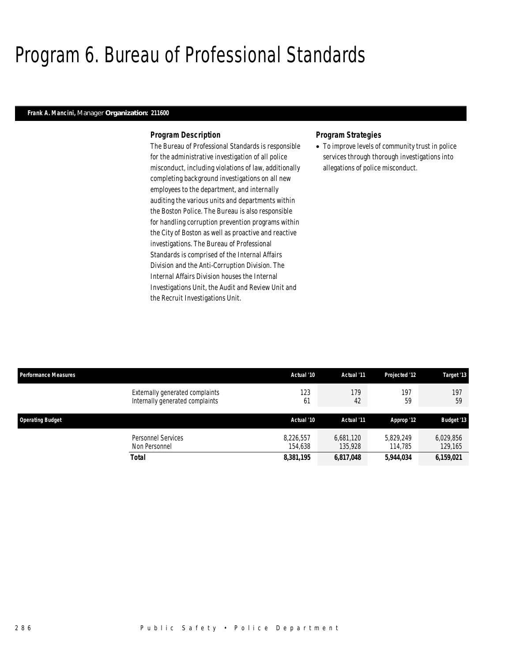## Program 6. Bureau of Professional Standards

### *Frank A. Mancini, Manager Organization: 211600*

#### *Program Description*

The Bureau of Professional Standards is responsible for the administrative investigation of all police misconduct, including violations of law, additionally completing background investigations on all new employees to the department, and internally auditing the various units and departments within the Boston Police. The Bureau is also responsible for handling corruption prevention programs within the City of Boston as well as proactive and reactive investigations. The Bureau of Professional Standards is comprised of the Internal Affairs Division and the Anti-Corruption Division. The Internal Affairs Division houses the Internal Investigations Unit, the Audit and Review Unit and the Recruit Investigations Unit.

### *Program Strategies*

• To improve levels of community trust in police services through thorough investigations into allegations of police misconduct.

| <b>Performance Measures</b>                                        | Actual '10           | Actual '11           | Projected '12        | Target '13           |
|--------------------------------------------------------------------|----------------------|----------------------|----------------------|----------------------|
| Externally generated complaints<br>Internally generated complaints | 123<br>61            | 179<br>42            | 197<br>59            | 197<br>59            |
| <b>Operating Budget</b>                                            | Actual '10           | Actual '11           | Approp '12           | <b>Budget '13</b>    |
| Personnel Services<br>Non Personnel                                | 8.226.557<br>154.638 | 6.681.120<br>135,928 | 5.829.249<br>114,785 | 6.029.856<br>129,165 |
| <b>Total</b>                                                       | 8,381,195            | 6,817,048            | 5,944,034            | 6,159,021            |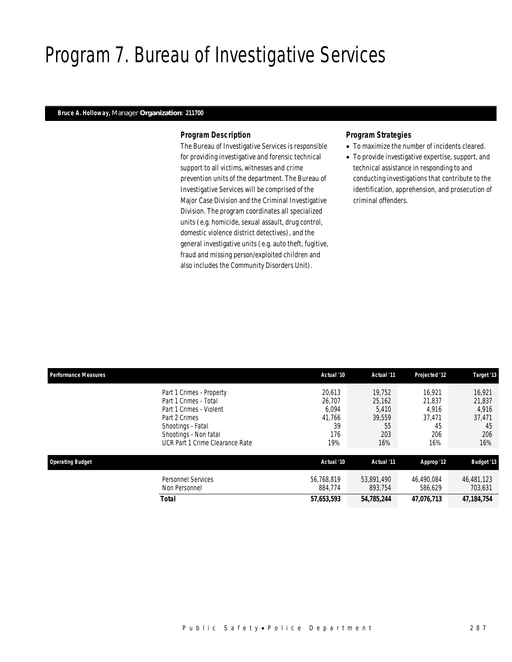## Program 7. Bureau of Investigative Services

### *Bruce A. Holloway, Manager Organization: 211700*

### *Program Description*

The Bureau of Investigative Services is responsible for providing investigative and forensic technical support to all victims, witnesses and crime prevention units of the department. The Bureau of Investigative Services will be comprised of the Major Case Division and the Criminal Investigative Division. The program coordinates all specialized units (e.g. homicide, sexual assault, drug control, domestic violence district detectives), and the general investigative units (e.g. auto theft, fugitive, fraud and missing person/exploited children and also includes the Community Disorders Unit).

- To maximize the number of incidents cleared.
- To provide investigative expertise, support, and technical assistance in responding to and conducting investigations that contribute to the identification, apprehension, and prosecution of criminal offenders.

| <b>Performance Measures</b> |                                                                                                                                                                                | Actual '10                                              | Actual '11                                              | Projected '12                                           | Target '13                                              |
|-----------------------------|--------------------------------------------------------------------------------------------------------------------------------------------------------------------------------|---------------------------------------------------------|---------------------------------------------------------|---------------------------------------------------------|---------------------------------------------------------|
|                             | Part 1 Crimes - Property<br>Part 1 Crimes - Total<br>Part 1 Crimes - Violent<br>Part 2 Crimes<br>Shootings - Fatal<br>Shootings - Non fatal<br>UCR Part 1 Crime Clearance Rate | 20.613<br>26.707<br>6,094<br>41,766<br>39<br>176<br>19% | 19.752<br>25,162<br>5,410<br>39,559<br>55<br>203<br>16% | 16.921<br>21.837<br>4,916<br>37,471<br>45<br>206<br>16% | 16,921<br>21,837<br>4,916<br>37,471<br>45<br>206<br>16% |
| <b>Operating Budget</b>     |                                                                                                                                                                                | Actual '10                                              | Actual '11                                              | Approp '12                                              | <b>Budget '13</b>                                       |
|                             | Personnel Services<br>Non Personnel                                                                                                                                            | 56.768.819<br>884.774                                   | 53,891,490<br>893,754                                   | 46.490.084<br>586.629                                   | 46,481,123<br>703,631                                   |
|                             | <b>Total</b>                                                                                                                                                                   | 57,653,593                                              | 54,785,244                                              | 47,076,713                                              | 47, 184, 754                                            |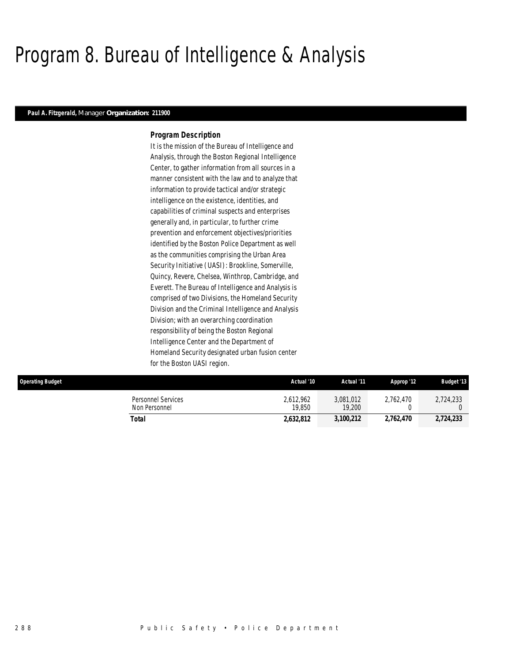## Program 8. Bureau of Intelligence & Analysis

### *Paul A. Fitzgerald, Manager Organization: 211900*

### *Program Description*

It is the mission of the Bureau of Intelligence and Analysis, through the Boston Regional Intelligence Center, to gather information from all sources in a manner consistent with the law and to analyze that information to provide tactical and/or strategic intelligence on the existence, identities, and capabilities of criminal suspects and enterprises generally and, in particular, to further crime prevention and enforcement objectives/priorities identified by the Boston Police Department as well as the communities comprising the Urban Area Security Initiative (UASI): Brookline, Somerville, Quincy, Revere, Chelsea, Winthrop, Cambridge, and Everett. The Bureau of Intelligence and Analysis is comprised of two Divisions, the Homeland Security Division and the Criminal Intelligence and Analysis Division; with an overarching coordination responsibility of being the Boston Regional Intelligence Center and the Department of Homeland Security designated urban fusion center for the Boston UASI region.

| <b>Operating Budget</b>             | Actual '10          | Actual '11          | Approp '12 | <b>Budget '13</b> |
|-------------------------------------|---------------------|---------------------|------------|-------------------|
| Personnel Services<br>Non Personnel | 2,612,962<br>19.850 | 3,081,012<br>19,200 | 2.762.470  | 2,724,233         |
| Total                               | 2.632.812           | 3,100,212           | 2,762,470  | 2,724,233         |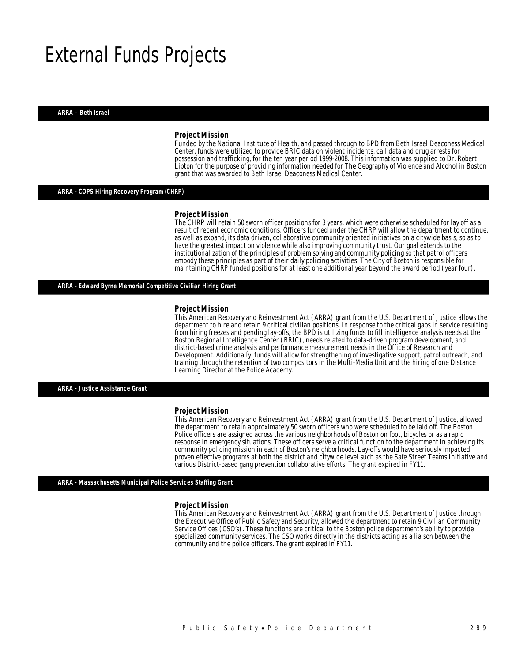## External Funds Projects

*ARRA – Beth Israel* 

#### *Project Mission*

Funded by the National Institute of Health, and passed through to BPD from Beth Israel Deaconess Medical Center, funds were utilized to provide BRIC data on violent incidents, call data and drug arrests for possession and trafficking, for the ten year period 1999-2008. This information was supplied to Dr. Robert Lipton for the purpose of providing information needed for The Geography of Violence and Alcohol in Boston grant that was awarded to Beth Israel Deaconess Medical Center. Ì

#### *ARRA - COPS Hiring Recovery Program (CHRP)*

#### *Project Mission*

The CHRP will retain 50 sworn officer positions for 3 years, which were otherwise scheduled for lay off as a result of recent economic conditions. Officers funded under the CHRP will allow the department to continue, as well as expand, its data driven, collaborative community oriented initiatives on a citywide basis, so as to have the greatest impact on violence while also improving community trust. Our goal extends to the institutionalization of the principles of problem solving and community policing so that patrol officers embody these principles as part of their daily policing activities. The City of Boston is responsible for maintaining CHRP funded positions for at least one additional year beyond the award period (year four).

#### *ARRA - Edward Byrne Memorial Competitive Civilian Hiring Grant*

#### *Project Mission*

This American Recovery and Reinvestment Act (ARRA) grant from the U.S. Department of Justice allows the department to hire and retain 9 critical civilian positions. In response to the critical gaps in service resulting from hiring freezes and pending lay-offs, the BPD is utilizing funds to fill intelligence analysis needs at the Boston Regional Intelligence Center (BRIC), needs related to data-driven program development, and district-based crime analysis and performance measurement needs in the Office of Research and Development. Additionally, funds will allow for strengthening of investigative support, patrol outreach, and training through the retention of two compositors in the Multi-Media Unit and the hiring of one Distance Learning Director at the Police Academy.

*ARRA - Justice Assistance Grant* 

#### *Project Mission*

This American Recovery and Reinvestment Act (ARRA) grant from the U.S. Department of Justice, allowed the department to retain approximately 50 sworn officers who were scheduled to be laid off. The Boston Police officers are assigned across the various neighborhoods of Boston on foot, bicycles or as a rapid response in emergency situations. These officers serve a critical function to the department in achieving its community policing mission in each of Boston's neighborhoods. Lay-offs would have seriously impacted proven effective programs at both the district and citywide level such as the Safe Street Teams Initiative and various District-based gang prevention collaborative efforts. The grant expired in FY11.

#### *ARRA - Massachusetts Municipal Police Services Staffing Grant*

#### *Project Mission*

This American Recovery and Reinvestment Act (ARRA) grant from the U.S. Department of Justice through the Executive Office of Public Safety and Security, allowed the department to retain 9 Civilian Community Service Offices (CSO's). These functions are critical to the Boston police department's ability to provide specialized community services. The CSO works directly in the districts acting as a liaison between the community and the police officers. The grant expired in FY11.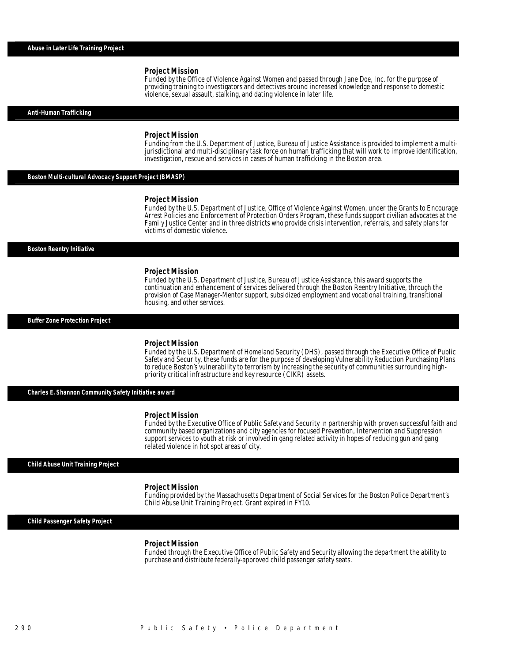Funded by the Office of Violence Against Women and passed through Jane Doe, Inc. for the purpose of providing training to investigators and detectives around increased knowledge and response to domestic violence, sexual assault, stalking, and dating violence in later life.

*Anti-Human Trafficking* 

#### *Project Mission*

Funding from the U.S. Department of Justice, Bureau of Justice Assistance is provided to implement a multijurisdictional and multi-disciplinary task force on human trafficking that will work to improve identification, investigation, rescue and services in cases of human trafficking in the Boston area.

#### *Boston Multi-cultural Advocacy Support Project (BMASP)*

#### *Project Mission*

Funded by the U.S. Department of Justice, Office of Violence Against Women, under the Grants to Encourage Arrest Policies and Enforcement of Protection Orders Program, these funds support civilian advocates at the Family Justice Center and in three districts who provide crisis intervention, referrals, and safety plans for victims of domestic violence.

#### *Boston Reentry Initiative*

#### *Project Mission*

Funded by the U.S. Department of Justice, Bureau of Justice Assistance, this award supports the continuation and enhancement of services delivered through the Boston Reentry Initiative, through the provision of Case Manager-Mentor support, subsidized employment and vocational training, transitional housing, and other services.

#### *Buffer Zone Protection Project*

#### *Project Mission*

Funded by the U.S. Department of Homeland Security (DHS), passed through the Executive Office of Public Safety and Security, these funds are for the purpose of developing Vulnerability Reduction Purchasing Plans to reduce Boston's vulnerability to terrorism by increasing the security of communities surrounding highpriority critical infrastructure and key resource (CIKR) assets.

*Charles E. Shannon Community Safety Initiative award* 

#### *Project Mission*

Î

Funded by the Executive Office of Public Safety and Security in partnership with proven successful faith and community based organizations and city agencies for focused Prevention, Intervention and Suppression support services to youth at risk or involved in gang related activity in hopes of reducing gun and gang related violence in hot spot areas of city.

#### *Child Abuse Unit Training Project*

#### *Project Mission*

Funding provided by the Massachusetts Department of Social Services for the Boston Police Department's Child Abuse Unit Training Project. Grant expired in FY10.

*Child Passenger Safety Project* 

#### *Project Mission*

Funded through the Executive Office of Public Safety and Security allowing the department the ability to purchase and distribute federally-approved child passenger safety seats.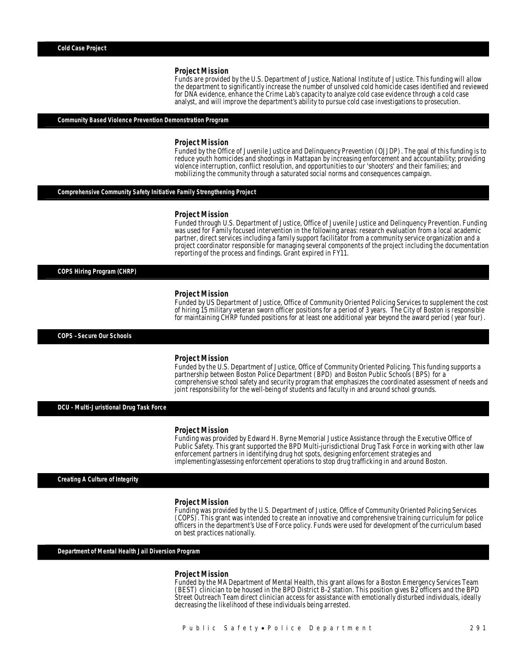Funds are provided by the U.S. Department of Justice, National Institute of Justice. This funding will allow the department to significantly increase the number of unsolved cold homicide cases identified and reviewed for DNA evidence, enhance the Crime Lab's capacity to analyze cold case evidence through a cold case analyst, and will improve the department's ability to pursue cold case investigations to prosecution.

#### *Community Based Violence Prevention Demonstration Program*

#### *Project Mission*

Funded by the Office of Juvenile Justice and Delinquency Prevention (OJJDP). The goal of this funding is to reduce youth homicides and shootings in Mattapan by increasing enforcement and accountability; providing violence interruption, conflict resolution, and opportunities to our 'shooters' and their families; and mobilizing the community through a saturated social norms and consequences campaign.

#### *Comprehensive Community Safety Initiative Family Strengthening Project*

#### *Project Mission*

Funded through U.S. Department of Justice, Office of Juvenile Justice and Delinquency Prevention. Funding was used for Family focused intervention in the following areas: research evaluation from a local academic partner, direct services including a family support facilitator from a community service organization and a project coordinator responsible for managing several components of the project including the documentation reporting of the process and findings. Grant expired in FY11.

*COPS Hiring Program (CHRP)* 

#### *Project Mission*

Funded by US Department of Justice, Office of Community Oriented Policing Services to supplement the cost of hiring 15 military veteran sworn officer positions for a period of 3 years. The City of Boston is responsible for maintaining CHRP funded positions for at least one additional year beyond the award period (year four).

*COPS –Secure Our Schools* 

#### *Project Mission*

Funded by the U.S. Department of Justice, Office of Community Oriented Policing. This funding supports a partnership between Boston Police Department (BPD) and Boston Public Schools (BPS) for a comprehensive school safety and security program that emphasizes the coordinated assessment of needs and joint responsibility for the well-being of students and faculty in and around school grounds.

*DCU - Multi-Juristional Drug Task Force* 

#### *Project Mission*

Ī

Funding was provided by Edward H. Byrne Memorial Justice Assistance through the Executive Office of Public Safety. This grant supported the BPD Multi-jurisdictional Drug Task Force in working with other law enforcement partners in identifying drug hot spots, designing enforcement strategies and implementing/assessing enforcement operations to stop drug trafficking in and around Boston.

*Creating A Culture of Integrity* 

#### *Project Mission*

Funding was provided by the U.S. Department of Justice, Office of Community Oriented Policing Services (COPS). This grant was intended to create an innovative and comprehensive training curriculum for police officers in the department's Use of Force policy. Funds were used for development of the curriculum based on best practices nationally.

*Department of Mental Health Jail Diversion Program* 

#### *Project Mission*

Funded by the MA Department of Mental Health, this grant allows for a Boston Emergency Services Team (BEST) clinician to be housed in the BPD District B-2 station. This position gives B2 officers and the BPD Street Outreach Team direct clinician access for assistance with emotionally disturbed individuals, ideally decreasing the likelihood of these individuals being arrested.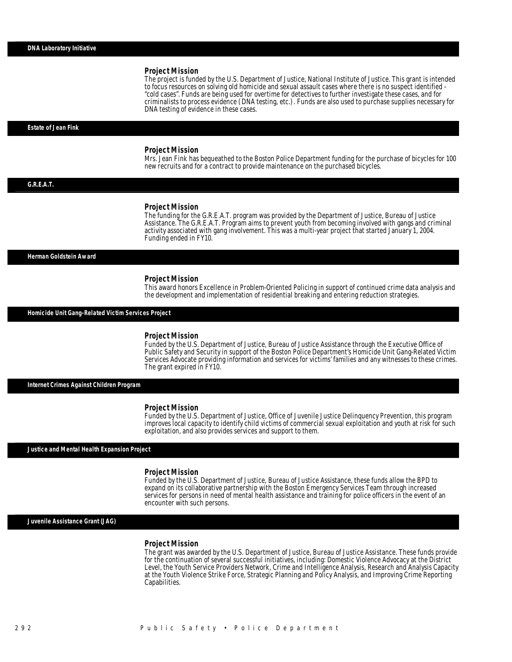The project is funded by the U.S. Department of Justice, National Institute of Justice. This grant is intended to focus resources on solving old homicide and sexual assault cases where there is no suspect identified - "cold cases". Funds are being used for overtime for detectives to further investigate these cases, and for criminalists to process evidence (DNA testing, etc.). Funds are also used to purchase supplies necessary for DNA testing of evidence in these cases.

*Estate of Jean Fink* 

#### *Project Mission*

Mrs. Jean Fink has bequeathed to the Boston Police Department funding for the purchase of bicycles for 100 new recruits and for a contract to provide maintenance on the purchased bicycles. 

*G.R.E.A.T.* 

#### *Project Mission*

The funding for the G.R.E.A.T. program was provided by the Department of Justice, Bureau of Justice Assistance. The G.R.E.A.T. Program aims to prevent youth from becoming involved with gangs and criminal activity associated with gang involvement. This was a multi-year project that started January 1, 2004. Funding ended in FY10.

#### *Herman Goldstein Award*

#### *Project Mission*

This award honors Excellence in Problem-Oriented Policing in support of continued crime data analysis and the development and implementation of residential breaking and entering reduction strategies.

*Homicide Unit Gang-Related Victim Services Project* 

#### *Project Mission*

Funded by the U.S. Department of Justice, Bureau of Justice Assistance through the Executive Office of Public Safety and Security in support of the Boston Police Department's Homicide Unit Gang-Related Victim Services Advocate providing information and services for victims' families and any witnesses to these crimes. The grant expired in FY10.

*Internet Crimes Against Children Program* 

#### *Project Mission*

Funded by the U.S. Department of Justice, Office of Juvenile Justice Delinquency Prevention, this program improves local capacity to identify child victims of commercial sexual exploitation and youth at risk for such exploitation, and also provides services and support to them.

*Justice and Mental Health Expansion Project* 

#### *Project Mission*

Funded by the U.S. Department of Justice, Bureau of Justice Assistance, these funds allow the BPD to expand on its collaborative partnership with the Boston Emergency Services Team through increased services for persons in need of mental health assistance and training for police officers in the event of an encounter with such persons.

*Juvenile Assistance Grant (JAG)* 

#### *Project Mission*

The grant was awarded by the U.S. Department of Justice, Bureau of Justice Assistance. These funds provide for the continuation of several successful initiatives, including: Domestic Violence Advocacy at the District Level, the Youth Service Providers Network, Crime and Intelligence Analysis, Research and Analysis Capacity at the Youth Violence Strike Force, Strategic Planning and Policy Analysis, and Improving Crime Reporting Capabilities.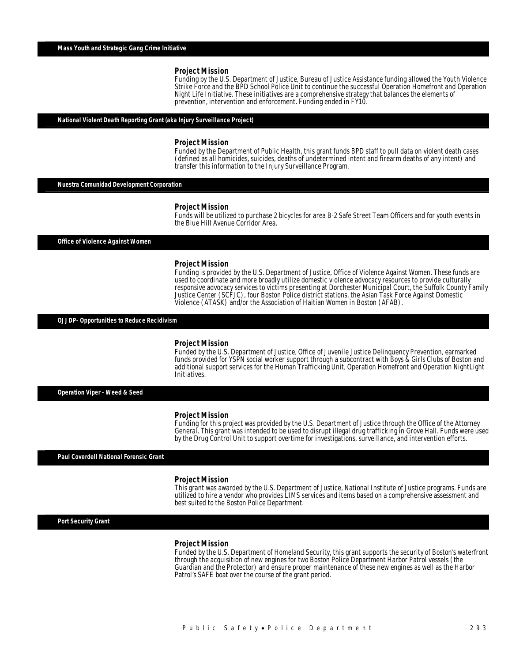Funding by the U.S. Department of Justice, Bureau of Justice Assistance funding allowed the Youth Violence Strike Force and the BPD School Police Unit to continue the successful Operation Homefront and Operation Night Life Initiative. These initiatives are a comprehensive strategy that balances the elements of prevention, intervention and enforcement. Funding ended in FY10.

#### *National Violent Death Reporting Grant (aka Injury Surveillance Project)*

Î

#### *Project Mission*

Funded by the Department of Public Health, this grant funds BPD staff to pull data on violent death cases (defined as all homicides, suicides, deaths of undetermined intent and firearm deaths of any intent) and transfer this information to the Injury Surveillance Program.

*Nuestra Comunidad Development Corporation* 

#### *Project Mission*

Funds will be utilized to purchase 2 bicycles for area B-2 Safe Street Team Officers and for youth events in the Blue Hill Avenue Corridor Area.

*Office of Violence Against Women* 

#### *Project Mission*

Funding is provided by the U.S. Department of Justice, Office of Violence Against Women. These funds are used to coordinate and more broadly utilize domestic violence advocacy resources to provide culturally responsive advocacy services to victims presenting at Dorchester Municipal Court, the Suffolk County Family Justice Center (SCFJC), four Boston Police district stations, the Asian Task Force Against Domestic Violence (ATASK) and/or the Association of Haitian Women in Boston (AFAB).

*OJJDP- Opportunities to Reduce Recidivism* 

#### *Project Mission*

Funded by the U.S. Department of Justice, Office of Juvenile Justice Delinquency Prevention, earmarked funds provided for YSPN social worker support through a subcontract with Boys & Girls Clubs of Boston and additional support services for the Human Trafficking Unit, Operation Homefront and Operation NightLight Initiatives.

*Operation Viper - Weed & Seed* 

#### *Project Mission*

Funding for this project was provided by the U.S. Department of Justice through the Office of the Attorney General. This grant was intended to be used to disrupt illegal drug trafficking in Grove Hall. Funds were used by the Drug Control Unit to support overtime for investigations, surveillance, and intervention efforts.

*Paul Coverdell National Forensic Grant* 

#### *Project Mission*

This grant was awarded by the U.S. Department of Justice, National Institute of Justice programs. Funds are utilized to hire a vendor who provides LIMS services and items based on a comprehensive assessment and best suited to the Boston Police Department.

*Port Security Grant* 

#### *Project Mission*

Funded by the U.S. Department of Homeland Security, this grant supports the security of Boston's waterfront through the acquisition of new engines for two Boston Police Department Harbor Patrol vessels (the Guardian and the Protector) and ensure proper maintenance of these new engines as well as the Harbor Patrol's SAFE boat over the course of the grant period.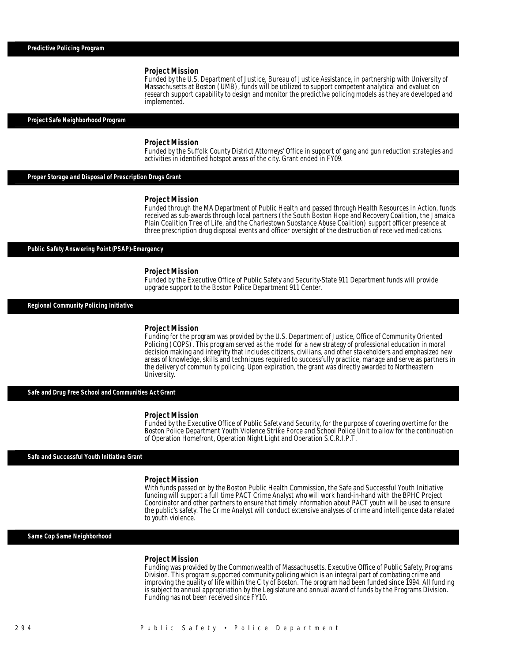Funded by the U.S. Department of Justice, Bureau of Justice Assistance, in partnership with University of Massachusetts at Boston (UMB), funds will be utilized to support competent analytical and evaluation research support capability to design and monitor the predictive policing models as they are developed and implemented.

### *Project Safe Neighborhood Program*

#### *Project Mission*

Funded by the Suffolk County District Attorneys' Office in support of gang and gun reduction strategies and activities in identified hotspot areas of the city. Grant ended in FY09.

*Proper Storage and Disposal of Prescription Drugs Grant* 

#### *Project Mission*

Funded through the MA Department of Public Health and passed through Health Resources in Action, funds received as sub-awards through local partners (the South Boston Hope and Recovery Coalition, the Jamaica Plain Coalition Tree of Life, and the Charlestown Substance Abuse Coalition) support officer presence at three prescription drug disposal events and officer oversight of the destruction of received medications.

*Public Safety Answering Point (PSAP)-Emergency* 

#### *Project Mission*

Funded by the Executive Office of Public Safety and Security-State 911 Department funds will provide upgrade support to the Boston Police Department 911 Center.

*Regional Community Policing Initiative* 

#### *Project Mission*

Funding for the program was provided by the U.S. Department of Justice, Office of Community Oriented Policing (COPS). This program served as the model for a new strategy of professional education in moral decision making and integrity that includes citizens, civilians, and other stakeholders and emphasized new areas of knowledge, skills and techniques required to successfully practice, manage and serve as partners in the delivery of community policing. Upon expiration, the grant was directly awarded to Northeastern University.

*Safe and Drug Free School and Communities Act Grant* 

#### *Project Mission*

Funded by the Executive Office of Public Safety and Security, for the purpose of covering overtime for the Boston Police Department Youth Violence Strike Force and School Police Unit to allow for the continuation of Operation Homefront, Operation Night Light and Operation S.C.R.I.P.T.

#### *Safe and Successful Youth Initiative Grant*

#### *Project Mission*

With funds passed on by the Boston Public Health Commission, the Safe and Successful Youth Initiative funding will support a full time PACT Crime Analyst who will work hand-in-hand with the BPHC Project Coordinator and other partners to ensure that timely information about PACT youth will be used to ensure the public's safety. The Crime Analyst will conduct extensive analyses of crime and intelligence data related to youth violence.

#### *Same Cop Same Neighborhood*

#### *Project Mission*

Funding was provided by the Commonwealth of Massachusetts, Executive Office of Public Safety, Programs Division. This program supported community policing which is an integral part of combating crime and improving the quality of life within the City of Boston. The program had been funded since 1994. All funding is subject to annual appropriation by the Legislature and annual award of funds by the Programs Division. Funding has not been received since FY10.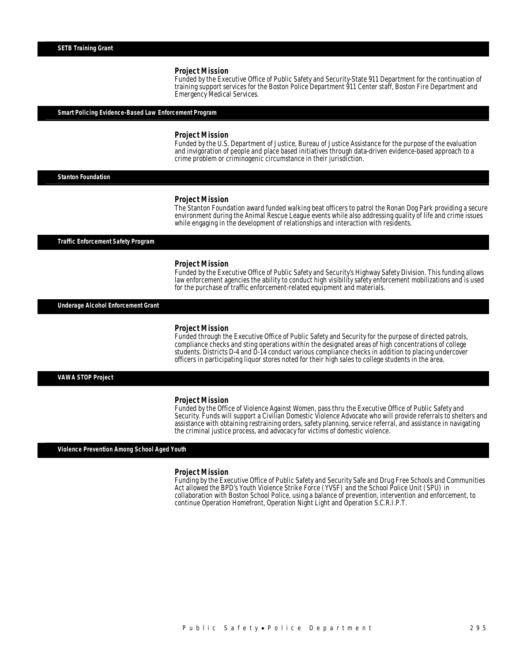Funded by the Executive Office of Public Safety and Security-State 911 Department for the continuation of training support services for the Boston Police Department 911 Center staff, Boston Fire Department and Emergency Medical Services.

#### *Smart Policing Evidence-Based Law Enforcement Program*

#### *Project Mission*

Funded by the U.S. Department of Justice, Bureau of Justice Assistance for the purpose of the evaluation and invigoration of people and place based initiatives through data-driven evidence-based approach to a crime problem or criminogenic circumstance in their jurisdiction.

*Stanton Foundation* 

#### *Project Mission*

The Stanton Foundation award funded walking beat officers to patrol the Ronan Dog Park providing a secure environment during the Animal Rescue League events while also addressing quality of life and crime issues while engaging in the development of relationships and interaction with residents.

*Traffic Enforcement Safety Program* 

#### *Project Mission*

Funded by the Executive Office of Public Safety and Security's Highway Safety Division. This funding allows law enforcement agencies the ability to conduct high visibility safety enforcement mobilizations and is used for the purchase of traffic enforcement-related equipment and materials.

*Underage Alcohol Enforcement Grant* 

#### *Project Mission*

Funded through the Executive Office of Public Safety and Security for the purpose of directed patrols, compliance checks and sting operations within the designated areas of high concentrations of college students. Districts D-4 and D-14 conduct various compliance checks in addition to placing undercover officers in participating liquor stores noted for their high sales to college students in the area. 

*VAWA STOP Project* 

#### *Project Mission*

Funded by the Office of Violence Against Women, pass thru the Executive Office of Public Safety and Security. Funds will support a Civilian Domestic Violence Advocate who will provide referrals to shelters and assistance with obtaining restraining orders, safety planning, service referral, and assistance in navigating the criminal justice process, and advocacy for victims of domestic violence.

*Violence Prevention Among School Aged Youth* 

#### *Project Mission*

Funding by the Executive Office of Public Safety and Security Safe and Drug Free Schools and Communities Act allowed the BPD's Youth Violence Strike Force (YVSF) and the School Police Unit (SPU) in collaboration with Boston School Police, using a balance of prevention, intervention and enforcement, to continue Operation Homefront, Operation Night Light and Operation S.C.R.I.P.T.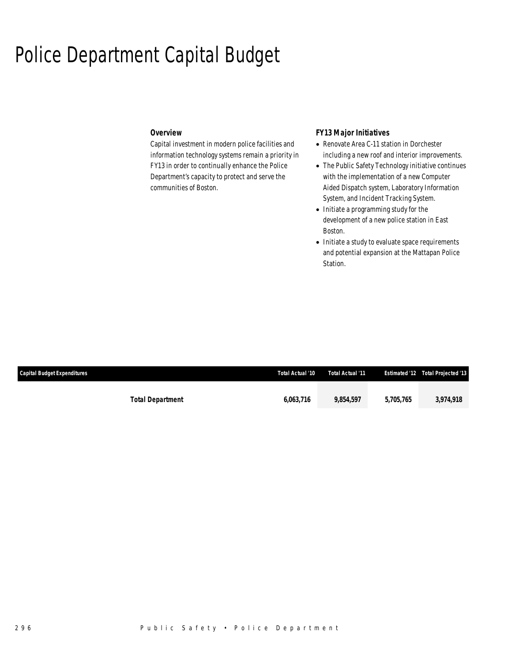## Police Department Capital Budget

## *Overview*

Capital investment in modern police facilities and information technology systems remain a priority in FY13 in order to continually enhance the Police Department's capacity to protect and serve the communities of Boston.

## *FY13 Major Initiatives*

- Renovate Area C-11 station in Dorchester including a new roof and interior improvements.
- The Public Safety Technology initiative continues with the implementation of a new Computer Aided Dispatch system, Laboratory Information System, and Incident Tracking System.
- Initiate a programming study for the development of a new police station in East Boston.
- Initiate a study to evaluate space requirements and potential expansion at the Mattapan Police Station.

| <b>Capital Budget Expenditures</b> | Total Actual '10 | Total Actual '11 |           | <b>Estimated '12 Total Projected '13</b> |
|------------------------------------|------------------|------------------|-----------|------------------------------------------|
|                                    |                  |                  |           |                                          |
| <b>Total Department</b>            | 6.063.716        | 9.854.597        | 5.705.765 | 3,974,918                                |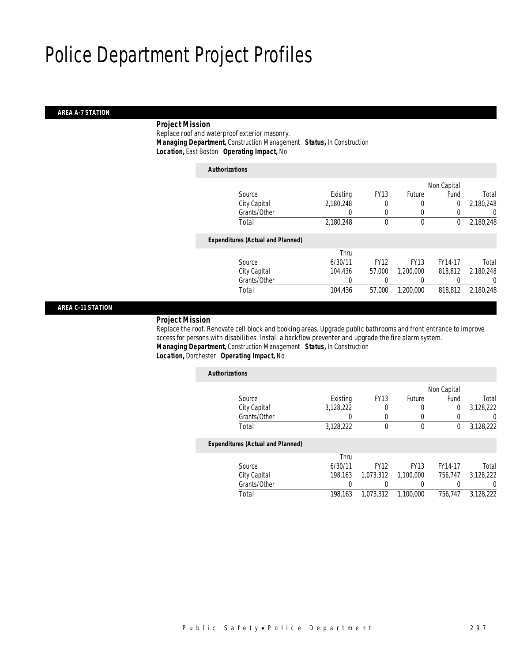#### *AREA A-7 STATION*

## *Project Mission*

 Replace roof and waterproof exterior masonry. *Managing Department,* Construction Management *Status,* In Construction *Location,* East Boston *Operating Impact,* No

| <b>Authorizations</b>                    |           |             |             |                |           |
|------------------------------------------|-----------|-------------|-------------|----------------|-----------|
|                                          |           |             |             | Non Capital    |           |
| Source                                   | Existing  | <b>FY13</b> | Future      | Fund           | Total     |
| City Capital                             | 2,180,248 | 0           | 0           | $\overline{0}$ | 2,180,248 |
| Grants/Other                             | 0         | 0           | $\left($    | 0              | 0         |
| Total                                    | 2,180,248 | $\theta$    | $\theta$    | 0              | 2,180,248 |
| <b>Expenditures (Actual and Planned)</b> |           |             |             |                |           |
|                                          | Thru      |             |             |                |           |
| Source                                   | 6/30/11   | <b>FY12</b> | <b>FY13</b> | FY14-17        | Total     |
| City Capital                             | 104.436   | 57.000      | 1.200.000   | 818,812        | 2,180,248 |
| Grants/Other                             | 0         |             |             |                | 0         |
| Total                                    | 104,436   | 57.000      | 1.200.000   | 818,812        | 2,180,248 |
|                                          |           |             |             |                |           |

## *AREA C-11 STATION*

#### *Project Mission*

 Replace the roof. Renovate cell block and booking areas. Upgrade public bathrooms and front entrance to improve access for persons with disabilities. Install a backflow preventer and upgrade the fire alarm system. *Managing Department,* Construction Management *Status,* In Construction

### *Location,* Dorchester *Operating Impact,* No

| <b>Authorizations</b>                    |           |             |             |             |                  |
|------------------------------------------|-----------|-------------|-------------|-------------|------------------|
|                                          |           |             |             | Non Capital |                  |
| Source                                   | Existing  | <b>FY13</b> | Future      | Fund        | Total            |
| City Capital                             | 3,128,222 | 0           | 0           | 0           | 3,128,222        |
| Grants/Other                             |           | 0           | 0           |             | U                |
| Total                                    | 3,128,222 | 0           | 0           | 0           | 3,128,222        |
| <b>Expenditures (Actual and Planned)</b> |           |             |             |             |                  |
|                                          | Thru      |             |             |             |                  |
| Source                                   | 6/30/11   | <b>FY12</b> | <b>FY13</b> | FY14-17     | Total            |
| City Capital                             | 198.163   | 1,073,312   | 1.100.000   | 756.747     | 3,128,222        |
| Grants/Other                             |           |             | 0           |             | $\left( \right)$ |
| Total                                    | 198.163   | 1.073.312   | 1.100.000   | 756.747     | 3.128.222        |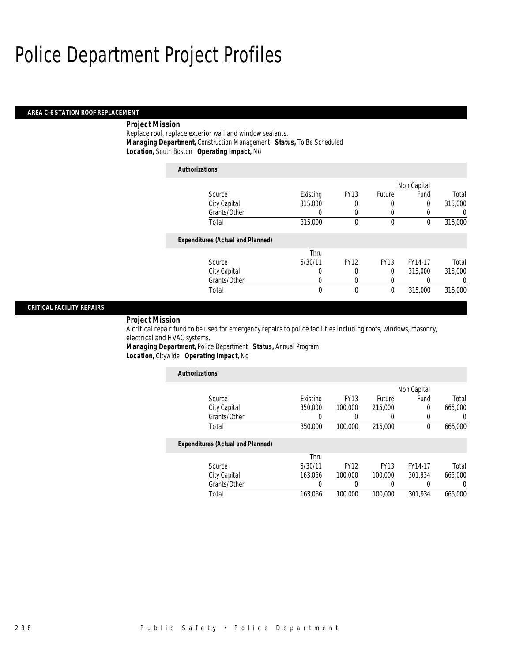#### *AREA C-6 STATION ROOF REPLACEMENT*

## *Project Mission*

Replace roof, replace exterior wall and window sealants. *Managing Department,* Construction Management *Status,* To Be Scheduled *Location,* South Boston *Operating Impact,* No

| <b>Authorizations</b>                    |              |              |             |             |             |                |
|------------------------------------------|--------------|--------------|-------------|-------------|-------------|----------------|
|                                          |              |              |             |             | Non Capital |                |
| Source                                   |              | Existing     | <b>FY13</b> | Future      | Fund        | Total          |
| City Capital                             |              | 315,000      | 0           | 0           | 0           | 315,000        |
|                                          | Grants/Other | 0            | 0           | 0           | 0           | $\overline{0}$ |
| Total                                    |              | 315,000      | 0           | 0           | 0           | 315,000        |
| <b>Expenditures (Actual and Planned)</b> |              |              |             |             |             |                |
|                                          |              | Thru         |             |             |             |                |
| Source                                   |              | 6/30/11      | <b>FY12</b> | <b>FY13</b> | FY14-17     | Total          |
| City Capital                             |              | 0            | 0           | 0           | 315,000     | 315,000        |
|                                          | Grants/Other | 0            | 0           | 0           | 0           | 0              |
| Total                                    |              | $\mathbf{0}$ | 0           | 0           | 315,000     | 315,000        |
|                                          |              |              |             |             |             |                |

#### *CRITICAL FACILITY REPAIRS*

#### *Project Mission*

A critical repair fund to be used for emergency repairs to police facilities including roofs, windows, masonry, electrical and HVAC systems.

*Managing Department,* Police Department *Status,* Annual Program *Location,* Citywide *Operating Impact,* No

| <b>Authorizations</b>                    |          |             |             |             |                  |
|------------------------------------------|----------|-------------|-------------|-------------|------------------|
|                                          |          |             |             | Non Capital |                  |
| Source                                   | Existing | <b>FY13</b> | Future      | Fund        | Total            |
| City Capital                             | 350,000  | 100,000     | 215,000     | 0           | 665,000          |
| Grants/Other                             | 0        |             |             |             | 0                |
| Total                                    | 350,000  | 100,000     | 215,000     | $\theta$    | 665,000          |
| <b>Expenditures (Actual and Planned)</b> |          |             |             |             |                  |
|                                          | Thru     |             |             |             |                  |
| Source                                   | 6/30/11  | <b>FY12</b> | <b>FY13</b> | FY14-17     | Total            |
| City Capital                             | 163.066  | 100,000     | 100,000     | 301.934     | 665,000          |
| Grants/Other                             | 0        | 0           |             | 0           | $\left( \right)$ |
| Total                                    | 163.066  | 100,000     | 100,000     | 301.934     | 665,000          |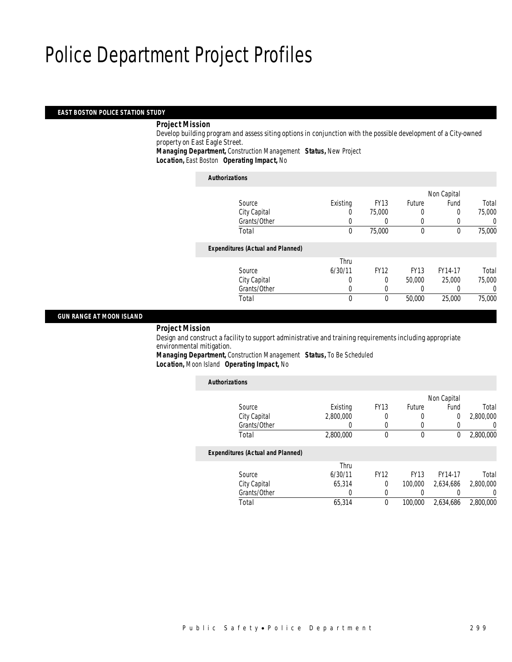### *EAST BOSTON POLICE STATION STUDY*

#### *Project Mission*

 Develop building program and assess siting options in conjunction with the possible development of a City-owned property on East Eagle Street.

*Managing Department,* Construction Management *Status,* New Project

*Location,* East Boston *Operating Impact,* No

| <b>Authorizations</b>                    |          |             |             |             |        |
|------------------------------------------|----------|-------------|-------------|-------------|--------|
|                                          |          |             |             | Non Capital |        |
| Source                                   | Existing | <b>FY13</b> | Future      | Fund        | Total  |
| City Capital                             | 0        | 75,000      | 0           | 0           | 75,000 |
| Grants/Other                             |          | $\left($    | 0           | 0           |        |
| Total                                    | 0        | 75,000      | 0           | 0           | 75,000 |
| <b>Expenditures (Actual and Planned)</b> |          |             |             |             |        |
|                                          | Thru     |             |             |             |        |
| Source                                   | 6/30/11  | <b>FY12</b> | <b>FY13</b> | FY14-17     | Total  |
| City Capital                             | 0        | 0           | 50,000      | 25,000      | 75,000 |
| Grants/Other                             | 0        | 0           |             | 0           |        |
| Total                                    | 0        | $\theta$    | 50,000      | 25,000      | 75,000 |

### *GUN RANGE AT MOON ISLAND*

*Project Mission*

 Design and construct a facility to support administrative and training requirements including appropriate environmental mitigation.

*Managing Department,* Construction Management *Status,* To Be Scheduled *Location,* Moon Island *Operating Impact,* No

| <b>Authorizations</b>                    |           |             |             |             |                  |
|------------------------------------------|-----------|-------------|-------------|-------------|------------------|
|                                          |           |             |             | Non Capital |                  |
| Source                                   | Existing  | <b>FY13</b> | Future      | Fund        | Total            |
| City Capital                             | 2.800.000 | 0           | 0           | 0           | 2,800,000        |
| Grants/Other                             | 0         | 0           | 0           | 0           | $\left( \right)$ |
| Total                                    | 2,800,000 | 0           | 0           | 0           | 2,800,000        |
| <b>Expenditures (Actual and Planned)</b> |           |             |             |             |                  |
|                                          | Thru      |             |             |             |                  |
| Source                                   | 6/30/11   | <b>FY12</b> | <b>FY13</b> | FY14-17     | Total            |
| City Capital                             | 65.314    | $\Omega$    | 100,000     | 2.634.686   | 2,800,000        |
| Grants/Other                             | 0         | 0           | 0           |             | 0                |
| Total                                    | 65,314    | 0           | 100,000     | 2.634.686   | 2.800,000        |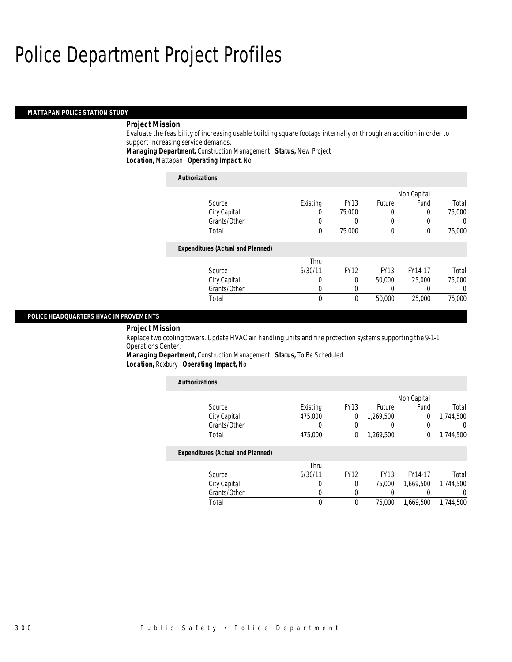#### *MATTAPAN POLICE STATION STUDY*

## *Project Mission*

Evaluate the feasibility of increasing usable building square footage internally or through an addition in order to support increasing service demands.

*Managing Department,* Construction Management *Status,* New Project

*Location,* Mattapan *Operating Impact,* No

| <b>Authorizations</b>                    |                  |             |             |          |        |
|------------------------------------------|------------------|-------------|-------------|----------|--------|
|                                          | Non Capital      |             |             |          |        |
| Source                                   | Existing         | <b>FY13</b> | Future      | Fund     | Total  |
| City Capital                             | U                | 75,000      | 0           | 0        | 75,000 |
| Grants/Other                             | 0                |             |             | 0        |        |
| Total                                    | $\theta$         | 75,000      | $\theta$    | 0        | 75,000 |
| <b>Expenditures (Actual and Planned)</b> |                  |             |             |          |        |
|                                          | Thru             |             |             |          |        |
| Source                                   | 6/30/11          | <b>FY12</b> | <b>FY13</b> | FY14-17  | Total  |
| City Capital                             | 0                | $\Omega$    | 50,000      | 25,000   | 75,000 |
| Grants/Other                             | $\left( \right)$ | 0           |             | $\Omega$ | 0      |
| Total                                    | $\theta$         | $\theta$    | 50,000      | 25,000   | 75,000 |

#### *POLICE HEADQUARTERS HVAC IMPROVEMENTS*

### *Project Mission*

Replace two cooling towers. Update HVAC air handling units and fire protection systems supporting the 9-1-1 Operations Center.

*Managing Department,* Construction Management *Status,* To Be Scheduled *Location,* Roxbury *Operating Impact,* No

| <b>Authorizations</b>                    |                  |             |             |           |           |  |  |
|------------------------------------------|------------------|-------------|-------------|-----------|-----------|--|--|
|                                          | Non Capital      |             |             |           |           |  |  |
| Source                                   | Existing         | <b>FY13</b> | Future      | Fund      | Total     |  |  |
| City Capital                             | 475,000          | 0           | 1,269,500   | 0         | 1,744,500 |  |  |
| Grants/Other                             | 0                | 0           |             | 0         |           |  |  |
| Total                                    | 475,000          | 0           | 1,269,500   | 0         | 1,744,500 |  |  |
| <b>Expenditures (Actual and Planned)</b> |                  |             |             |           |           |  |  |
|                                          | Thru             |             |             |           |           |  |  |
| Source                                   | 6/30/11          | <b>FY12</b> | <b>FY13</b> | FY14-17   | Total     |  |  |
| City Capital                             | $\left( \right)$ | $\Omega$    | 75,000      | 1.669.500 | 1,744,500 |  |  |
| Grants/Other                             | 0                | 0           | 0           | 0         |           |  |  |
| Total                                    | 0                | $\theta$    | 75,000      | 1.669.500 | 1.744.500 |  |  |